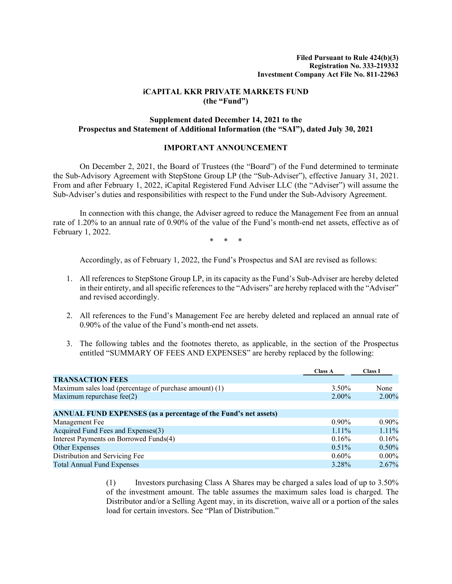# **iCAPITAL KKR PRIVATE MARKETS FUND (the "Fund")**

# **Supplement dated December 14, 2021 to the Prospectus and Statement of Additional Information (the "SAI"), dated July 30, 2021**

# **IMPORTANT ANNOUNCEMENT**

On December 2, 2021, the Board of Trustees (the "Board") of the Fund determined to terminate the Sub-Advisory Agreement with StepStone Group LP (the "Sub-Adviser"), effective January 31, 2021. From and after February 1, 2022, iCapital Registered Fund Adviser LLC (the "Adviser") will assume the Sub-Adviser's duties and responsibilities with respect to the Fund under the Sub-Advisory Agreement.

In connection with this change, the Adviser agreed to reduce the Management Fee from an annual rate of 1.20% to an annual rate of 0.90% of the value of the Fund's month-end net assets, effective as of February 1, 2022.

\* \* \*

Accordingly, as of February 1, 2022, the Fund's Prospectus and SAI are revised as follows:

- 1. All references to StepStone Group LP, in its capacity as the Fund's Sub-Adviser are hereby deleted in their entirety, and all specific references to the "Advisers" are hereby replaced with the "Adviser" and revised accordingly.
- 2. All references to the Fund's Management Fee are hereby deleted and replaced an annual rate of 0.90% of the value of the Fund's month-end net assets.
- 3. The following tables and the footnotes thereto, as applicable, in the section of the Prospectus entitled "SUMMARY OF FEES AND EXPENSES" are hereby replaced by the following:

|                                                                 | <b>Class A</b> | <b>Class I</b> |
|-----------------------------------------------------------------|----------------|----------------|
| <b>TRANSACTION FEES</b>                                         |                |                |
| Maximum sales load (percentage of purchase amount) (1)          | 3.50%          | None           |
| Maximum repurchase fee $(2)$                                    | $2.00\%$       | $2.00\%$       |
|                                                                 |                |                |
| ANNUAL FUND EXPENSES (as a percentage of the Fund's net assets) |                |                |
| Management Fee                                                  | $0.90\%$       | $0.90\%$       |
| Acquired Fund Fees and Expenses(3)                              | $1.11\%$       | 1.11%          |
| Interest Payments on Borrowed Funds(4)                          | 0.16%          | 0.16%          |
| Other Expenses                                                  | $0.51\%$       | $0.50\%$       |
| Distribution and Servicing Fee                                  | $0.60\%$       | $0.00\%$       |
| <b>Total Annual Fund Expenses</b>                               | 3.28%          | $2.67\%$       |

(1) Investors purchasing Class A Shares may be charged a sales load of up to 3.50% of the investment amount. The table assumes the maximum sales load is charged. The Distributor and/or a Selling Agent may, in its discretion, waive all or a portion of the sales load for certain investors. See "Plan of Distribution."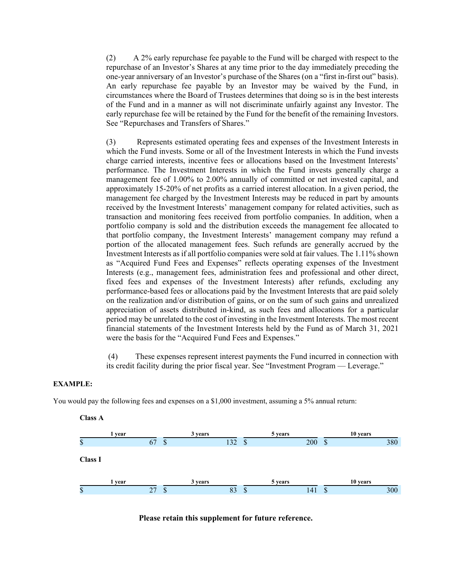(2) A 2% early repurchase fee payable to the Fund will be charged with respect to the repurchase of an Investor's Shares at any time prior to the day immediately preceding the one-year anniversary of an Investor's purchase of the Shares (on a "first in-first out" basis). An early repurchase fee payable by an Investor may be waived by the Fund, in circumstances where the Board of Trustees determines that doing so is in the best interests of the Fund and in a manner as will not discriminate unfairly against any Investor. The early repurchase fee will be retained by the Fund for the benefit of the remaining Investors. See "Repurchases and Transfers of Shares."

(3) Represents estimated operating fees and expenses of the Investment Interests in which the Fund invests. Some or all of the Investment Interests in which the Fund invests charge carried interests, incentive fees or allocations based on the Investment Interests' performance. The Investment Interests in which the Fund invests generally charge a management fee of 1.00% to 2.00% annually of committed or net invested capital, and approximately 15-20% of net profits as a carried interest allocation. In a given period, the management fee charged by the Investment Interests may be reduced in part by amounts received by the Investment Interests' management company for related activities, such as transaction and monitoring fees received from portfolio companies. In addition, when a portfolio company is sold and the distribution exceeds the management fee allocated to that portfolio company, the Investment Interests' management company may refund a portion of the allocated management fees. Such refunds are generally accrued by the Investment Interests as if all portfolio companies were sold at fair values. The 1.11% shown as "Acquired Fund Fees and Expenses" reflects operating expenses of the Investment Interests (e.g., management fees, administration fees and professional and other direct, fixed fees and expenses of the Investment Interests) after refunds, excluding any performance-based fees or allocations paid by the Investment Interests that are paid solely on the realization and/or distribution of gains, or on the sum of such gains and unrealized appreciation of assets distributed in-kind, as such fees and allocations for a particular period may be unrelated to the cost of investing in the Investment Interests. The most recent financial statements of the Investment Interests held by the Fund as of March 31, 2021 were the basis for the "Acquired Fund Fees and Expenses."

(4) These expenses represent interest payments the Fund incurred in connection with its credit facility during the prior fiscal year. See "Investment Program — Leverage."

#### **EXAMPLE:**

You would pay the following fees and expenses on a \$1,000 investment, assuming a 5% annual return:



**Please retain this supplement for future reference.**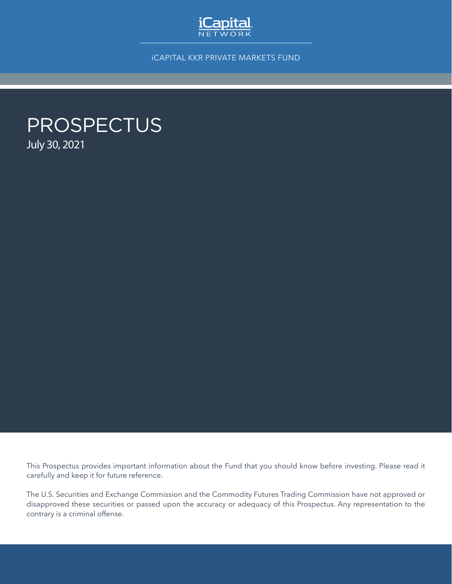

iCAPITAL KKR PRIVATE MARKETS FUND

# PROSPECTUS July 30, 2021

This Prospectus provides important information about the Fund that you should know before investing. Please read it carefully and keep it for future reference.

The U.S. Securities and Exchange Commission and the Commodity Futures Trading Commission have not approved or disapproved these securities or passed upon the accuracy or adequacy of this Prospectus. Any representation to the contrary is a criminal offense.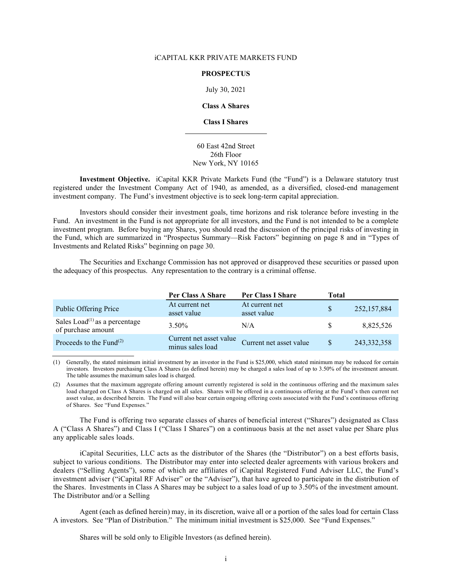#### iCAPITAL KKR PRIVATE MARKETS FUND

#### **PROSPECTUS**

July 30, 2021

**Class A Shares**

#### **Class I Shares**

#### 60 East 42nd Street 26th Floor New York, NY 10165

**Investment Objective.** iCapital KKR Private Markets Fund (the "Fund") is a Delaware statutory trust registered under the Investment Company Act of 1940, as amended, as a diversified, closed-end management investment company. The Fund's investment objective is to seek long-term capital appreciation.

Investors should consider their investment goals, time horizons and risk tolerance before investing in the Fund. An investment in the Fund is not appropriate for all investors, and the Fund is not intended to be a complete investment program. Before buying any Shares, you should read the discussion of the principal risks of investing in the Fund, which are summarized in "Prospectus Summary—Risk Factors" beginning on page 8 and in "Types of Investments and Related Risks" beginning on page 30.

The Securities and Exchange Commission has not approved or disapproved these securities or passed upon the adequacy of this prospectus. Any representation to the contrary is a criminal offense.

|                                                                              | Per Class A Share                           | Per Class I Share             | Total         |               |
|------------------------------------------------------------------------------|---------------------------------------------|-------------------------------|---------------|---------------|
| Public Offering Price                                                        | At current net<br>asset value               | At current net<br>asset value |               | 252,157,884   |
| Sales Load <sup><math>(1)</math></sup> as a percentage<br>of purchase amount | $3.50\%$                                    | N/A                           | S.            | 8,825,526     |
| Proceeds to the Fund $^{(2)}$                                                | Current net asset value<br>minus sales load | Current net asset value       | <sup>\$</sup> | 243, 332, 358 |

(1) Generally, the stated minimum initial investment by an investor in the Fund is \$25,000, which stated minimum may be reduced for certain investors. Investors purchasing Class A Shares (as defined herein) may be charged a sales load of up to 3.50% of the investment amount. The table assumes the maximum sales load is charged.

(2) Assumes that the maximum aggregate offering amount currently registered is sold in the continuous offering and the maximum sales load charged on Class A Shares is charged on all sales. Shares will be offered in a continuous offering at the Fund's then current net asset value, as described herein. The Fund will also bear certain ongoing offering costs associated with the Fund's continuous offering of Shares. See "Fund Expenses."

The Fund is offering two separate classes of shares of beneficial interest ("Shares") designated as Class A ("Class A Shares") and Class I ("Class I Shares") on a continuous basis at the net asset value per Share plus any applicable sales loads.

iCapital Securities, LLC acts as the distributor of the Shares (the "Distributor") on a best efforts basis, subject to various conditions. The Distributor may enter into selected dealer agreements with various brokers and dealers ("Selling Agents"), some of which are affiliates of iCapital Registered Fund Adviser LLC, the Fund's investment adviser ("iCapital RF Adviser" or the "Adviser"), that have agreed to participate in the distribution of the Shares. Investments in Class A Shares may be subject to a sales load of up to 3.50% of the investment amount. The Distributor and/or a Selling

Agent (each as defined herein) may, in its discretion, waive all or a portion of the sales load for certain Class A investors. See "Plan of Distribution." The minimum initial investment is \$25,000. See "Fund Expenses."

Shares will be sold only to Eligible Investors (as defined herein).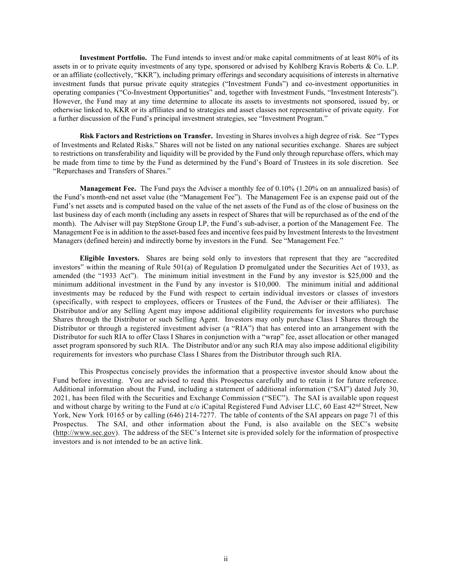**Investment Portfolio.** The Fund intends to invest and/or make capital commitments of at least 80% of its assets in or to private equity investments of any type, sponsored or advised by Kohlberg Kravis Roberts & Co. L.P. or an affiliate (collectively, "KKR"), including primary offerings and secondary acquisitions of interests in alternative investment funds that pursue private equity strategies ("Investment Funds") and co-investment opportunities in operating companies ("Co-Investment Opportunities" and, together with Investment Funds, "Investment Interests"). However, the Fund may at any time determine to allocate its assets to investments not sponsored, issued by, or otherwise linked to, KKR or its affiliates and to strategies and asset classes not representative of private equity. For a further discussion of the Fund's principal investment strategies, see "Investment Program."

**Risk Factors and Restrictions on Transfer.** Investing in Shares involves a high degree of risk. See "Types of Investments and Related Risks." Shares will not be listed on any national securities exchange. Shares are subject to restrictions on transferability and liquidity will be provided by the Fund only through repurchase offers, which may be made from time to time by the Fund as determined by the Fund's Board of Trustees in its sole discretion. See "Repurchases and Transfers of Shares."

**Management Fee.** The Fund pays the Adviser a monthly fee of 0.10% (1.20% on an annualized basis) of the Fund's month-end net asset value (the "Management Fee"). The Management Fee is an expense paid out of the Fund's net assets and is computed based on the value of the net assets of the Fund as of the close of business on the last business day of each month (including any assets in respect of Shares that will be repurchased as of the end of the month). The Adviser will pay StepStone Group LP, the Fund's sub-adviser, a portion of the Management Fee. The Management Fee is in addition to the asset-based fees and incentive fees paid by Investment Interests to the Investment Managers (defined herein) and indirectly borne by investors in the Fund. See "Management Fee."

**Eligible Investors.** Shares are being sold only to investors that represent that they are "accredited investors" within the meaning of Rule 501(a) of Regulation D promulgated under the Securities Act of 1933, as amended (the "1933 Act"). The minimum initial investment in the Fund by any investor is \$25,000 and the minimum additional investment in the Fund by any investor is \$10,000. The minimum initial and additional investments may be reduced by the Fund with respect to certain individual investors or classes of investors (specifically, with respect to employees, officers or Trustees of the Fund, the Adviser or their affiliates). The Distributor and/or any Selling Agent may impose additional eligibility requirements for investors who purchase Shares through the Distributor or such Selling Agent. Investors may only purchase Class I Shares through the Distributor or through a registered investment adviser (a "RIA") that has entered into an arrangement with the Distributor for such RIA to offer Class I Shares in conjunction with a "wrap" fee, asset allocation or other managed asset program sponsored by such RIA. The Distributor and/or any such RIA may also impose additional eligibility requirements for investors who purchase Class I Shares from the Distributor through such RIA.

This Prospectus concisely provides the information that a prospective investor should know about the Fund before investing. You are advised to read this Prospectus carefully and to retain it for future reference. Additional information about the Fund, including a statement of additional information ("SAI") dated July 30, 2021, has been filed with the Securities and Exchange Commission ("SEC"). The SAI is available upon request and without charge by writing to the Fund at c/o iCapital Registered Fund Adviser LLC, 60 East 42nd Street, New York, New York 10165 or by calling (646) 214-7277. The table of contents of the SAI appears on page 71 of this Prospectus. The SAI, and other information about the Fund, is also available on the SEC's website [\(http://www.sec.gov\)](http://www.sec.gov/). The address of the SEC's Internet site is provided solely for the information of prospective investors and is not intended to be an active link.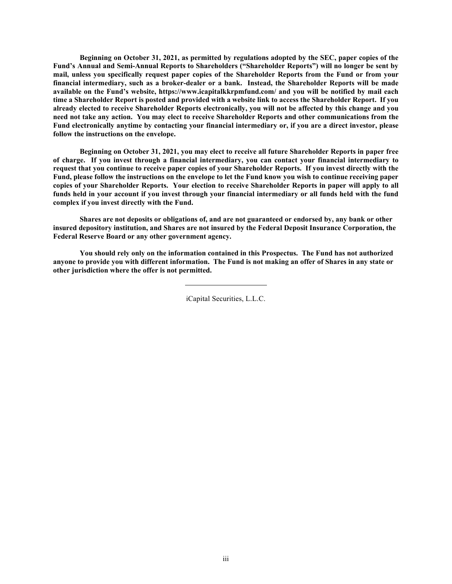**Beginning on October 31, 2021, as permitted by regulations adopted by the SEC, paper copies of the Fund's Annual and Semi-Annual Reports to Shareholders ("Shareholder Reports") will no longer be sent by mail, unless you specifically request paper copies of the Shareholder Reports from the Fund or from your financial intermediary, such as a broker-dealer or a bank. Instead, the Shareholder Reports will be made available on the Fund's website,<https://www.icapitalkkrpmfund.com/> and you will be notified by mail each time a Shareholder Report is posted and provided with a website link to access the Shareholder Report. If you already elected to receive Shareholder Reports electronically, you will not be affected by this change and you need not take any action. You may elect to receive Shareholder Reports and other communications from the Fund electronically anytime by contacting your financial intermediary or, if you are a direct investor, please follow the instructions on the envelope.**

**Beginning on October 31, 2021, you may elect to receive all future Shareholder Reports in paper free of charge. If you invest through a financial intermediary, you can contact your financial intermediary to request that you continue to receive paper copies of your Shareholder Reports. If you invest directly with the Fund, please follow the instructions on the envelope to let the Fund know you wish to continue receiving paper copies of your Shareholder Reports. Your election to receive Shareholder Reports in paper will apply to all funds held in your account if you invest through your financial intermediary or all funds held with the fund complex if you invest directly with the Fund.**

**Shares are not deposits or obligations of, and are not guaranteed or endorsed by, any bank or other insured depository institution, and Shares are not insured by the Federal Deposit Insurance Corporation, the Federal Reserve Board or any other government agency.**

**You should rely only on the information contained in this Prospectus. The Fund has not authorized anyone to provide you with different information. The Fund is not making an offer of Shares in any state or other jurisdiction where the offer is not permitted.**

iCapital Securities, L.L.C.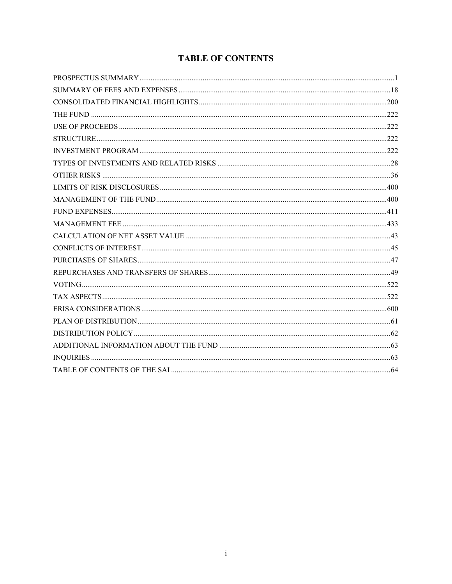# **TABLE OF CONTENTS**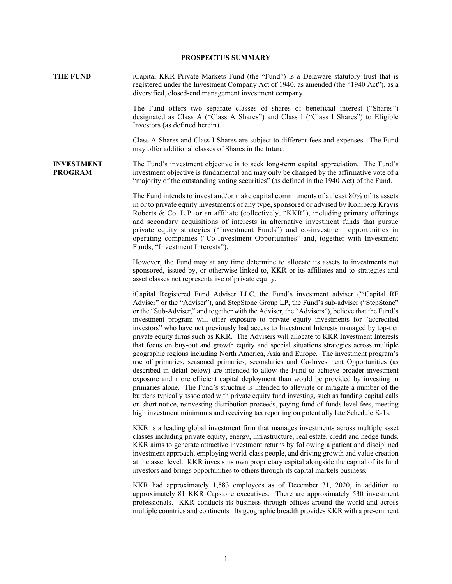#### **PROSPECTUS SUMMARY**

<span id="page-8-0"></span>**THE FUND** iCapital KKR Private Markets Fund (the "Fund") is a Delaware statutory trust that is registered under the Investment Company Act of 1940, as amended (the "1940 Act"), as a diversified, closed-end management investment company.

> The Fund offers two separate classes of shares of beneficial interest ("Shares") designated as Class A ("Class A Shares") and Class I ("Class I Shares") to Eligible Investors (as defined herein).

> Class A Shares and Class I Shares are subject to different fees and expenses. The Fund may offer additional classes of Shares in the future.

**INVESTMENT PROGRAM** The Fund's investment objective is to seek long-term capital appreciation. The Fund's investment objective is fundamental and may only be changed by the affirmative vote of a "majority of the outstanding voting securities" (as defined in the 1940 Act) of the Fund.

> The Fund intends to invest and/or make capital commitments of at least 80% of its assets in or to private equity investments of any type, sponsored or advised by Kohlberg Kravis Roberts & Co. L.P. or an affiliate (collectively, "KKR"), including primary offerings and secondary acquisitions of interests in alternative investment funds that pursue private equity strategies ("Investment Funds") and co-investment opportunities in operating companies ("Co-Investment Opportunities" and, together with Investment Funds, "Investment Interests").

> However, the Fund may at any time determine to allocate its assets to investments not sponsored, issued by, or otherwise linked to, KKR or its affiliates and to strategies and asset classes not representative of private equity.

> iCapital Registered Fund Adviser LLC, the Fund's investment adviser ("iCapital RF Adviser" or the "Adviser"), and StepStone Group LP, the Fund's sub-adviser ("StepStone" or the "Sub-Adviser," and together with the Adviser, the "Advisers"), believe that the Fund's investment program will offer exposure to private equity investments for "accredited investors" who have not previously had access to Investment Interests managed by top-tier private equity firms such as KKR. The Advisers will allocate to KKR Investment Interests that focus on buy-out and growth equity and special situations strategies across multiple geographic regions including North America, Asia and Europe. The investment program's use of primaries, seasoned primaries, secondaries and Co-Investment Opportunities (as described in detail below) are intended to allow the Fund to achieve broader investment exposure and more efficient capital deployment than would be provided by investing in primaries alone. The Fund's structure is intended to alleviate or mitigate a number of the burdens typically associated with private equity fund investing, such as funding capital calls on short notice, reinvesting distribution proceeds, paying fund-of-funds level fees, meeting high investment minimums and receiving tax reporting on potentially late Schedule K-1s.

> KKR is a leading global investment firm that manages investments across multiple asset classes including private equity, energy, infrastructure, real estate, credit and hedge funds. KKR aims to generate attractive investment returns by following a patient and disciplined investment approach, employing world-class people, and driving growth and value creation at the asset level. KKR invests its own proprietary capital alongside the capital of its fund investors and brings opportunities to others through its capital markets business.

> KKR had approximately 1,583 employees as of December 31, 2020, in addition to approximately 81 KKR Capstone executives. There are approximately 530 investment professionals. KKR conducts its business through offices around the world and across multiple countries and continents. Its geographic breadth provides KKR with a pre-eminent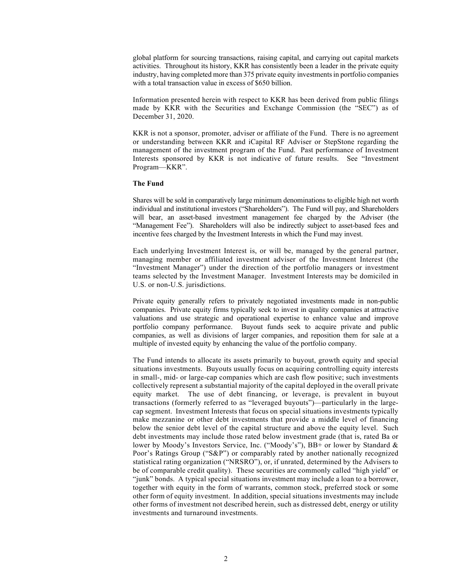global platform for sourcing transactions, raising capital, and carrying out capital markets activities. Throughout its history, KKR has consistently been a leader in the private equity industry, having completed more than 375 private equity investments in portfolio companies with a total transaction value in excess of \$650 billion.

Information presented herein with respect to KKR has been derived from public filings made by KKR with the Securities and Exchange Commission (the "SEC") as of December 31, 2020.

KKR is not a sponsor, promoter, adviser or affiliate of the Fund. There is no agreement or understanding between KKR and iCapital RF Adviser or StepStone regarding the management of the investment program of the Fund. Past performance of Investment Interests sponsored by KKR is not indicative of future results. See "Investment Program—KKR".

#### **The Fund**

Shares will be sold in comparatively large minimum denominations to eligible high net worth individual and institutional investors ("Shareholders"). The Fund will pay, and Shareholders will bear, an asset-based investment management fee charged by the Adviser (the "Management Fee"). Shareholders will also be indirectly subject to asset-based fees and incentive fees charged by the Investment Interests in which the Fund may invest.

Each underlying Investment Interest is, or will be, managed by the general partner, managing member or affiliated investment adviser of the Investment Interest (the "Investment Manager") under the direction of the portfolio managers or investment teams selected by the Investment Manager. Investment Interests may be domiciled in U.S. or non-U.S. jurisdictions.

Private equity generally refers to privately negotiated investments made in non-public companies. Private equity firms typically seek to invest in quality companies at attractive valuations and use strategic and operational expertise to enhance value and improve portfolio company performance. Buyout funds seek to acquire private and public companies, as well as divisions of larger companies, and reposition them for sale at a multiple of invested equity by enhancing the value of the portfolio company.

The Fund intends to allocate its assets primarily to buyout, growth equity and special situations investments. Buyouts usually focus on acquiring controlling equity interests in small-, mid- or large-cap companies which are cash flow positive; such investments collectively represent a substantial majority of the capital deployed in the overall private equity market. The use of debt financing, or leverage, is prevalent in buyout transactions (formerly referred to as "leveraged buyouts")—particularly in the largecap segment. Investment Interests that focus on special situations investments typically make mezzanine or other debt investments that provide a middle level of financing below the senior debt level of the capital structure and above the equity level. Such debt investments may include those rated below investment grade (that is, rated Ba or lower by Moody's Investors Service, Inc. ("Moody's"), BB+ or lower by Standard & Poor's Ratings Group ("S&P") or comparably rated by another nationally recognized statistical rating organization ("NRSRO"), or, if unrated, determined by the Advisers to be of comparable credit quality). These securities are commonly called "high yield" or "junk" bonds. A typical special situations investment may include a loan to a borrower, together with equity in the form of warrants, common stock, preferred stock or some other form of equity investment. In addition, special situations investments may include other forms of investment not described herein, such as distressed debt, energy or utility investments and turnaround investments.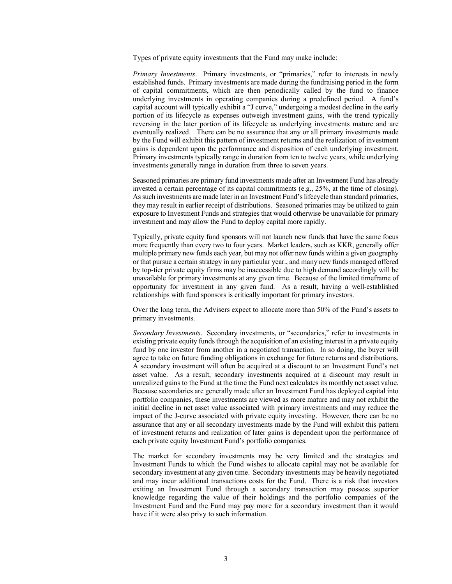Types of private equity investments that the Fund may make include:

*Primary Investments*. Primary investments, or "primaries," refer to interests in newly established funds. Primary investments are made during the fundraising period in the form of capital commitments, which are then periodically called by the fund to finance underlying investments in operating companies during a predefined period. A fund's capital account will typically exhibit a "J curve," undergoing a modest decline in the early portion of its lifecycle as expenses outweigh investment gains, with the trend typically reversing in the later portion of its lifecycle as underlying investments mature and are eventually realized. There can be no assurance that any or all primary investments made by the Fund will exhibit this pattern of investment returns and the realization of investment gains is dependent upon the performance and disposition of each underlying investment. Primary investments typically range in duration from ten to twelve years, while underlying investments generally range in duration from three to seven years.

Seasoned primaries are primary fund investments made after an Investment Fund has already invested a certain percentage of its capital commitments (e.g., 25%, at the time of closing). As such investments are made later in an Investment Fund'slifecycle than standard primaries, they may result in earlier receipt of distributions. Seasoned primaries may be utilized to gain exposure to Investment Funds and strategies that would otherwise be unavailable for primary investment and may allow the Fund to deploy capital more rapidly.

Typically, private equity fund sponsors will not launch new funds that have the same focus more frequently than every two to four years. Market leaders, such as KKR, generally offer multiple primary new funds each year, but may not offer new funds within a given geography or that pursue a certain strategy in any particular year., and many new funds managed offered by top-tier private equity firms may be inaccessible due to high demand accordingly will be unavailable for primary investments at any given time. Because of the limited timeframe of opportunity for investment in any given fund. As a result, having a well-established relationships with fund sponsors is critically important for primary investors.

Over the long term, the Advisers expect to allocate more than 50% of the Fund's assets to primary investments.

*Secondary Investments*. Secondary investments, or "secondaries," refer to investments in existing private equity funds through the acquisition of an existing interest in a private equity fund by one investor from another in a negotiated transaction. In so doing, the buyer will agree to take on future funding obligations in exchange for future returns and distributions. A secondary investment will often be acquired at a discount to an Investment Fund's net asset value. As a result, secondary investments acquired at a discount may result in unrealized gains to the Fund at the time the Fund next calculates its monthly net asset value. Because secondaries are generally made after an Investment Fund has deployed capital into portfolio companies, these investments are viewed as more mature and may not exhibit the initial decline in net asset value associated with primary investments and may reduce the impact of the J-curve associated with private equity investing. However, there can be no assurance that any or all secondary investments made by the Fund will exhibit this pattern of investment returns and realization of later gains is dependent upon the performance of each private equity Investment Fund's portfolio companies.

The market for secondary investments may be very limited and the strategies and Investment Funds to which the Fund wishes to allocate capital may not be available for secondary investment at any given time. Secondary investments may be heavily negotiated and may incur additional transactions costs for the Fund. There is a risk that investors exiting an Investment Fund through a secondary transaction may possess superior knowledge regarding the value of their holdings and the portfolio companies of the Investment Fund and the Fund may pay more for a secondary investment than it would have if it were also privy to such information.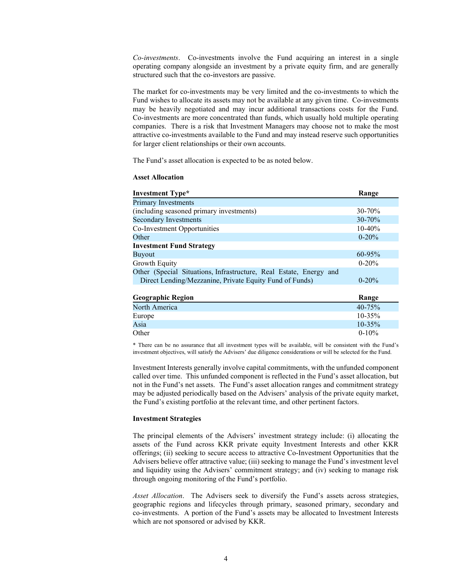*Co-investments*. Co-investments involve the Fund acquiring an interest in a single operating company alongside an investment by a private equity firm, and are generally structured such that the co-investors are passive.

The market for co-investments may be very limited and the co-investments to which the Fund wishes to allocate its assets may not be available at any given time. Co-investments may be heavily negotiated and may incur additional transactions costs for the Fund. Co-investments are more concentrated than funds, which usually hold multiple operating companies. There is a risk that Investment Managers may choose not to make the most attractive co-investments available to the Fund and may instead reserve such opportunities for larger client relationships or their own accounts.

The Fund's asset allocation is expected to be as noted below.

#### **Asset Allocation**

| <b>Investment Type*</b>                                                                                                       | Range       |
|-------------------------------------------------------------------------------------------------------------------------------|-------------|
| <b>Primary Investments</b>                                                                                                    |             |
| (including seasoned primary investments)                                                                                      | $30 - 70%$  |
| <b>Secondary Investments</b>                                                                                                  | $30 - 70%$  |
| Co-Investment Opportunities                                                                                                   | $10-40%$    |
| Other                                                                                                                         | $0 - 20%$   |
| <b>Investment Fund Strategy</b>                                                                                               |             |
| <b>Buyout</b>                                                                                                                 | $60 - 95\%$ |
| Growth Equity                                                                                                                 | $0-20%$     |
| Other (Special Situations, Infrastructure, Real Estate, Energy and<br>Direct Lending/Mezzanine, Private Equity Fund of Funds) | $0 - 20%$   |
|                                                                                                                               |             |

| <b>Geographic Region</b> | Range       |
|--------------------------|-------------|
| North America            | $40 - 75%$  |
| Europe                   | $10 - 35\%$ |
| Asia                     | $10 - 35\%$ |
| Other                    | $0-10\%$    |

\* There can be no assurance that all investment types will be available, will be consistent with the Fund's investment objectives, will satisfy the Advisers' due diligence considerations or will be selected for the Fund.

Investment Interests generally involve capital commitments, with the unfunded component called over time. This unfunded component is reflected in the Fund's asset allocation, but not in the Fund's net assets. The Fund's asset allocation ranges and commitment strategy may be adjusted periodically based on the Advisers' analysis of the private equity market, the Fund's existing portfolio at the relevant time, and other pertinent factors.

#### **Investment Strategies**

The principal elements of the Advisers' investment strategy include: (i) allocating the assets of the Fund across KKR private equity Investment Interests and other KKR offerings; (ii) seeking to secure access to attractive Co-Investment Opportunities that the Advisers believe offer attractive value; (iii) seeking to manage the Fund's investment level and liquidity using the Advisers' commitment strategy; and (iv) seeking to manage risk through ongoing monitoring of the Fund's portfolio.

*Asset Allocation*. The Advisers seek to diversify the Fund's assets across strategies, geographic regions and lifecycles through primary, seasoned primary, secondary and co-investments. A portion of the Fund's assets may be allocated to Investment Interests which are not sponsored or advised by KKR.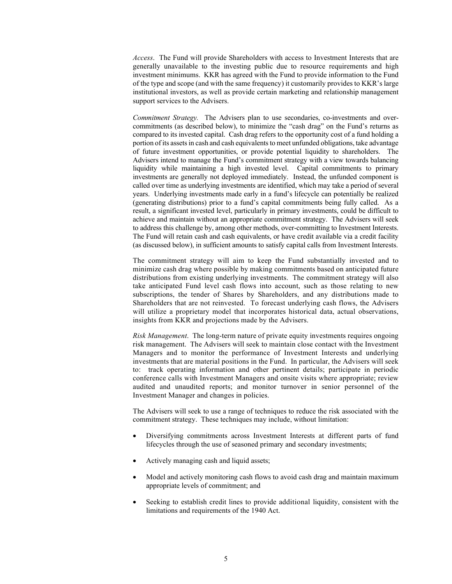*Access*. The Fund will provide Shareholders with access to Investment Interests that are generally unavailable to the investing public due to resource requirements and high investment minimums. KKR has agreed with the Fund to provide information to the Fund of the type and scope (and with the same frequency) it customarily provides to KKR's large institutional investors, as well as provide certain marketing and relationship management support services to the Advisers.

*Commitment Strategy.* The Advisers plan to use secondaries, co-investments and overcommitments (as described below), to minimize the "cash drag" on the Fund's returns as compared to its invested capital. Cash drag refers to the opportunity cost of a fund holding a portion of its assets in cash and cash equivalents to meet unfunded obligations, take advantage of future investment opportunities, or provide potential liquidity to shareholders. The Advisers intend to manage the Fund's commitment strategy with a view towards balancing liquidity while maintaining a high invested level. Capital commitments to primary investments are generally not deployed immediately. Instead, the unfunded component is called over time as underlying investments are identified, which may take a period of several years. Underlying investments made early in a fund's lifecycle can potentially be realized (generating distributions) prior to a fund's capital commitments being fully called. As a result, a significant invested level, particularly in primary investments, could be difficult to achieve and maintain without an appropriate commitment strategy. The Advisers will seek to address this challenge by, among other methods, over-committing to Investment Interests. The Fund will retain cash and cash equivalents, or have credit available via a credit facility (as discussed below), in sufficient amounts to satisfy capital calls from Investment Interests.

The commitment strategy will aim to keep the Fund substantially invested and to minimize cash drag where possible by making commitments based on anticipated future distributions from existing underlying investments. The commitment strategy will also take anticipated Fund level cash flows into account, such as those relating to new subscriptions, the tender of Shares by Shareholders, and any distributions made to Shareholders that are not reinvested. To forecast underlying cash flows, the Advisers will utilize a proprietary model that incorporates historical data, actual observations, insights from KKR and projections made by the Advisers.

*Risk Management*. The long-term nature of private equity investments requires ongoing risk management. The Advisers will seek to maintain close contact with the Investment Managers and to monitor the performance of Investment Interests and underlying investments that are material positions in the Fund. In particular, the Advisers will seek to: track operating information and other pertinent details; participate in periodic conference calls with Investment Managers and onsite visits where appropriate; review audited and unaudited reports; and monitor turnover in senior personnel of the Investment Manager and changes in policies.

The Advisers will seek to use a range of techniques to reduce the risk associated with the commitment strategy. These techniques may include, without limitation:

- Diversifying commitments across Investment Interests at different parts of fund lifecycles through the use of seasoned primary and secondary investments;
- Actively managing cash and liquid assets;
- Model and actively monitoring cash flows to avoid cash drag and maintain maximum appropriate levels of commitment; and
- Seeking to establish credit lines to provide additional liquidity, consistent with the limitations and requirements of the 1940 Act.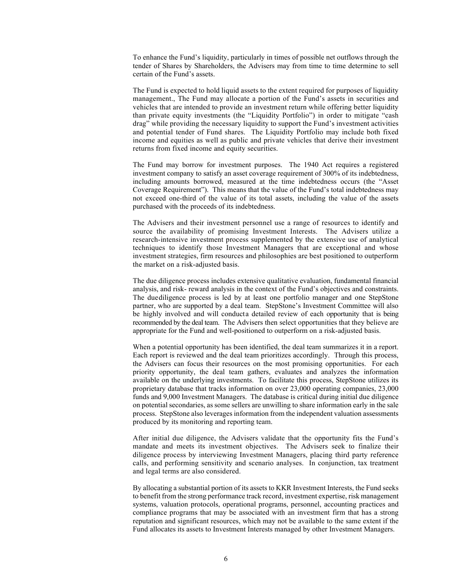To enhance the Fund's liquidity, particularly in times of possible net outflows through the tender of Shares by Shareholders, the Advisers may from time to time determine to sell certain of the Fund's assets.

The Fund is expected to hold liquid assets to the extent required for purposes of liquidity management., The Fund may allocate a portion of the Fund's assets in securities and vehicles that are intended to provide an investment return while offering better liquidity than private equity investments (the "Liquidity Portfolio") in order to mitigate "cash drag" while providing the necessary liquidity to support the Fund's investment activities and potential tender of Fund shares. The Liquidity Portfolio may include both fixed income and equities as well as public and private vehicles that derive their investment returns from fixed income and equity securities.

The Fund may borrow for investment purposes. The 1940 Act requires a registered investment company to satisfy an asset coverage requirement of 300% of its indebtedness, including amounts borrowed, measured at the time indebtedness occurs (the "Asset Coverage Requirement"). This means that the value of the Fund's total indebtedness may not exceed one-third of the value of its total assets, including the value of the assets purchased with the proceeds of its indebtedness.

The Advisers and their investment personnel use a range of resources to identify and source the availability of promising Investment Interests. The Advisers utilize a research-intensive investment process supplemented by the extensive use of analytical techniques to identify those Investment Managers that are exceptional and whose investment strategies, firm resources and philosophies are best positioned to outperform the market on a risk-adjusted basis.

The due diligence process includes extensive qualitative evaluation, fundamental financial analysis, and risk- reward analysis in the context of the Fund's objectives and constraints. The duediligence process is led by at least one portfolio manager and one StepStone partner, who are supported by a deal team. StepStone's Investment Committee will also be highly involved and will conducta detailed review of each opportunity that is being recommended by the deal team. The Advisers then select opportunities that they believe are appropriate for the Fund and well-positioned to outperform on a risk-adjusted basis.

When a potential opportunity has been identified, the deal team summarizes it in a report. Each report is reviewed and the deal team prioritizes accordingly. Through this process, the Advisers can focus their resources on the most promising opportunities. For each priority opportunity, the deal team gathers, evaluates and analyzes the information available on the underlying investments. To facilitate this process, StepStone utilizes its proprietary database that tracks information on over 23,000 operating companies, 23,000 funds and 9,000 Investment Managers. The database is critical during initial due diligence on potential secondaries, as some sellers are unwilling to share information early in the sale process. StepStone also leverages information from the independent valuation assessments produced by its monitoring and reporting team.

After initial due diligence, the Advisers validate that the opportunity fits the Fund's mandate and meets its investment objectives. The Advisers seek to finalize their diligence process by interviewing Investment Managers, placing third party reference calls, and performing sensitivity and scenario analyses. In conjunction, tax treatment and legal terms are also considered.

By allocating a substantial portion of its assets to KKR Investment Interests, the Fund seeks to benefit from the strong performance track record, investment expertise, risk management systems, valuation protocols, operational programs, personnel, accounting practices and compliance programs that may be associated with an investment firm that has a strong reputation and significant resources, which may not be available to the same extent if the Fund allocates its assets to Investment Interests managed by other Investment Managers.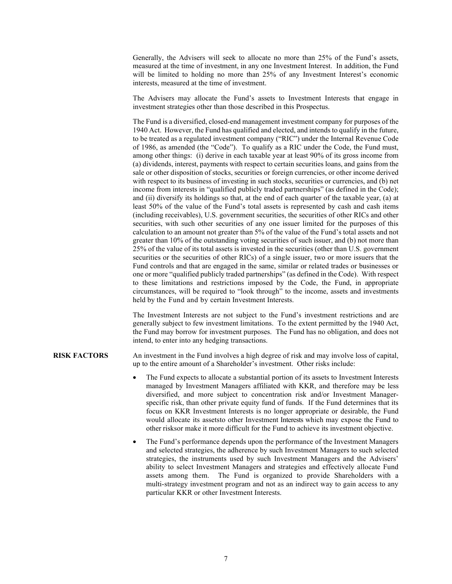Generally, the Advisers will seek to allocate no more than 25% of the Fund's assets, measured at the time of investment, in any one Investment Interest. In addition, the Fund will be limited to holding no more than 25% of any Investment Interest's economic interests, measured at the time of investment.

The Advisers may allocate the Fund's assets to Investment Interests that engage in investment strategies other than those described in this Prospectus.

The Fund is a diversified, closed-end management investment company for purposes of the 1940 Act. However, the Fund has qualified and elected, and intends to qualify in the future, to be treated as a regulated investment company ("RIC") under the Internal Revenue Code of 1986, as amended (the "Code"). To qualify as a RIC under the Code, the Fund must, among other things: (i) derive in each taxable year at least 90% of its gross income from (a) dividends, interest, payments with respect to certain securities loans, and gains from the sale or other disposition of stocks, securities or foreign currencies, or other income derived with respect to its business of investing in such stocks, securities or currencies, and (b) net income from interests in "qualified publicly traded partnerships" (as defined in the Code); and (ii) diversify its holdings so that, at the end of each quarter of the taxable year, (a) at least 50% of the value of the Fund's total assets is represented by cash and cash items (including receivables), U.S. government securities, the securities of other RICs and other securities, with such other securities of any one issuer limited for the purposes of this calculation to an amount not greater than 5% of the value of the Fund's total assets and not greater than 10% of the outstanding voting securities of such issuer, and (b) not more than 25% of the value of its total assets is invested in the securities (other than U.S. government securities or the securities of other RICs) of a single issuer, two or more issuers that the Fund controls and that are engaged in the same, similar or related trades or businesses or one or more "qualified publicly traded partnerships" (as defined in the Code). With respect to these limitations and restrictions imposed by the Code, the Fund, in appropriate circumstances, will be required to "look through" to the income, assets and investments held by the Fund and by certain Investment Interests.

The Investment Interests are not subject to the Fund's investment restrictions and are generally subject to few investment limitations. To the extent permitted by the 1940 Act, the Fund may borrow for investment purposes. The Fund has no obligation, and does not intend, to enter into any hedging transactions.

**RISK FACTORS** An investment in the Fund involves a high degree of risk and may involve loss of capital, up to the entire amount of a Shareholder's investment. Other risks include:

- The Fund expects to allocate a substantial portion of its assets to Investment Interests managed by Investment Managers affiliated with KKR, and therefore may be less diversified, and more subject to concentration risk and/or Investment Managerspecific risk, than other private equity fund of funds. If the Fund determines that its focus on KKR Investment Interests is no longer appropriate or desirable, the Fund would allocate its assetsto other Investment Interests which may expose the Fund to other risksor make it more difficult for the Fund to achieve its investment objective.
- The Fund's performance depends upon the performance of the Investment Managers and selected strategies, the adherence by such Investment Managers to such selected strategies, the instruments used by such Investment Managers and the Advisers' ability to select Investment Managers and strategies and effectively allocate Fund assets among them. The Fund is organized to provide Shareholders with a multi-strategy investment program and not as an indirect way to gain access to any particular KKR or other Investment Interests.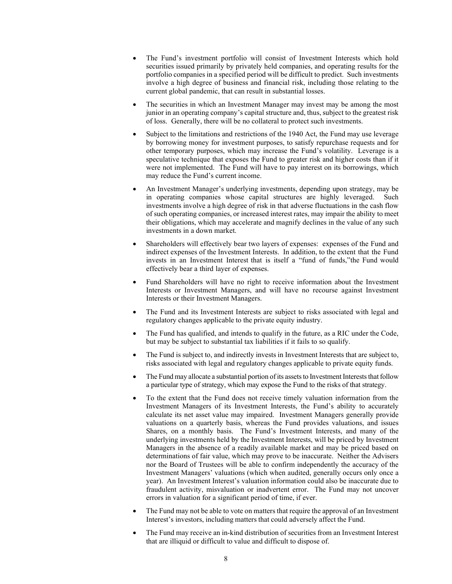- The Fund's investment portfolio will consist of Investment Interests which hold securities issued primarily by privately held companies, and operating results for the portfolio companies in a specified period will be difficult to predict. Such investments involve a high degree of business and financial risk, including those relating to the current global pandemic, that can result in substantial losses.
- The securities in which an Investment Manager may invest may be among the most junior in an operating company's capital structure and, thus, subject to the greatest risk of loss. Generally, there will be no collateral to protect such investments.
- Subject to the limitations and restrictions of the 1940 Act, the Fund may use leverage by borrowing money for investment purposes, to satisfy repurchase requests and for other temporary purposes, which may increase the Fund's volatility. Leverage is a speculative technique that exposes the Fund to greater risk and higher costs than if it were not implemented. The Fund will have to pay interest on its borrowings, which may reduce the Fund's current income.
- An Investment Manager's underlying investments, depending upon strategy, may be in operating companies whose capital structures are highly leveraged. Such investments involve a high degree of risk in that adverse fluctuations in the cash flow of such operating companies, or increased interest rates, may impair the ability to meet their obligations, which may accelerate and magnify declines in the value of any such investments in a down market.
- Shareholders will effectively bear two layers of expenses: expenses of the Fund and indirect expenses of the Investment Interests. In addition, to the extent that the Fund invests in an Investment Interest that is itself a "fund of funds,"the Fund would effectively bear a third layer of expenses.
- Fund Shareholders will have no right to receive information about the Investment Interests or Investment Managers, and will have no recourse against Investment Interests or their Investment Managers.
- The Fund and its Investment Interests are subject to risks associated with legal and regulatory changes applicable to the private equity industry.
- The Fund has qualified, and intends to qualify in the future, as a RIC under the Code, but may be subject to substantial tax liabilities if it fails to so qualify.
- The Fund is subject to, and indirectly invests in Investment Interests that are subject to, risks associated with legal and regulatory changes applicable to private equity funds.
- The Fund may allocate a substantial portion of its assets to Investment Interests that follow a particular type of strategy, which may expose the Fund to the risks of that strategy.
- To the extent that the Fund does not receive timely valuation information from the Investment Managers of its Investment Interests, the Fund's ability to accurately calculate its net asset value may impaired. Investment Managers generally provide valuations on a quarterly basis, whereas the Fund provides valuations, and issues Shares, on a monthly basis. The Fund's Investment Interests, and many of the underlying investments held by the Investment Interests, will be priced by Investment Managers in the absence of a readily available market and may be priced based on determinations of fair value, which may prove to be inaccurate. Neither the Advisers nor the Board of Trustees will be able to confirm independently the accuracy of the Investment Managers' valuations (which when audited, generally occurs only once a year). An Investment Interest's valuation information could also be inaccurate due to fraudulent activity, misvaluation or inadvertent error. The Fund may not uncover errors in valuation for a significant period of time, if ever.
- The Fund may not be able to vote on matters that require the approval of an Investment Interest's investors, including matters that could adversely affect the Fund.
- The Fund may receive an in-kind distribution of securities from an Investment Interest that are illiquid or difficult to value and difficult to dispose of.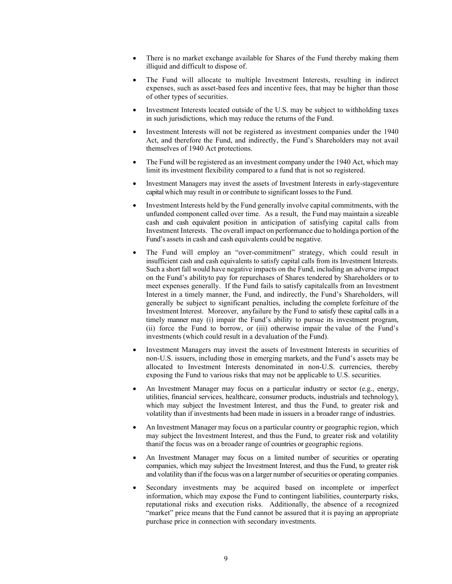- There is no market exchange available for Shares of the Fund thereby making them illiquid and difficult to dispose of.
- The Fund will allocate to multiple Investment Interests, resulting in indirect expenses, such as asset-based fees and incentive fees, that may be higher than those of other types of securities.
- Investment Interests located outside of the U.S. may be subject to withholding taxes in such jurisdictions, which may reduce the returns of the Fund.
- Investment Interests will not be registered as investment companies under the 1940 Act, and therefore the Fund, and indirectly, the Fund's Shareholders may not avail themselves of 1940 Act protections.
- The Fund will be registered as an investment company under the 1940 Act, which may limit its investment flexibility compared to a fund that is not so registered.
- Investment Managers may invest the assets of Investment Interests in early-stageventure capital which may result in or contribute to significant losses to the Fund.
- Investment Interests held by the Fund generally involve capital commitments, with the unfunded component called over time. As a result, the Fund may maintain a sizeable cash and cash equivalent position in anticipation of satisfying capital calls from Investment Interests. The overall impact on performance due to holdinga portion of the Fund's assets in cash and cash equivalents could be negative.
- The Fund will employ an "over-commitment" strategy, which could result in insufficient cash and cash equivalents to satisfy capital calls from its Investment Interests. Such a short fall would have negative impacts on the Fund, including an adverse impact on the Fund's abilityto pay for repurchases of Shares tendered by Shareholders or to meet expenses generally. If the Fund fails to satisfy capitalcalls from an Investment Interest in a timely manner, the Fund, and indirectly, the Fund's Shareholders, will generally be subject to significant penalties, including the complete forfeiture of the Investment Interest. Moreover, anyfailure by the Fund to satisfy these capital calls in a timely manner may (i) impair the Fund's ability to pursue its investment program, (ii) force the Fund to borrow, or (iii) otherwise impair the value of the Fund's investments (which could result in a devaluation of the Fund).
- Investment Managers may invest the assets of Investment Interests in securities of non-U.S. issuers, including those in emerging markets, and the Fund's assets may be allocated to Investment Interests denominated in non-U.S. currencies, thereby exposing the Fund to various risks that may not be applicable to U.S. securities.
- An Investment Manager may focus on a particular industry or sector (e.g., energy, utilities, financial services, healthcare, consumer products, industrials and technology), which may subject the Investment Interest, and thus the Fund, to greater risk and volatility than if investments had been made in issuers in a broader range of industries.
- An Investment Manager may focus on a particular country or geographic region, which may subject the Investment Interest, and thus the Fund, to greater risk and volatility thanif the focus was on a broader range of countries or geographic regions.
- An Investment Manager may focus on a limited number of securities or operating companies, which may subject the Investment Interest, and thus the Fund, to greater risk and volatility than if the focus was on a larger number of securities or operating companies.
- Secondary investments may be acquired based on incomplete or imperfect information, which may expose the Fund to contingent liabilities, counterparty risks, reputational risks and execution risks. Additionally, the absence of a recognized "market" price means that the Fund cannot be assured that it is paying an appropriate purchase price in connection with secondary investments.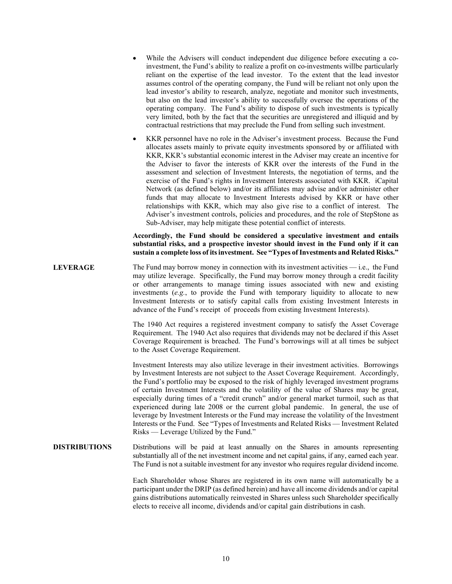- While the Advisers will conduct independent due diligence before executing a coinvestment, the Fund's ability to realize a profit on co-investments willbe particularly reliant on the expertise of the lead investor. To the extent that the lead investor assumes control of the operating company, the Fund will be reliant not only upon the lead investor's ability to research, analyze, negotiate and monitor such investments, but also on the lead investor's ability to successfully oversee the operations of the operating company. The Fund's ability to dispose of such investments is typically very limited, both by the fact that the securities are unregistered and illiquid and by contractual restrictions that may preclude the Fund from selling such investment.
- KKR personnel have no role in the Adviser's investment process. Because the Fund allocates assets mainly to private equity investments sponsored by or affiliated with KKR, KKR's substantial economic interest in the Adviser may create an incentive for the Adviser to favor the interests of KKR over the interests of the Fund in the assessment and selection of Investment Interests, the negotiation of terms, and the exercise of the Fund's rights in Investment Interests associated with KKR. iCapital Network (as defined below) and/or its affiliates may advise and/or administer other funds that may allocate to Investment Interests advised by KKR or have other relationships with KKR, which may also give rise to a conflict of interest. The Adviser's investment controls, policies and procedures, and the role of StepStone as Sub-Adviser, may help mitigate these potential conflict of interests.

# **Accordingly, the Fund should be considered a speculative investment and entails substantial risks, and a prospective investor should invest in the Fund only if it can sustain a complete loss of its investment. See "Types of Investments and Related Risks."**

LEVERAGE The Fund may borrow money in connection with its investment activities — i.e., the Fund may utilize leverage. Specifically, the Fund may borrow money through a credit facility or other arrangements to manage timing issues associated with new and existing investments (*e.g.*, to provide the Fund with temporary liquidity to allocate to new Investment Interests or to satisfy capital calls from existing Investment Interests in advance of the Fund's receipt of proceeds from existing Investment Interests).

> The 1940 Act requires a registered investment company to satisfy the Asset Coverage Requirement. The 1940 Act also requires that dividends may not be declared if this Asset Coverage Requirement is breached. The Fund's borrowings will at all times be subject to the Asset Coverage Requirement.

> Investment Interests may also utilize leverage in their investment activities. Borrowings by Investment Interests are not subject to the Asset Coverage Requirement. Accordingly, the Fund's portfolio may be exposed to the risk of highly leveraged investment programs of certain Investment Interests and the volatility of the value of Shares may be great, especially during times of a "credit crunch" and/or general market turmoil, such as that experienced during late 2008 or the current global pandemic. In general, the use of leverage by Investment Interests or the Fund may increase the volatility of the Investment Interests or the Fund. See "Types of Investments and Related Risks — Investment Related Risks — Leverage Utilized by the Fund."

#### **DISTRIBUTIONS** Distributions will be paid at least annually on the Shares in amounts representing substantially all of the net investment income and net capital gains, if any, earned each year. The Fund is not a suitable investment for any investor who requires regular dividend income.

Each Shareholder whose Shares are registered in its own name will automatically be a participant under the DRIP (as defined herein) and have all income dividends and/or capital gains distributions automatically reinvested in Shares unless such Shareholder specifically elects to receive all income, dividends and/or capital gain distributions in cash.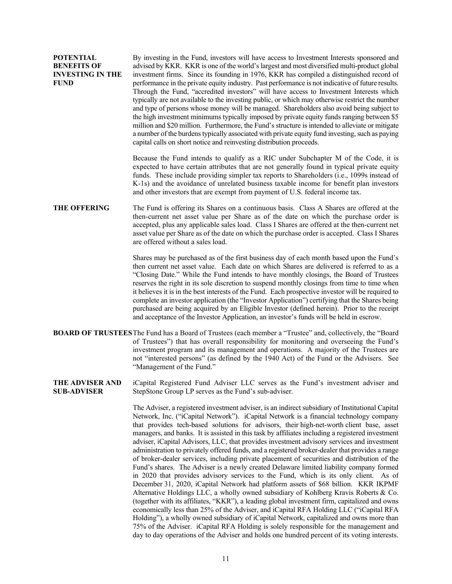| <b>POTENTIAL</b>        | By investing in the Fund, investors will have access to Investment Interests sponsored and        |
|-------------------------|---------------------------------------------------------------------------------------------------|
| <b>BENEFITS OF</b>      | advised by KKR. KKR is one of the world's largest and most diversified multi-product global       |
| <b>INVESTING IN THE</b> | investment firms. Since its founding in 1976, KKR has compiled a distinguished record of          |
| <b>FUND</b>             | performance in the private equity industry. Past performance is not indicative of future results. |
|                         | Through the Fund, "accredited investors" will have access to Investment Interests which           |
|                         | typically are not available to the investing public, or which may otherwise restrict the number   |
|                         | and type of persons whose money will be managed. Shareholders also avoid being subject to         |
|                         | the high investment minimums typically imposed by private equity funds ranging between \$5        |
|                         | million and \$20 million. Furthermore, the Fund's structure is intended to alleviate or mitigate  |
|                         | a number of the burdens typically associated with private equity fund investing, such as paying   |
|                         | capital calls on short notice and reinvesting distribution proceeds.                              |
|                         |                                                                                                   |

Because the Fund intends to qualify as a RIC under Subchapter M of the Code, it is expected to have certain attributes that are not generally found in typical private equity funds. These include providing simpler tax reports to Shareholders (i.e., 1099s instead of K-1s) and the avoidance of unrelated business taxable income for benefit plan investors and other investors that are exempt from payment of U.S. federal income tax.

**THE OFFERING** The Fund is offering its Shares on a continuous basis. Class A Shares are offered at the then-current net asset value per Share as of the date on which the purchase order is accepted, plus any applicable sales load. Class I Shares are offered at the then-current net asset value per Share as of the date on which the purchase order is accepted. Class I Shares are offered without a sales load.

> Shares may be purchased as of the first business day of each month based upon the Fund's then current net asset value. Each date on which Shares are delivered is referred to as a "Closing Date." While the Fund intends to have monthly closings, the Board of Trustees reserves the right in its sole discretion to suspend monthly closings from time to time when it believes it is in the best interests of the Fund. Each prospective investor will be required to complete an investor application (the "Investor Application") certifying that the Shares being purchased are being acquired by an Eligible Investor (defined herein). Prior to the receipt and acceptance of the Investor Application, an investor's funds will be held in escrow.

- **BOARD OF TRUSTEES**The Fund has a Board of Trustees (each member a "Trustee" and, collectively, the "Board of Trustees") that has overall responsibility for monitoring and overseeing the Fund's investment program and its management and operations. A majority of the Trustees are not "interested persons" (as defined by the 1940 Act) of the Fund or the Advisers. See "Management of the Fund."
- **THE ADVISER AND SUB-ADVISER** iCapital Registered Fund Adviser LLC serves as the Fund's investment adviser and StepStone Group LP serves as the Fund's sub-adviser.

The Adviser, a registered investment adviser, is an indirect subsidiary of Institutional Capital Network, Inc. ("iCapital Network"). iCapital Network is a financial technology company that provides tech-based solutions for advisors, their high-net-worth client base, asset managers, and banks. It is assisted in this task by affiliates including a registered investment adviser, iCapital Advisors, LLC, that provides investment advisory services and investment administration to privately offered funds, and a registered broker-dealer that provides a range of broker-dealer services, including private placement of securities and distribution of the Fund's shares. The Adviser is a newly created Delaware limited liability company formed in 2020 that provides advisory services to the Fund, which is its only client. As of December 31, 2020, iCapital Network had platform assets of \$68 billion. KKR IKPMF Alternative Holdings LLC, a wholly owned subsidiary of Kohlberg Kravis Roberts & Co. (together with its affiliates, "KKR"), a leading global investment firm, capitalized and owns economically less than 25% of the Adviser, and iCapital RFA Holding LLC ("iCapital RFA Holding"), a wholly owned subsidiary of iCapital Network, capitalized and owns more than 75% of the Adviser. iCapital RFA Holding is solely responsible for the management and day to day operations of the Adviser and holds one hundred percent of its voting interests.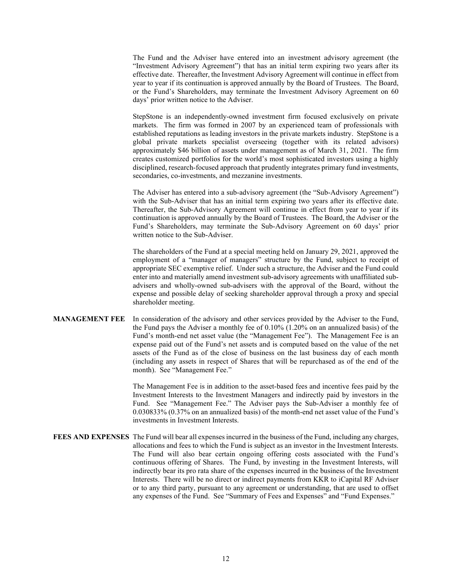The Fund and the Adviser have entered into an investment advisory agreement (the "Investment Advisory Agreement") that has an initial term expiring two years after its effective date. Thereafter, the Investment Advisory Agreement will continue in effect from year to year if its continuation is approved annually by the Board of Trustees. The Board, or the Fund's Shareholders, may terminate the Investment Advisory Agreement on 60 days' prior written notice to the Adviser.

StepStone is an independently-owned investment firm focused exclusively on private markets. The firm was formed in 2007 by an experienced team of professionals with established reputations as leading investors in the private markets industry. StepStone is a global private markets specialist overseeing (together with its related advisors) approximately \$46 billion of assets under management as of March 31, 2021. The firm creates customized portfolios for the world's most sophisticated investors using a highly disciplined, research-focused approach that prudently integrates primary fund investments, secondaries, co-investments, and mezzanine investments.

The Adviser has entered into a sub-advisory agreement (the "Sub-Advisory Agreement") with the Sub-Adviser that has an initial term expiring two years after its effective date. Thereafter, the Sub-Advisory Agreement will continue in effect from year to year if its continuation is approved annually by the Board of Trustees. The Board, the Adviser or the Fund's Shareholders, may terminate the Sub-Advisory Agreement on 60 days' prior written notice to the Sub-Adviser.

The shareholders of the Fund at a special meeting held on January 29, 2021, approved the employment of a "manager of managers" structure by the Fund, subject to receipt of appropriate SEC exemptive relief. Under such a structure, the Adviser and the Fund could enter into and materially amend investment sub-advisory agreements with unaffiliated subadvisers and wholly-owned sub-advisers with the approval of the Board, without the expense and possible delay of seeking shareholder approval through a proxy and special shareholder meeting.

# **MANAGEMENT FEE** In consideration of the advisory and other services provided by the Adviser to the Fund, the Fund pays the Adviser a monthly fee of 0.10% (1.20% on an annualized basis) of the Fund's month-end net asset value (the "Management Fee"). The Management Fee is an expense paid out of the Fund's net assets and is computed based on the value of the net assets of the Fund as of the close of business on the last business day of each month (including any assets in respect of Shares that will be repurchased as of the end of the month). See "Management Fee."

The Management Fee is in addition to the asset-based fees and incentive fees paid by the Investment Interests to the Investment Managers and indirectly paid by investors in the Fund. See "Management Fee." The Adviser pays the Sub-Adviser a monthly fee of 0.030833% (0.37% on an annualized basis) of the month-end net asset value of the Fund's investments in Investment Interests.

**FEES AND EXPENSES** The Fund will bear all expenses incurred in the business of the Fund, including any charges, allocations and fees to which the Fund is subject as an investor in the Investment Interests. The Fund will also bear certain ongoing offering costs associated with the Fund's continuous offering of Shares. The Fund, by investing in the Investment Interests, will indirectly bear its pro rata share of the expenses incurred in the business of the Investment Interests. There will be no direct or indirect payments from KKR to iCapital RF Adviser or to any third party, pursuant to any agreement or understanding, that are used to offset any expenses of the Fund. See "Summary of Fees and Expenses" and "Fund Expenses."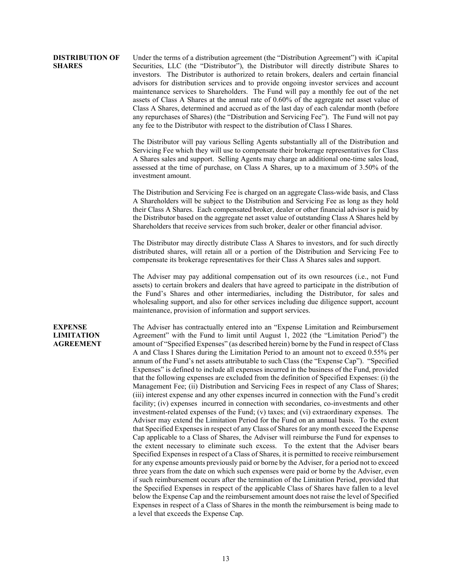#### **DISTRIBUTION OF SHARES** Under the terms of a distribution agreement (the "Distribution Agreement") with iCapital Securities, LLC (the "Distributor"), the Distributor will directly distribute Shares to investors. The Distributor is authorized to retain brokers, dealers and certain financial advisors for distribution services and to provide ongoing investor services and account maintenance services to Shareholders. The Fund will pay a monthly fee out of the net assets of Class A Shares at the annual rate of 0.60% of the aggregate net asset value of Class A Shares, determined and accrued as of the last day of each calendar month (before any repurchases of Shares) (the "Distribution and Servicing Fee"). The Fund will not pay any fee to the Distributor with respect to the distribution of Class I Shares.

The Distributor will pay various Selling Agents substantially all of the Distribution and Servicing Fee which they will use to compensate their brokerage representatives for Class A Shares sales and support. Selling Agents may charge an additional one-time sales load, assessed at the time of purchase, on Class A Shares, up to a maximum of 3.50% of the investment amount.

The Distribution and Servicing Fee is charged on an aggregate Class-wide basis, and Class A Shareholders will be subject to the Distribution and Servicing Fee as long as they hold their Class A Shares. Each compensated broker, dealer or other financial advisor is paid by the Distributor based on the aggregate net asset value of outstanding Class A Shares held by Shareholders that receive services from such broker, dealer or other financial advisor.

The Distributor may directly distribute Class A Shares to investors, and for such directly distributed shares, will retain all or a portion of the Distribution and Servicing Fee to compensate its brokerage representatives for their Class A Shares sales and support.

The Adviser may pay additional compensation out of its own resources (i.e., not Fund assets) to certain brokers and dealers that have agreed to participate in the distribution of the Fund's Shares and other intermediaries, including the Distributor, for sales and wholesaling support, and also for other services including due diligence support, account maintenance, provision of information and support services.

#### **EXPENSE LIMITATION AGREEMENT**

The Adviser has contractually entered into an "Expense Limitation and Reimbursement Agreement" with the Fund to limit until August 1, 2022 (the "Limitation Period") the amount of "Specified Expenses" (as described herein) borne by the Fund in respect of Class A and Class I Shares during the Limitation Period to an amount not to exceed 0.55% per annum of the Fund's net assets attributable to such Class (the "Expense Cap"). "Specified Expenses" is defined to include all expenses incurred in the business of the Fund, provided that the following expenses are excluded from the definition of Specified Expenses: (i) the Management Fee; (ii) Distribution and Servicing Fees in respect of any Class of Shares; (iii) interest expense and any other expenses incurred in connection with the Fund's credit facility; (iv) expenses incurred in connection with secondaries, co-investments and other investment-related expenses of the Fund; (v) taxes; and (vi) extraordinary expenses. The Adviser may extend the Limitation Period for the Fund on an annual basis. To the extent that Specified Expenses in respect of any Class of Shares for any month exceed the Expense Cap applicable to a Class of Shares, the Adviser will reimburse the Fund for expenses to the extent necessary to eliminate such excess. To the extent that the Adviser bears Specified Expenses in respect of a Class of Shares, it is permitted to receive reimbursement for any expense amounts previously paid or borne by the Adviser, for a period not to exceed three years from the date on which such expenses were paid or borne by the Adviser, even if such reimbursement occurs after the termination of the Limitation Period, provided that the Specified Expenses in respect of the applicable Class of Shares have fallen to a level below the Expense Cap and the reimbursement amount does not raise the level of Specified Expenses in respect of a Class of Shares in the month the reimbursement is being made to a level that exceeds the Expense Cap.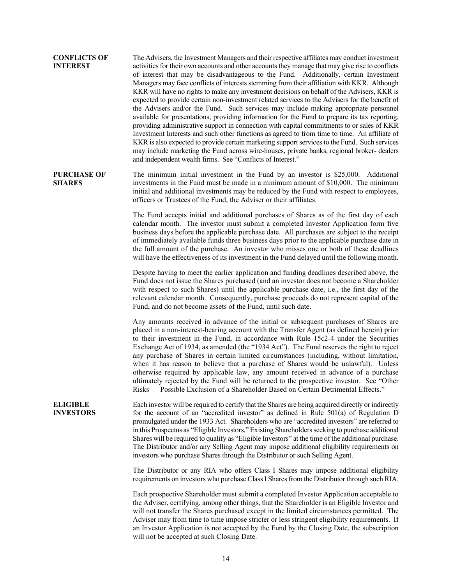# **CONFLICTS OF INTEREST** The Advisers, the Investment Managers and their respective affiliates may conduct investment activities for their own accounts and other accounts they manage that may give rise to conflicts of interest that may be disadvantageous to the Fund. Additionally, certain Investment Managers may face conflicts of interests stemming from their affiliation with KKR. Although KKR will have no rights to make any investment decisions on behalf of the Advisers, KKR is expected to provide certain non-investment related services to the Advisers for the benefit of the Advisers and/or the Fund. Such services may include making appropriate personnel available for presentations, providing information for the Fund to prepare its tax reporting, providing administrative support in connection with capital commitments to or sales of KKR Investment Interests and such other functions as agreed to from time to time. An affiliate of KKR is also expected to provide certain marketing support services to the Fund. Such services may include marketing the Fund across wire-houses, private banks, regional broker- dealers and independent wealth firms. See "Conflicts of Interest." **PURCHASE OF SHARES** The minimum initial investment in the Fund by an investor is \$25,000. Additional investments in the Fund must be made in a minimum amount of \$10,000. The minimum initial and additional investments may be reduced by the Fund with respect to employees, officers or Trustees of the Fund, the Adviser or their affiliates. The Fund accepts initial and additional purchases of Shares as of the first day of each calendar month. The investor must submit a completed Investor Application form five business days before the applicable purchase date. All purchases are subject to the receipt of immediately available funds three business days prior to the applicable purchase date in the full amount of the purchase. An investor who misses one or both of these deadlines will have the effectiveness of its investment in the Fund delayed until the following month. Despite having to meet the earlier application and funding deadlines described above, the Fund does not issue the Shares purchased (and an investor does not become a Shareholder with respect to such Shares) until the applicable purchase date, i.e., the first day of the relevant calendar month. Consequently, purchase proceeds do not represent capital of the Fund, and do not become assets of the Fund, until such date. Any amounts received in advance of the initial or subsequent purchases of Shares are placed in a non-interest-bearing account with the Transfer Agent (as defined herein) prior to their investment in the Fund, in accordance with Rule 15c2-4 under the Securities Exchange Act of 1934, as amended (the "1934 Act"). The Fund reserves the right to reject any purchase of Shares in certain limited circumstances (including, without limitation, when it has reason to believe that a purchase of Shares would be unlawful). Unless otherwise required by applicable law, any amount received in advance of a purchase ultimately rejected by the Fund will be returned to the prospective investor. See "Other Risks — Possible Exclusion of a Shareholder Based on Certain Detrimental Effects." **ELIGIBLE INVESTORS**  Each investor will be required to certify that the Shares are being acquired directly or indirectly for the account of an "accredited investor" as defined in Rule 501(a) of Regulation D promulgated under the 1933 Act. Shareholders who are "accredited investors" are referred to in this Prospectus as "Eligible Investors." Existing Shareholders seeking to purchase additional Shares will be required to qualify as "Eligible Investors" at the time of the additional purchase. The Distributor and/or any Selling Agent may impose additional eligibility requirements on investors who purchase Shares through the Distributor or such Selling Agent. The Distributor or any RIA who offers Class I Shares may impose additional eligibility requirements on investors who purchase Class I Shares from the Distributor through such RIA. Each prospective Shareholder must submit a completed Investor Application acceptable to the Adviser, certifying, among other things, that the Shareholder is an Eligible Investor and will not transfer the Shares purchased except in the limited circumstances permitted. The Adviser may from time to time impose stricter or less stringent eligibility requirements. If an Investor Application is not accepted by the Fund by the Closing Date, the subscription will not be accepted at such Closing Date.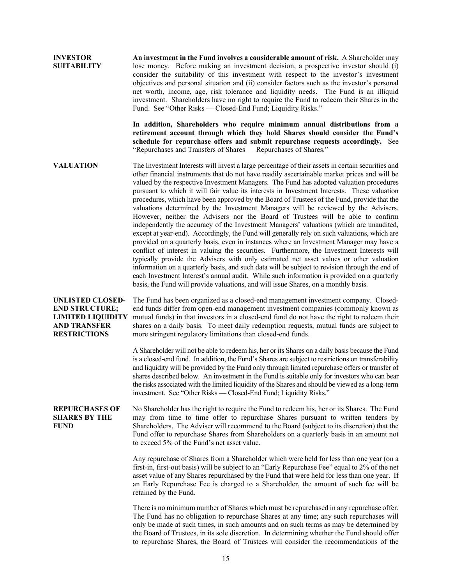**INVESTOR SUITABILITY An investment in the Fund involves a considerable amount of risk.** A Shareholder may lose money. Before making an investment decision, a prospective investor should (i) consider the suitability of this investment with respect to the investor's investment objectives and personal situation and (ii) consider factors such as the investor's personal net worth, income, age, risk tolerance and liquidity needs. The Fund is an illiquid investment. Shareholders have no right to require the Fund to redeem their Shares in the Fund. See "Other Risks — Closed-End Fund; Liquidity Risks." **In addition, Shareholders who require minimum annual distributions from a retirement account through which they hold Shares should consider the Fund's schedule for repurchase offers and submit repurchase requests accordingly.** See "Repurchases and Transfers of Shares — Repurchases of Shares." **VALUATION** The Investment Interests will invest a large percentage of their assets in certain securities and other financial instruments that do not have readily ascertainable market prices and will be valued by the respective Investment Managers. The Fund has adopted valuation procedures pursuant to which it will fair value its interests in Investment Interests. These valuation procedures, which have been approved by the Board of Trustees of the Fund, provide that the valuations determined by the Investment Managers will be reviewed by the Advisers. However, neither the Advisers nor the Board of Trustees will be able to confirm independently the accuracy of the Investment Managers' valuations (which are unaudited, except at year-end). Accordingly, the Fund will generally rely on such valuations, which are provided on a quarterly basis, even in instances where an Investment Manager may have a conflict of interest in valuing the securities. Furthermore, the Investment Interests will typically provide the Advisers with only estimated net asset values or other valuation information on a quarterly basis, and such data will be subject to revision through the end of each Investment Interest's annual audit. While such information is provided on a quarterly basis, the Fund will provide valuations, and will issue Shares, on a monthly basis. **UNLISTED CLOSED-END STRUCTURE; LIMITED LIQUIDITY AND TRANSFER RESTRICTIONS** The Fund has been organized as a closed-end management investment company. Closedend funds differ from open-end management investment companies (commonly known as mutual funds) in that investors in a closed-end fund do not have the right to redeem their shares on a daily basis. To meet daily redemption requests, mutual funds are subject to more stringent regulatory limitations than closed-end funds. A Shareholder will not be able to redeem his, her or its Shares on a daily basis because the Fund is a closed-end fund. In addition, the Fund's Shares are subject to restrictions on transferability and liquidity will be provided by the Fund only through limited repurchase offers or transfer of shares described below. An investment in the Fund is suitable only for investors who can bear the risks associated with the limited liquidity of the Shares and should be viewed as a long-term investment. See "Other Risks — Closed-End Fund; Liquidity Risks." **REPURCHASES OF SHARES BY THE FUND** No Shareholder has the right to require the Fund to redeem his, her or its Shares. The Fund may from time to time offer to repurchase Shares pursuant to written tenders by Shareholders. The Adviser will recommend to the Board (subject to its discretion) that the Fund offer to repurchase Shares from Shareholders on a quarterly basis in an amount not to exceed 5% of the Fund's net asset value. Any repurchase of Shares from a Shareholder which were held for less than one year (on a first-in, first-out basis) will be subject to an "Early Repurchase Fee" equal to 2% of the net asset value of any Shares repurchased by the Fund that were held for less than one year. If an Early Repurchase Fee is charged to a Shareholder, the amount of such fee will be retained by the Fund. There is no minimum number of Shares which must be repurchased in any repurchase offer. The Fund has no obligation to repurchase Shares at any time; any such repurchases will only be made at such times, in such amounts and on such terms as may be determined by the Board of Trustees, in its sole discretion. In determining whether the Fund should offer to repurchase Shares, the Board of Trustees will consider the recommendations of the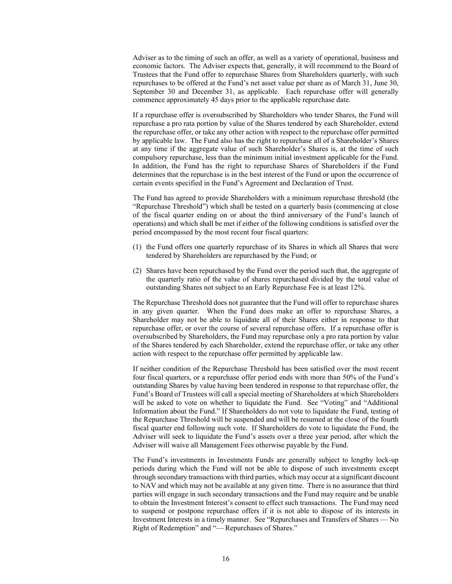Adviser as to the timing of such an offer, as well as a variety of operational, business and economic factors. The Adviser expects that, generally, it will recommend to the Board of Trustees that the Fund offer to repurchase Shares from Shareholders quarterly, with such repurchases to be offered at the Fund's net asset value per share as of March 31, June 30, September 30 and December 31, as applicable. Each repurchase offer will generally commence approximately 45 days prior to the applicable repurchase date.

If a repurchase offer is oversubscribed by Shareholders who tender Shares, the Fund will repurchase a pro rata portion by value of the Shares tendered by each Shareholder, extend the repurchase offer, or take any other action with respect to the repurchase offer permitted by applicable law. The Fund also has the right to repurchase all of a Shareholder's Shares at any time if the aggregate value of such Shareholder's Shares is, at the time of such compulsory repurchase, less than the minimum initial investment applicable for the Fund. In addition, the Fund has the right to repurchase Shares of Shareholders if the Fund determines that the repurchase is in the best interest of the Fund or upon the occurrence of certain events specified in the Fund's Agreement and Declaration of Trust.

The Fund has agreed to provide Shareholders with a minimum repurchase threshold (the "Repurchase Threshold") which shall be tested on a quarterly basis (commencing at close of the fiscal quarter ending on or about the third anniversary of the Fund's launch of operations) and which shall be met if either of the following conditions is satisfied over the period encompassed by the most recent four fiscal quarters:

- (1) the Fund offers one quarterly repurchase of its Shares in which all Shares that were tendered by Shareholders are repurchased by the Fund; or
- (2) Shares have been repurchased by the Fund over the period such that, the aggregate of the quarterly ratio of the value of shares repurchased divided by the total value of outstanding Shares not subject to an Early Repurchase Fee is at least 12%.

The Repurchase Threshold does not guarantee that the Fund will offer to repurchase shares in any given quarter. When the Fund does make an offer to repurchase Shares, a Shareholder may not be able to liquidate all of their Shares either in response to that repurchase offer, or over the course of several repurchase offers. If a repurchase offer is oversubscribed by Shareholders, the Fund may repurchase only a pro rata portion by value of the Shares tendered by each Shareholder, extend the repurchase offer, or take any other action with respect to the repurchase offer permitted by applicable law.

If neither condition of the Repurchase Threshold has been satisfied over the most recent four fiscal quarters, or a repurchase offer period ends with more than 50% of the Fund's outstanding Shares by value having been tendered in response to that repurchase offer, the Fund's Board of Trustees will call a special meeting of Shareholders at which Shareholders will be asked to vote on whether to liquidate the Fund. See "Voting" and "Additional Information about the Fund." If Shareholders do not vote to liquidate the Fund, testing of the Repurchase Threshold will be suspended and will be resumed at the close of the fourth fiscal quarter end following such vote. If Shareholders do vote to liquidate the Fund, the Adviser will seek to liquidate the Fund's assets over a three year period, after which the Adviser will waive all Management Fees otherwise payable by the Fund.

The Fund's investments in Investments Funds are generally subject to lengthy lock-up periods during which the Fund will not be able to dispose of such investments except through secondary transactions with third parties, which may occur at a significant discount to NAV and which may not be available at any given time. There is no assurance that third parties will engage in such secondary transactions and the Fund may require and be unable to obtain the Investment Interest's consent to effect such transactions. The Fund may need to suspend or postpone repurchase offers if it is not able to dispose of its interests in Investment Interests in a timely manner. See "Repurchases and Transfers of Shares — No Right of Redemption" and "— Repurchases of Shares."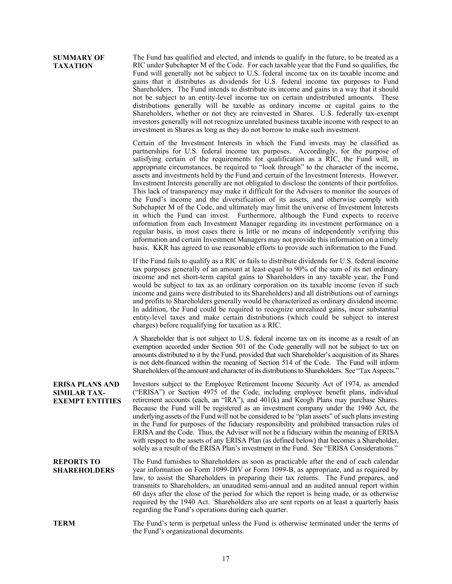<span id="page-24-0"></span>

| <b>SUMMARY OF</b><br><b>TAXATION</b>                                    | The Fund has qualified and elected, and intends to qualify in the future, to be treated as a<br>RIC under Subchapter M of the Code. For each taxable year that the Fund so qualifies, the<br>Fund will generally not be subject to U.S. federal income tax on its taxable income and<br>gains that it distributes as dividends for U.S. federal income tax purposes to Fund<br>Shareholders. The Fund intends to distribute its income and gains in a way that it should<br>not be subject to an entity-level income tax on certain undistributed amounts. These<br>distributions generally will be taxable as ordinary income or capital gains to the<br>Shareholders, whether or not they are reinvested in Shares. U.S. federally tax-exempt<br>investors generally will not recognize unrelated business taxable income with respect to an<br>investment in Shares as long as they do not borrow to make such investment.                                                                                                                                                                                                                                                                                                                                                                           |
|-------------------------------------------------------------------------|---------------------------------------------------------------------------------------------------------------------------------------------------------------------------------------------------------------------------------------------------------------------------------------------------------------------------------------------------------------------------------------------------------------------------------------------------------------------------------------------------------------------------------------------------------------------------------------------------------------------------------------------------------------------------------------------------------------------------------------------------------------------------------------------------------------------------------------------------------------------------------------------------------------------------------------------------------------------------------------------------------------------------------------------------------------------------------------------------------------------------------------------------------------------------------------------------------------------------------------------------------------------------------------------------------|
|                                                                         | Certain of the Investment Interests in which the Fund invests may be classified as<br>partnerships for U.S. federal income tax purposes. Accordingly, for the purpose of<br>satisfying certain of the requirements for qualification as a RIC, the Fund will, in<br>appropriate circumstances, be required to "look through" to the character of the income,<br>assets and investments held by the Fund and certain of the Investment Interests. However,<br>Investment Interests generally are not obligated to disclose the contents of their portfolios.<br>This lack of transparency may make it difficult for the Advisers to monitor the sources of<br>the Fund's income and the diversification of its assets, and otherwise comply with<br>Subchapter M of the Code, and ultimately may limit the universe of Investment Interests<br>in which the Fund can invest. Furthermore, although the Fund expects to receive<br>information from each Investment Manager regarding its investment performance on a<br>regular basis, in most cases there is little or no means of independently verifying this<br>information and certain Investment Managers may not provide this information on a timely<br>basis. KKR has agreed to use reasonable efforts to provide such information to the Fund. |
|                                                                         | If the Fund fails to qualify as a RIC or fails to distribute dividends for U.S. federal income<br>tax purposes generally of an amount at least equal to 90% of the sum of its net ordinary<br>income and net short-term capital gains to Shareholders in any taxable year, the Fund<br>would be subject to tax as an ordinary corporation on its taxable income (even if such<br>income and gains were distributed to its Shareholders) and all distributions out of earnings<br>and profits to Shareholders generally would be characterized as ordinary dividend income.<br>In addition, the Fund could be required to recognize unrealized gains, incur substantial<br>entity-level taxes and make certain distributions (which could be subject to interest<br>charges) before requalifying for taxation as a RIC.                                                                                                                                                                                                                                                                                                                                                                                                                                                                                  |
|                                                                         | A Shareholder that is not subject to U.S. federal income tax on its income as a result of an<br>exemption accorded under Section 501 of the Code generally will not be subject to tax on<br>amounts distributed to it by the Fund, provided that such Shareholder's acquisition of its Shares<br>is not debt-financed within the meaning of Section 514 of the Code. The Fund will inform<br>Shareholders of the amount and character of its distributions to Shareholders. See "Tax Aspects."                                                                                                                                                                                                                                                                                                                                                                                                                                                                                                                                                                                                                                                                                                                                                                                                          |
| <b>ERISA PLANS AND</b><br><b>SIMILAR TAX-</b><br><b>EXEMPT ENTITIES</b> | Investors subject to the Employee Retirement Income Security Act of 1974, as amended<br>("ERISA") or Section 4975 of the Code, including employee benefit plans, individual<br>retirement accounts (each, an "IRA"), and 401(k) and Keogh Plans may purchase Shares.<br>Because the Fund will be registered as an investment company under the 1940 Act, the<br>underlying assets of the Fund will not be considered to be "plan assets" of such plans investing<br>in the Fund for purposes of the fiduciary responsibility and prohibited transaction rules of<br>ERISA and the Code. Thus, the Adviser will not be a fiduciary within the meaning of ERISA<br>with respect to the assets of any ERISA Plan (as defined below) that becomes a Shareholder,<br>solely as a result of the ERISA Plan's investment in the Fund. See "ERISA Considerations."                                                                                                                                                                                                                                                                                                                                                                                                                                              |
| <b>REPORTS TO</b><br><b>SHAREHOLDERS</b>                                | The Fund furnishes to Shareholders as soon as practicable after the end of each calendar<br>year information on Form 1099-DIV or Form 1099-B, as appropriate, and as required by<br>law, to assist the Shareholders in preparing their tax returns. The Fund prepares, and<br>transmits to Shareholders, an unaudited semi-annual and an audited annual report within<br>60 days after the close of the period for which the report is being made, or as otherwise<br>required by the 1940 Act. Shareholders also are sent reports on at least a quarterly basis<br>regarding the Fund's operations during each quarter.                                                                                                                                                                                                                                                                                                                                                                                                                                                                                                                                                                                                                                                                                |
| <b>TERM</b>                                                             | The Fund's term is perpetual unless the Fund is otherwise terminated under the terms of<br>the Fund's organizational documents.                                                                                                                                                                                                                                                                                                                                                                                                                                                                                                                                                                                                                                                                                                                                                                                                                                                                                                                                                                                                                                                                                                                                                                         |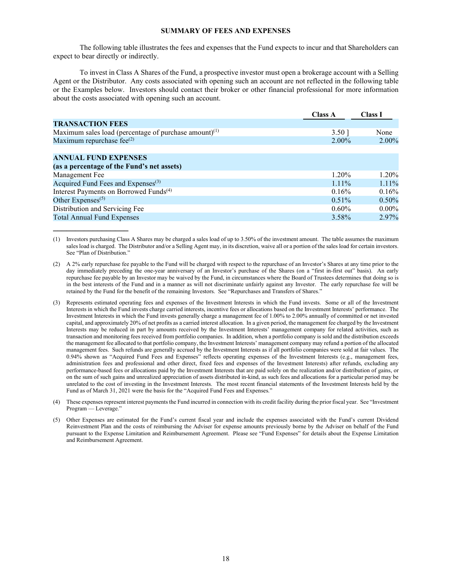#### **SUMMARY OF FEES AND EXPENSES**

The following table illustrates the fees and expenses that the Fund expects to incur and that Shareholders can expect to bear directly or indirectly.

To invest in Class A Shares of the Fund, a prospective investor must open a brokerage account with a Selling Agent or the Distributor. Any costs associated with opening such an account are not reflected in the following table or the Examples below. Investors should contact their broker or other financial professional for more information about the costs associated with opening such an account.

|                                                          | <b>Class A</b> | <b>Class I</b> |
|----------------------------------------------------------|----------------|----------------|
| <b>TRANSACTION FEES</b>                                  |                |                |
| Maximum sales load (percentage of purchase amount) $(1)$ | $3.50$ ]       | None           |
| Maximum repurchase fee $^{(2)}$                          | 2.00%          | 2.00%          |
|                                                          |                |                |
| <b>ANNUAL FUND EXPENSES</b>                              |                |                |
| (as a percentage of the Fund's net assets)               |                |                |
| Management Fee                                           | $1.20\%$       | 1.20%          |
| Acquired Fund Fees and Expenses <sup>(3)</sup>           | $1.11\%$       | 1.11%          |
| Interest Payments on Borrowed Funds <sup>(4)</sup>       | 0.16%          | 0.16%          |
| Other Expenses $(5)$                                     | $0.51\%$       | 0.50%          |
| Distribution and Servicing Fee                           | $0.60\%$       | $0.00\%$       |
| <b>Total Annual Fund Expenses</b>                        | 3.58%          | 2.97%          |

(1) Investors purchasing Class A Shares may be charged a sales load of up to 3.50% of the investment amount. The table assumes the maximum sales load is charged. The Distributor and/or a Selling Agent may, in its discretion, waive all or a portion of the sales load for certain investors. See "Plan of Distribution."

**\_\_\_\_\_\_\_\_\_\_\_\_\_\_\_\_\_**

- (2) A 2% early repurchase fee payable to the Fund will be charged with respect to the repurchase of an Investor's Shares at any time prior to the day immediately preceding the one-year anniversary of an Investor's purchase of the Shares (on a "first in-first out" basis). An early repurchase fee payable by an Investor may be waived by the Fund, in circumstances where the Board of Trustees determines that doing so is in the best interests of the Fund and in a manner as will not discriminate unfairly against any Investor. The early repurchase fee will be retained by the Fund for the benefit of the remaining Investors. See "Repurchases and Transfers of Shares."
- (3) Represents estimated operating fees and expenses of the Investment Interests in which the Fund invests. Some or all of the Investment Interests in which the Fund invests charge carried interests, incentive fees or allocations based on the Investment Interests' performance. The Investment Interests in which the Fund invests generally charge a management fee of 1.00% to 2.00% annually of committed or net invested capital, and approximately 20% of net profits as a carried interest allocation. In a given period, the management fee charged by the Investment Interests may be reduced in part by amounts received by the Investment Interests' management company for related activities, such as transaction and monitoring fees received from portfolio companies. In addition, when a portfolio company is sold and the distribution exceeds the management fee allocated to that portfolio company, the Investment Interests' management company may refund a portion of the allocated management fees. Such refunds are generally accrued by the Investment Interests as if all portfolio companies were sold at fair values. The 0.94% shown as "Acquired Fund Fees and Expenses" reflects operating expenses of the Investment Interests (e.g., management fees, administration fees and professional and other direct, fixed fees and expenses of the Investment Interests) after refunds, excluding any performance-based fees or allocations paid by the Investment Interests that are paid solely on the realization and/or distribution of gains, or on the sum of such gains and unrealized appreciation of assets distributed in-kind, as such fees and allocations for a particular period may be unrelated to the cost of investing in the Investment Interests. The most recent financial statements of the Investment Interests held by the Fund as of March 31, 2021 were the basis for the "Acquired Fund Fees and Expenses."
- (4) These expenses represent interest payments the Fund incurred in connection with its credit facility during the prior fiscal year. See "Investment Program — Leverage."
- (5) Other Expenses are estimated for the Fund's current fiscal year and include the expenses associated with the Fund's current Dividend Reinvestment Plan and the costs of reimbursing the Adviser for expense amounts previously borne by the Adviser on behalf of the Fund pursuant to the Expense Limitation and Reimbursement Agreement. Please see "Fund Expenses" for details about the Expense Limitation and Reimbursement Agreement.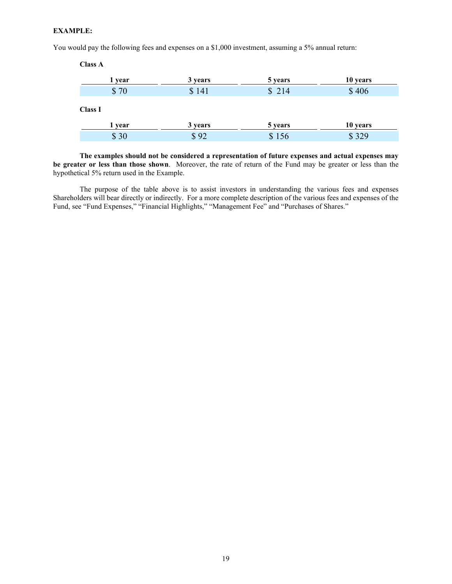# **EXAMPLE:**

You would pay the following fees and expenses on a \$1,000 investment, assuming a 5% annual return:

| <b>Class A</b> |         |         |          |
|----------------|---------|---------|----------|
| 1 year         | 3 years | 5 years | 10 years |
| \$70           | \$141   | \$214   | \$406    |
| <b>Class I</b> |         |         |          |
| 1 year         | 3 years | 5 years | 10 years |
| \$30           | \$92    | \$156   | \$329    |

**The examples should not be considered a representation of future expenses and actual expenses may be greater or less than those shown**. Moreover, the rate of return of the Fund may be greater or less than the hypothetical 5% return used in the Example.

<span id="page-26-0"></span>The purpose of the table above is to assist investors in understanding the various fees and expenses Shareholders will bear directly or indirectly. For a more complete description of the various fees and expenses of the Fund, see "Fund Expenses," "Financial Highlights," "Management Fee" and "Purchases of Shares."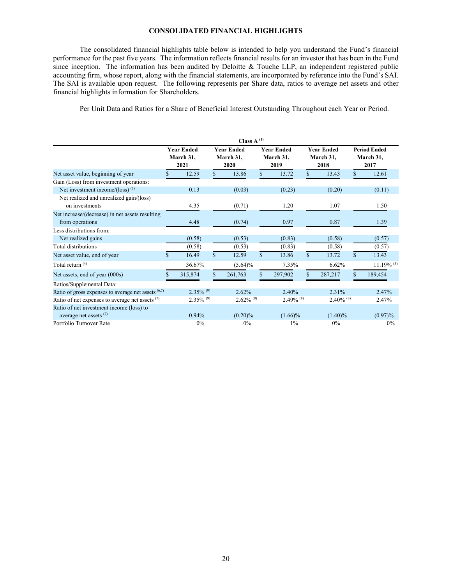#### **CONSOLIDATED FINANCIAL HIGHLIGHTS**

The consolidated financial highlights table below is intended to help you understand the Fund's financial performance for the past five years. The information reflects financial results for an investor that has been in the Fund since inception. The information has been audited by Deloitte & Touche LLP, an independent registered public accounting firm, whose report, along with the financial statements, are incorporated by reference into the Fund's SAI. The SAI is available upon request. The following represents per Share data, ratios to average net assets and other financial highlights information for Shareholders.

Per Unit Data and Ratios for a Share of Beneficial Interest Outstanding Throughout each Year or Period.

|                                                           | Class $A^{(1)}$                        |                         |                                        |                         |                                        |                         |                                        |                         |    |                                          |
|-----------------------------------------------------------|----------------------------------------|-------------------------|----------------------------------------|-------------------------|----------------------------------------|-------------------------|----------------------------------------|-------------------------|----|------------------------------------------|
|                                                           | <b>Year Ended</b><br>March 31,<br>2021 |                         | <b>Year Ended</b><br>March 31,<br>2020 |                         | <b>Year Ended</b><br>March 31,<br>2019 |                         | <b>Year Ended</b><br>March 31,<br>2018 |                         |    | <b>Period Ended</b><br>March 31,<br>2017 |
| Net asset value, beginning of year                        | \$                                     | 12.59                   | $\mathcal{S}$                          | 13.86                   | $\mathcal{S}$                          | 13.72                   | \$.                                    | 13.43                   | \$ | 12.61                                    |
| Gain (Loss) from investment operations:                   |                                        |                         |                                        |                         |                                        |                         |                                        |                         |    |                                          |
| Net investment income/(loss) <sup>(3)</sup>               |                                        | 0.13                    |                                        | (0.03)                  |                                        | (0.23)                  |                                        | (0.20)                  |    | (0.11)                                   |
| Net realized and unrealized gain/(loss)<br>on investments |                                        | 4.35                    |                                        | (0.71)                  |                                        | 1.20                    |                                        | 1.07                    |    | 1.50                                     |
| Net increase/(decrease) in net assets resulting           |                                        |                         |                                        |                         |                                        |                         |                                        |                         |    |                                          |
| from operations                                           |                                        | 4.48                    |                                        | (0.74)                  |                                        | 0.97                    |                                        | 0.87                    |    | 1.39                                     |
| Less distributions from:                                  |                                        |                         |                                        |                         |                                        |                         |                                        |                         |    |                                          |
| Net realized gains                                        |                                        | (0.58)                  |                                        | (0.53)                  |                                        | (0.83)                  |                                        | (0.58)                  |    | (0.57)                                   |
| Total distributions                                       |                                        | (0.58)                  |                                        | (0.53)                  |                                        | (0.83)                  |                                        | (0.58)                  |    | (0.57)                                   |
| Net asset value, end of year                              |                                        | 16.49                   | $\mathbf{\hat{x}}$                     | 12.59                   | \$                                     | 13.86                   | \$                                     | 13.72                   | \$ | 13.43                                    |
| Total return <sup>(4)</sup>                               |                                        | 36.67%                  |                                        | $(5.64)\%$              |                                        | 7.35%                   |                                        | 6.62%                   |    | $11.19\%$ <sup>(5)</sup>                 |
| Net assets, end of year (000s)                            |                                        | 315,874                 |                                        | 261,763                 |                                        | 297,902                 |                                        | 287,217                 |    | 189,454                                  |
| Ratios/Supplemental Data:                                 |                                        |                         |                                        |                         |                                        |                         |                                        |                         |    |                                          |
| Ratio of gross expenses to average net assets $(6,7)$     |                                        | $2.35\%$ <sup>(9)</sup> |                                        | 2.62%                   |                                        | 2.40%                   |                                        | 2.31%                   |    | 2.47%                                    |
| Ratio of net expenses to average net assets $(7)$         |                                        | $2.35\%$ <sup>(9)</sup> |                                        | $2.62\%$ <sup>(8)</sup> |                                        | $2.49\%$ <sup>(8)</sup> |                                        | $2.40\%$ <sup>(8)</sup> |    | 2.47%                                    |
| Ratio of net investment income (loss) to                  |                                        |                         |                                        |                         |                                        |                         |                                        |                         |    |                                          |
| average net assets <sup>(7)</sup>                         |                                        | 0.94%                   |                                        | $(0.20)\%$              |                                        | $(1.66)\%$              |                                        | $(1.40)\%$              |    | $(0.97)\%$                               |
| Portfolio Turnover Rate                                   |                                        | $0\%$                   |                                        | 0%                      |                                        | $1\%$                   |                                        | $0\%$                   |    | 0%                                       |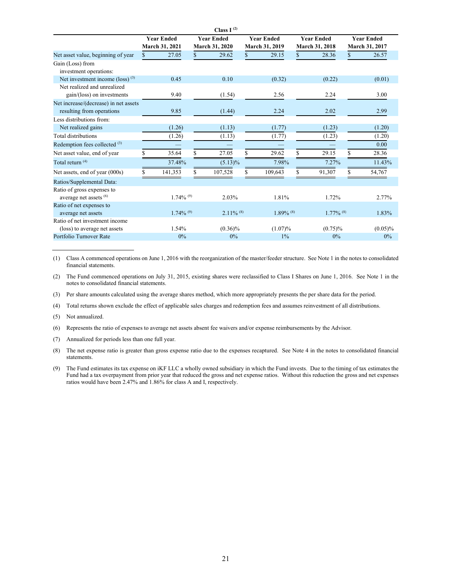|                                             |                                        |                         |              | Class $I^{(2)}$         |                   |                         |     |                         |    |                   |
|---------------------------------------------|----------------------------------------|-------------------------|--------------|-------------------------|-------------------|-------------------------|-----|-------------------------|----|-------------------|
|                                             | <b>Year Ended</b><br><b>Year Ended</b> |                         |              |                         | <b>Year Ended</b> |                         |     | <b>Year Ended</b>       |    | <b>Year Ended</b> |
|                                             |                                        | March 31, 2021          |              | <b>March 31, 2020</b>   |                   | March 31, 2019          |     | March 31, 2018          |    | March 31, 2017    |
| Net asset value, beginning of year          |                                        | 27.05                   | $\mathbb{S}$ | 29.62                   | $\mathbb{S}$      | 29.15                   | \$. | 28.36                   | \$ | 26.57             |
| Gain (Loss) from                            |                                        |                         |              |                         |                   |                         |     |                         |    |                   |
| investment operations:                      |                                        |                         |              |                         |                   |                         |     |                         |    |                   |
| Net investment income (loss) <sup>(3)</sup> |                                        | 0.45                    |              | 0.10                    |                   | (0.32)                  |     | (0.22)                  |    | (0.01)            |
| Net realized and unrealized                 |                                        |                         |              |                         |                   |                         |     |                         |    |                   |
| gain/(loss) on investments                  |                                        | 9.40                    |              | (1.54)                  |                   | 2.56                    |     | 2.24                    |    | 3.00              |
| Net increase/(decrease) in net assets       |                                        |                         |              |                         |                   |                         |     |                         |    |                   |
| resulting from operations                   |                                        | 9.85                    |              | (1.44)                  |                   | 2.24                    |     | 2.02                    |    | 2.99              |
| Less distributions from:                    |                                        |                         |              |                         |                   |                         |     |                         |    |                   |
| Net realized gains                          |                                        | (1.26)                  |              | (1.13)                  |                   | (1.77)                  |     | (1.23)                  |    | (1.20)            |
| Total distributions                         |                                        | (1.26)                  |              | (1.13)                  |                   | (1.77)                  |     | (1.23)                  |    | (1.20)            |
| Redemption fees collected <sup>(3)</sup>    |                                        |                         |              |                         |                   |                         |     |                         |    | 0.00              |
| Net asset value, end of year                |                                        | 35.64                   | \$           | 27.05                   | \$                | 29.62                   | \$  | 29.15                   | \$ | 28.36             |
| Total return <sup>(4)</sup>                 |                                        | 37.48%                  |              | $(5.13)\%$              |                   | 7.98%                   |     | 7.27%                   |    | 11.43%            |
| Net assets, end of year (000s)              |                                        | 141,353                 | S.           | 107,528                 | \$                | 109,643                 | S   | 91,307                  | S  | 54,767            |
| Ratios/Supplemental Data:                   |                                        |                         |              |                         |                   |                         |     |                         |    |                   |
| Ratio of gross expenses to                  |                                        |                         |              |                         |                   |                         |     |                         |    |                   |
| average net assets (6)                      |                                        | $1.74\%$ <sup>(9)</sup> |              | 2.03%                   |                   | 1.81%                   |     | 1.72%                   |    | 2.77%             |
| Ratio of net expenses to                    |                                        |                         |              |                         |                   |                         |     |                         |    |                   |
| average net assets                          |                                        | $1.74\%$ <sup>(9)</sup> |              | $2.11\%$ <sup>(8)</sup> |                   | $1.89\%$ <sup>(8)</sup> |     | $1.77\%$ <sup>(8)</sup> |    | 1.83%             |
| Ratio of net investment income              |                                        |                         |              |                         |                   |                         |     |                         |    |                   |
| (loss) to average net assets                |                                        | 1.54%                   |              | $(0.36)\%$              |                   | $(1.07)\%$              |     | $(0.75)\%$              |    | $(0.05)\%$        |
| Portfolio Turnover Rate                     |                                        | 0%                      |              | 0%                      |                   | 1%                      |     | 0%                      |    | 0%                |

(1) Class A commenced operations on June 1, 2016 with the reorganization of the master/feeder structure. See Note 1 in the notes to consolidated financial statements.

(2) The Fund commenced operations on July 31, 2015, existing shares were reclassified to Class I Shares on June 1, 2016. See Note 1 in the notes to consolidated financial statements.

(3) Per share amounts calculated using the average shares method, which more appropriately presents the per share data for the period.

(4) Total returns shown exclude the effect of applicable sales charges and redemption fees and assumes reinvestment of all distributions.

(5) Not annualized.

(6) Represents the ratio of expenses to average net assets absent fee waivers and/or expense reimbursements by the Advisor.

(7) Annualized for periods less than one full year.

(8) The net expense ratio is greater than gross expense ratio due to the expenses recaptured. See Note 4 in the notes to consolidated financial statements.

<span id="page-28-0"></span>(9) The Fund estimates its tax expense on iKF LLC a wholly owned subsidiary in which the Fund invests. Due to the timing of tax estimates the Fund had a tax overpayment from prior year that reduced the gross and net expense ratios. Without this reduction the gross and net expenses ratios would have been 2.47% and 1.86% for class A and I, respectively.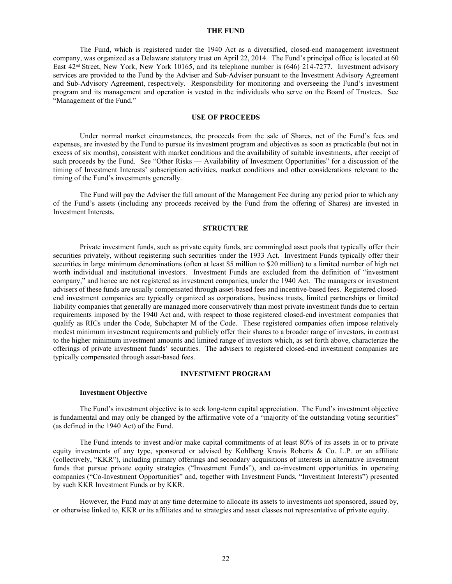#### **THE FUND**

The Fund, which is registered under the 1940 Act as a diversified, closed-end management investment company, was organized as a Delaware statutory trust on April 22, 2014. The Fund's principal office is located at 60 East 42nd Street, New York, New York 10165, and its telephone number is (646) 214-7277. Investment advisory services are provided to the Fund by the Adviser and Sub-Adviser pursuant to the Investment Advisory Agreement and Sub-Advisory Agreement, respectively. Responsibility for monitoring and overseeing the Fund's investment program and its management and operation is vested in the individuals who serve on the Board of Trustees. See "Management of the Fund."

#### **USE OF PROCEEDS**

<span id="page-29-0"></span>Under normal market circumstances, the proceeds from the sale of Shares, net of the Fund's fees and expenses, are invested by the Fund to pursue its investment program and objectives as soon as practicable (but not in excess of six months), consistent with market conditions and the availability of suitable investments, after receipt of such proceeds by the Fund. See "Other Risks — Availability of Investment Opportunities" for a discussion of the timing of Investment Interests' subscription activities, market conditions and other considerations relevant to the timing of the Fund's investments generally.

The Fund will pay the Adviser the full amount of the Management Fee during any period prior to which any of the Fund's assets (including any proceeds received by the Fund from the offering of Shares) are invested in Investment Interests.

#### **STRUCTURE**

<span id="page-29-1"></span>Private investment funds, such as private equity funds, are commingled asset pools that typically offer their securities privately, without registering such securities under the 1933 Act. Investment Funds typically offer their securities in large minimum denominations (often at least \$5 million to \$20 million) to a limited number of high net worth individual and institutional investors. Investment Funds are excluded from the definition of "investment company," and hence are not registered as investment companies, under the 1940 Act. The managers or investment advisers of these funds are usually compensated through asset-based fees and incentive-based fees. Registered closedend investment companies are typically organized as corporations, business trusts, limited partnerships or limited liability companies that generally are managed more conservatively than most private investment funds due to certain requirements imposed by the 1940 Act and, with respect to those registered closed-end investment companies that qualify as RICs under the Code, Subchapter M of the Code. These registered companies often impose relatively modest minimum investment requirements and publicly offer their shares to a broader range of investors, in contrast to the higher minimum investment amounts and limited range of investors which, as set forth above, characterize the offerings of private investment funds' securities. The advisers to registered closed-end investment companies are typically compensated through asset-based fees.

#### **INVESTMENT PROGRAM**

#### <span id="page-29-2"></span>**Investment Objective**

The Fund's investment objective is to seek long-term capital appreciation. The Fund's investment objective is fundamental and may only be changed by the affirmative vote of a "majority of the outstanding voting securities" (as defined in the 1940 Act) of the Fund.

The Fund intends to invest and/or make capital commitments of at least 80% of its assets in or to private equity investments of any type, sponsored or advised by Kohlberg Kravis Roberts & Co. L.P. or an affiliate (collectively, "KKR"), including primary offerings and secondary acquisitions of interests in alternative investment funds that pursue private equity strategies ("Investment Funds"), and co-investment opportunities in operating companies ("Co-Investment Opportunities" and, together with Investment Funds, "Investment Interests") presented by such KKR Investment Funds or by KKR.

However, the Fund may at any time determine to allocate its assets to investments not sponsored, issued by, or otherwise linked to, KKR or its affiliates and to strategies and asset classes not representative of private equity.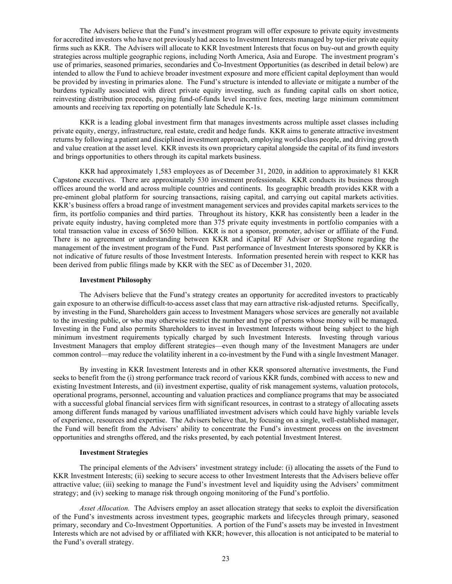The Advisers believe that the Fund's investment program will offer exposure to private equity investments for accredited investors who have not previously had access to Investment Interests managed by top-tier private equity firms such as KKR. The Advisers will allocate to KKR Investment Interests that focus on buy-out and growth equity strategies across multiple geographic regions, including North America, Asia and Europe. The investment program's use of primaries, seasoned primaries, secondaries and Co-Investment Opportunities (as described in detail below) are intended to allow the Fund to achieve broader investment exposure and more efficient capital deployment than would be provided by investing in primaries alone. The Fund's structure is intended to alleviate or mitigate a number of the burdens typically associated with direct private equity investing, such as funding capital calls on short notice, reinvesting distribution proceeds, paying fund-of-funds level incentive fees, meeting large minimum commitment amounts and receiving tax reporting on potentially late Schedule K-1s.

KKR is a leading global investment firm that manages investments across multiple asset classes including private equity, energy, infrastructure, real estate, credit and hedge funds. KKR aims to generate attractive investment returns by following a patient and disciplined investment approach, employing world-class people, and driving growth and value creation at the asset level. KKR invests its own proprietary capital alongside the capital of its fund investors and brings opportunities to others through its capital markets business.

KKR had approximately 1,583 employees as of December 31, 2020, in addition to approximately 81 KKR Capstone executives. There are approximately 530 investment professionals. KKR conducts its business through offices around the world and across multiple countries and continents. Its geographic breadth provides KKR with a pre-eminent global platform for sourcing transactions, raising capital, and carrying out capital markets activities. KKR's business offers a broad range of investment management services and provides capital markets services to the firm, its portfolio companies and third parties. Throughout its history, KKR has consistently been a leader in the private equity industry, having completed more than 375 private equity investments in portfolio companies with a total transaction value in excess of \$650 billion. KKR is not a sponsor, promoter, adviser or affiliate of the Fund. There is no agreement or understanding between KKR and iCapital RF Adviser or StepStone regarding the management of the investment program of the Fund. Past performance of Investment Interests sponsored by KKR is not indicative of future results of those Investment Interests. Information presented herein with respect to KKR has been derived from public filings made by KKR with the SEC as of December 31, 2020.

#### **Investment Philosophy**

The Advisers believe that the Fund's strategy creates an opportunity for accredited investors to practicably gain exposure to an otherwise difficult-to-access asset class that may earn attractive risk-adjusted returns. Specifically, by investing in the Fund, Shareholders gain access to Investment Managers whose services are generally not available to the investing public, or who may otherwise restrict the number and type of persons whose money will be managed. Investing in the Fund also permits Shareholders to invest in Investment Interests without being subject to the high minimum investment requirements typically charged by such Investment Interests. Investing through various Investment Managers that employ different strategies—even though many of the Investment Managers are under common control—may reduce the volatility inherent in a co-investment by the Fund with a single Investment Manager.

By investing in KKR Investment Interests and in other KKR sponsored alternative investments, the Fund seeks to benefit from the (i) strong performance track record of various KKR funds, combined with access to new and existing Investment Interests, and (ii) investment expertise, quality of risk management systems, valuation protocols, operational programs, personnel, accounting and valuation practices and compliance programs that may be associated with a successful global financial services firm with significant resources, in contrast to a strategy of allocating assets among different funds managed by various unaffiliated investment advisers which could have highly variable levels of experience, resources and expertise. The Advisers believe that, by focusing on a single, well-established manager, the Fund will benefit from the Advisers' ability to concentrate the Fund's investment process on the investment opportunities and strengths offered, and the risks presented, by each potential Investment Interest.

# **Investment Strategies**

The principal elements of the Advisers' investment strategy include: (i) allocating the assets of the Fund to KKR Investment Interests; (ii) seeking to secure access to other Investment Interests that the Advisers believe offer attractive value; (iii) seeking to manage the Fund's investment level and liquidity using the Advisers' commitment strategy; and (iv) seeking to manage risk through ongoing monitoring of the Fund's portfolio.

*Asset Allocation.* The Advisers employ an asset allocation strategy that seeks to exploit the diversification of the Fund's investments across investment types, geographic markets and lifecycles through primary, seasoned primary, secondary and Co-Investment Opportunities. A portion of the Fund's assets may be invested in Investment Interests which are not advised by or affiliated with KKR; however, this allocation is not anticipated to be material to the Fund's overall strategy.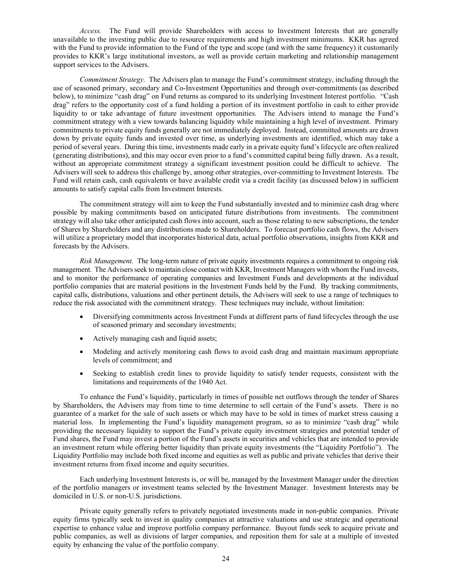*Access.* The Fund will provide Shareholders with access to Investment Interests that are generally unavailable to the investing public due to resource requirements and high investment minimums. KKR has agreed with the Fund to provide information to the Fund of the type and scope (and with the same frequency) it customarily provides to KKR's large institutional investors, as well as provide certain marketing and relationship management support services to the Advisers.

*Commitment Strategy.* The Advisers plan to manage the Fund's commitment strategy, including through the use of seasoned primary, secondary and Co-Investment Opportunities and through over-commitments (as described below), to minimize "cash drag" on Fund returns as compared to its underlying Investment Interest portfolio. "Cash drag" refers to the opportunity cost of a fund holding a portion of its investment portfolio in cash to either provide liquidity to or take advantage of future investment opportunities. The Advisers intend to manage the Fund's commitment strategy with a view towards balancing liquidity while maintaining a high level of investment. Primary commitments to private equity funds generally are not immediately deployed. Instead, committed amounts are drawn down by private equity funds and invested over time, as underlying investments are identified, which may take a period of several years. During this time, investments made early in a private equity fund's lifecycle are often realized (generating distributions), and this may occur even prior to a fund's committed capital being fully drawn. As a result, without an appropriate commitment strategy a significant investment position could be difficult to achieve. The Advisers will seek to address this challenge by, among other strategies, over-committing to Investment Interests. The Fund will retain cash, cash equivalents or have available credit via a credit facility (as discussed below) in sufficient amounts to satisfy capital calls from Investment Interests.

The commitment strategy will aim to keep the Fund substantially invested and to minimize cash drag where possible by making commitments based on anticipated future distributions from investments. The commitment strategy will also take other anticipated cash flows into account, such as those relating to new subscriptions, the tender of Shares by Shareholders and any distributions made to Shareholders. To forecast portfolio cash flows, the Advisers will utilize a proprietary model that incorporates historical data, actual portfolio observations, insights from KKR and forecasts by the Advisers.

*Risk Management.* The long-term nature of private equity investments requires a commitment to ongoing risk management. The Advisers seek to maintain close contact with KKR, Investment Managers with whom the Fund invests, and to monitor the performance of operating companies and Investment Funds and developments at the individual portfolio companies that are material positions in the Investment Funds held by the Fund. By tracking commitments, capital calls, distributions, valuations and other pertinent details, the Advisers will seek to use a range of techniques to reduce the risk associated with the commitment strategy. These techniques may include, without limitation:

- Diversifying commitments across Investment Funds at different parts of fund lifecycles through the use of seasoned primary and secondary investments;
- Actively managing cash and liquid assets;
- Modeling and actively monitoring cash flows to avoid cash drag and maintain maximum appropriate levels of commitment; and
- Seeking to establish credit lines to provide liquidity to satisfy tender requests, consistent with the limitations and requirements of the 1940 Act.

To enhance the Fund's liquidity, particularly in times of possible net outflows through the tender of Shares by Shareholders, the Advisers may from time to time determine to sell certain of the Fund's assets. There is no guarantee of a market for the sale of such assets or which may have to be sold in times of market stress causing a material loss. In implementing the Fund's liquidity management program, so as to minimize "cash drag" while providing the necessary liquidity to support the Fund's private equity investment strategies and potential tender of Fund shares, the Fund may invest a portion of the Fund's assets in securities and vehicles that are intended to provide an investment return while offering better liquidity than private equity investments (the "Liquidity Portfolio"). The Liquidity Portfolio may include both fixed income and equities as well as public and private vehicles that derive their investment returns from fixed income and equity securities.

Each underlying Investment Interests is, or will be, managed by the Investment Manager under the direction of the portfolio managers or investment teams selected by the Investment Manager. Investment Interests may be domiciled in U.S. or non-U.S. jurisdictions.

Private equity generally refers to privately negotiated investments made in non-public companies. Private equity firms typically seek to invest in quality companies at attractive valuations and use strategic and operational expertise to enhance value and improve portfolio company performance. Buyout funds seek to acquire private and public companies, as well as divisions of larger companies, and reposition them for sale at a multiple of invested equity by enhancing the value of the portfolio company.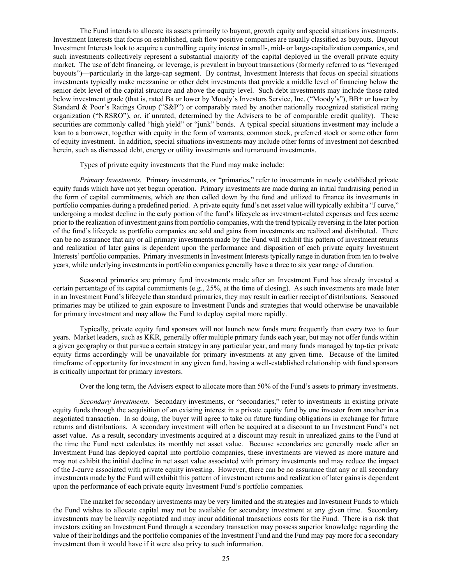The Fund intends to allocate its assets primarily to buyout, growth equity and special situations investments. Investment Interests that focus on established, cash flow positive companies are usually classified as buyouts. Buyout Investment Interests look to acquire a controlling equity interest in small-, mid- or large-capitalization companies, and such investments collectively represent a substantial majority of the capital deployed in the overall private equity market. The use of debt financing, or leverage, is prevalent in buyout transactions (formerly referred to as "leveraged buyouts")—particularly in the large-cap segment. By contrast, Investment Interests that focus on special situations investments typically make mezzanine or other debt investments that provide a middle level of financing below the senior debt level of the capital structure and above the equity level. Such debt investments may include those rated below investment grade (that is, rated Ba or lower by Moody's Investors Service, Inc. ("Moody's"), BB+ or lower by Standard & Poor's Ratings Group ("S&P") or comparably rated by another nationally recognized statistical rating organization ("NRSRO"), or, if unrated, determined by the Advisers to be of comparable credit quality). These securities are commonly called "high yield" or "junk" bonds. A typical special situations investment may include a loan to a borrower, together with equity in the form of warrants, common stock, preferred stock or some other form of equity investment. In addition, special situations investments may include other forms of investment not described herein, such as distressed debt, energy or utility investments and turnaround investments.

Types of private equity investments that the Fund may make include:

*Primary Investments.* Primary investments, or "primaries," refer to investments in newly established private equity funds which have not yet begun operation. Primary investments are made during an initial fundraising period in the form of capital commitments, which are then called down by the fund and utilized to finance its investments in portfolio companies during a predefined period. A private equity fund's net asset value will typically exhibit a "J curve," undergoing a modest decline in the early portion of the fund's lifecycle as investment-related expenses and fees accrue prior to the realization of investment gains from portfolio companies, with the trend typically reversing in the later portion of the fund's lifecycle as portfolio companies are sold and gains from investments are realized and distributed. There can be no assurance that any or all primary investments made by the Fund will exhibit this pattern of investment returns and realization of later gains is dependent upon the performance and disposition of each private equity Investment Interests' portfolio companies. Primary investments in Investment Interests typically range in duration from ten to twelve years, while underlying investments in portfolio companies generally have a three to six year range of duration.

Seasoned primaries are primary fund investments made after an Investment Fund has already invested a certain percentage of its capital commitments (e.g., 25%, at the time of closing). As such investments are made later in an Investment Fund's lifecycle than standard primaries, they may result in earlier receipt of distributions. Seasoned primaries may be utilized to gain exposure to Investment Funds and strategies that would otherwise be unavailable for primary investment and may allow the Fund to deploy capital more rapidly.

Typically, private equity fund sponsors will not launch new funds more frequently than every two to four years. Market leaders, such as KKR, generally offer multiple primary funds each year, but may not offer funds within a given geography or that pursue a certain strategy in any particular year, and many funds managed by top-tier private equity firms accordingly will be unavailable for primary investments at any given time. Because of the limited timeframe of opportunity for investment in any given fund, having a well-established relationship with fund sponsors is critically important for primary investors.

Over the long term, the Advisers expect to allocate more than 50% of the Fund's assets to primary investments.

*Secondary Investments.* Secondary investments, or "secondaries," refer to investments in existing private equity funds through the acquisition of an existing interest in a private equity fund by one investor from another in a negotiated transaction. In so doing, the buyer will agree to take on future funding obligations in exchange for future returns and distributions. A secondary investment will often be acquired at a discount to an Investment Fund's net asset value. As a result, secondary investments acquired at a discount may result in unrealized gains to the Fund at the time the Fund next calculates its monthly net asset value. Because secondaries are generally made after an Investment Fund has deployed capital into portfolio companies, these investments are viewed as more mature and may not exhibit the initial decline in net asset value associated with primary investments and may reduce the impact of the J-curve associated with private equity investing. However, there can be no assurance that any or all secondary investments made by the Fund will exhibit this pattern of investment returns and realization of later gains is dependent upon the performance of each private equity Investment Fund's portfolio companies.

The market for secondary investments may be very limited and the strategies and Investment Funds to which the Fund wishes to allocate capital may not be available for secondary investment at any given time. Secondary investments may be heavily negotiated and may incur additional transactions costs for the Fund. There is a risk that investors exiting an Investment Fund through a secondary transaction may possess superior knowledge regarding the value of their holdings and the portfolio companies of the Investment Fund and the Fund may pay more for a secondary investment than it would have if it were also privy to such information.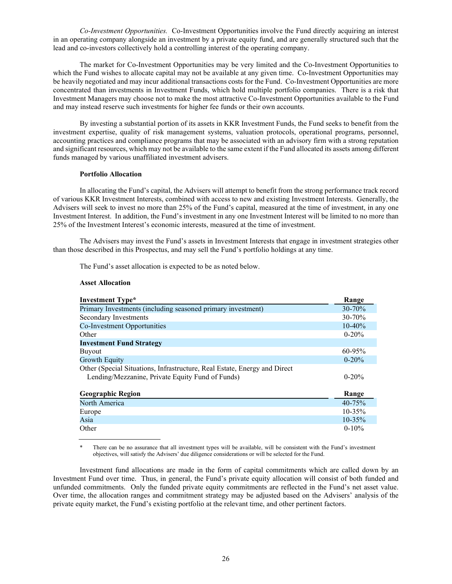*Co-Investment Opportunities.* Co-Investment Opportunities involve the Fund directly acquiring an interest in an operating company alongside an investment by a private equity fund, and are generally structured such that the lead and co-investors collectively hold a controlling interest of the operating company.

The market for Co-Investment Opportunities may be very limited and the Co-Investment Opportunities to which the Fund wishes to allocate capital may not be available at any given time. Co-Investment Opportunities may be heavily negotiated and may incur additional transactions costs for the Fund. Co-Investment Opportunities are more concentrated than investments in Investment Funds, which hold multiple portfolio companies. There is a risk that Investment Managers may choose not to make the most attractive Co-Investment Opportunities available to the Fund and may instead reserve such investments for higher fee funds or their own accounts.

By investing a substantial portion of its assets in KKR Investment Funds, the Fund seeks to benefit from the investment expertise, quality of risk management systems, valuation protocols, operational programs, personnel, accounting practices and compliance programs that may be associated with an advisory firm with a strong reputation and significant resources, which may not be available to the same extent if the Fund allocated its assets among different funds managed by various unaffiliated investment advisers.

#### **Portfolio Allocation**

In allocating the Fund's capital, the Advisers will attempt to benefit from the strong performance track record of various KKR Investment Interests, combined with access to new and existing Investment Interests. Generally, the Advisers will seek to invest no more than 25% of the Fund's capital, measured at the time of investment, in any one Investment Interest. In addition, the Fund's investment in any one Investment Interest will be limited to no more than 25% of the Investment Interest's economic interests, measured at the time of investment.

The Advisers may invest the Fund's assets in Investment Interests that engage in investment strategies other than those described in this Prospectus, and may sell the Fund's portfolio holdings at any time.

The Fund's asset allocation is expected to be as noted below.

#### **Asset Allocation**

| <b>Investment Type*</b>                                                                                                       | Range       |
|-------------------------------------------------------------------------------------------------------------------------------|-------------|
| Primary Investments (including seasoned primary investment)                                                                   | $30 - 70%$  |
| Secondary Investments                                                                                                         | 30-70%      |
| Co-Investment Opportunities                                                                                                   | $10-40%$    |
| Other                                                                                                                         | $0 - 20%$   |
| <b>Investment Fund Strategy</b>                                                                                               |             |
| <b>Buyout</b>                                                                                                                 | 60-95%      |
| <b>Growth Equity</b>                                                                                                          | $0 - 20%$   |
| Other (Special Situations, Infrastructure, Real Estate, Energy and Direct<br>Lending/Mezzanine, Private Equity Fund of Funds) | $0 - 20%$   |
| <b>Geographic Region</b>                                                                                                      | Range       |
| North America                                                                                                                 | $40 - 75%$  |
| Europe                                                                                                                        | $10 - 35\%$ |
| Asia                                                                                                                          | 10-35%      |
| Other                                                                                                                         | $0-10%$     |

There can be no assurance that all investment types will be available, will be consistent with the Fund's investment objectives, will satisfy the Advisers' due diligence considerations or will be selected for the Fund.

Investment fund allocations are made in the form of capital commitments which are called down by an Investment Fund over time. Thus, in general, the Fund's private equity allocation will consist of both funded and unfunded commitments. Only the funded private equity commitments are reflected in the Fund's net asset value. Over time, the allocation ranges and commitment strategy may be adjusted based on the Advisers' analysis of the private equity market, the Fund's existing portfolio at the relevant time, and other pertinent factors.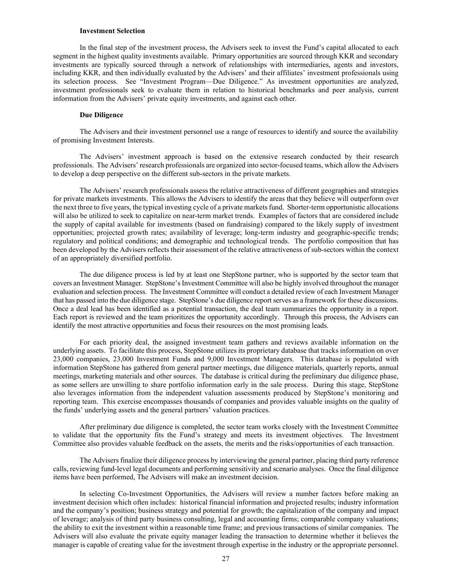#### **Investment Selection**

In the final step of the investment process, the Advisers seek to invest the Fund's capital allocated to each segment in the highest quality investments available. Primary opportunities are sourced through KKR and secondary investments are typically sourced through a network of relationships with intermediaries, agents and investors, including KKR, and then individually evaluated by the Advisers' and their affiliates' investment professionals using its selection process. See "Investment Program—Due Diligence." As investment opportunities are analyzed, investment professionals seek to evaluate them in relation to historical benchmarks and peer analysis, current information from the Advisers' private equity investments, and against each other.

#### **Due Diligence**

The Advisers and their investment personnel use a range of resources to identify and source the availability of promising Investment Interests.

The Advisers' investment approach is based on the extensive research conducted by their research professionals. The Advisers' research professionals are organized into sector-focused teams, which allow the Advisers to develop a deep perspective on the different sub-sectors in the private markets.

The Advisers' research professionals assess the relative attractiveness of different geographies and strategies for private markets investments. This allows the Advisers to identify the areas that they believe will outperform over the next three to five years, the typical investing cycle of a private markets fund. Shorter-term opportunistic allocations will also be utilized to seek to capitalize on near-term market trends. Examples of factors that are considered include the supply of capital available for investments (based on fundraising) compared to the likely supply of investment opportunities; projected growth rates; availability of leverage; long-term industry and geographic-specific trends; regulatory and political conditions; and demographic and technological trends. The portfolio composition that has been developed by the Advisers reflects their assessment of the relative attractiveness of sub-sectors within the context of an appropriately diversified portfolio.

The due diligence process is led by at least one StepStone partner, who is supported by the sector team that covers an Investment Manager. StepStone's Investment Committee will also be highly involved throughout the manager evaluation and selection process. The Investment Committee will conduct a detailed review of each Investment Manager that has passed into the due diligence stage. StepStone's due diligence report serves as a framework for these discussions. Once a deal lead has been identified as a potential transaction, the deal team summarizes the opportunity in a report. Each report is reviewed and the team prioritizes the opportunity accordingly. Through this process, the Advisers can identify the most attractive opportunities and focus their resources on the most promising leads.

For each priority deal, the assigned investment team gathers and reviews available information on the underlying assets. To facilitate this process, StepStone utilizes its proprietary database that tracks information on over 23,000 companies, 23,000 Investment Funds and 9,000 Investment Managers. This database is populated with information StepStone has gathered from general partner meetings, due diligence materials, quarterly reports, annual meetings, marketing materials and other sources. The database is critical during the preliminary due diligence phase, as some sellers are unwilling to share portfolio information early in the sale process. During this stage, StepStone also leverages information from the independent valuation assessments produced by StepStone's monitoring and reporting team. This exercise encompasses thousands of companies and provides valuable insights on the quality of the funds' underlying assets and the general partners' valuation practices.

After preliminary due diligence is completed, the sector team works closely with the Investment Committee to validate that the opportunity fits the Fund's strategy and meets its investment objectives. The Investment Committee also provides valuable feedback on the assets, the merits and the risks/opportunities of each transaction.

The Advisers finalize their diligence process by interviewing the general partner, placing third party reference calls, reviewing fund-level legal documents and performing sensitivity and scenario analyses. Once the final diligence items have been performed, The Advisers will make an investment decision.

In selecting Co-Investment Opportunities, the Advisers will review a number factors before making an investment decision which often includes: historical financial information and projected results; industry information and the company's position; business strategy and potential for growth; the capitalization of the company and impact of leverage; analysis of third party business consulting, legal and accounting firms; comparable company valuations; the ability to exit the investment within a reasonable time frame; and previous transactions of similar companies. The Advisers will also evaluate the private equity manager leading the transaction to determine whether it believes the manager is capable of creating value for the investment through expertise in the industry or the appropriate personnel.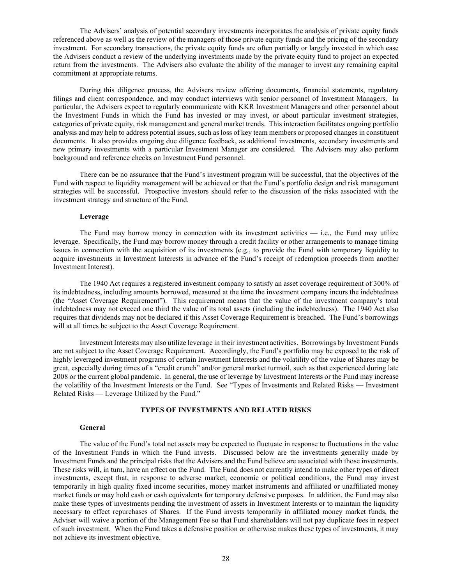The Advisers' analysis of potential secondary investments incorporates the analysis of private equity funds referenced above as well as the review of the managers of those private equity funds and the pricing of the secondary investment. For secondary transactions, the private equity funds are often partially or largely invested in which case the Advisers conduct a review of the underlying investments made by the private equity fund to project an expected return from the investments. The Advisers also evaluate the ability of the manager to invest any remaining capital commitment at appropriate returns.

During this diligence process, the Advisers review offering documents, financial statements, regulatory filings and client correspondence, and may conduct interviews with senior personnel of Investment Managers. In particular, the Advisers expect to regularly communicate with KKR Investment Managers and other personnel about the Investment Funds in which the Fund has invested or may invest, or about particular investment strategies, categories of private equity, risk management and general market trends. This interaction facilitates ongoing portfolio analysis and may help to address potential issues, such as loss of key team members or proposed changes in constituent documents. It also provides ongoing due diligence feedback, as additional investments, secondary investments and new primary investments with a particular Investment Manager are considered. The Advisers may also perform background and reference checks on Investment Fund personnel.

There can be no assurance that the Fund's investment program will be successful, that the objectives of the Fund with respect to liquidity management will be achieved or that the Fund's portfolio design and risk management strategies will be successful. Prospective investors should refer to the discussion of the risks associated with the investment strategy and structure of the Fund.

#### **Leverage**

The Fund may borrow money in connection with its investment activities  $-$  i.e., the Fund may utilize leverage. Specifically, the Fund may borrow money through a credit facility or other arrangements to manage timing issues in connection with the acquisition of its investments (e.g., to provide the Fund with temporary liquidity to acquire investments in Investment Interests in advance of the Fund's receipt of redemption proceeds from another Investment Interest).

The 1940 Act requires a registered investment company to satisfy an asset coverage requirement of 300% of its indebtedness, including amounts borrowed, measured at the time the investment company incurs the indebtedness (the "Asset Coverage Requirement"). This requirement means that the value of the investment company's total indebtedness may not exceed one third the value of its total assets (including the indebtedness). The 1940 Act also requires that dividends may not be declared if this Asset Coverage Requirement is breached. The Fund's borrowings will at all times be subject to the Asset Coverage Requirement.

Investment Interests may also utilize leverage in their investment activities. Borrowings by Investment Funds are not subject to the Asset Coverage Requirement. Accordingly, the Fund's portfolio may be exposed to the risk of highly leveraged investment programs of certain Investment Interests and the volatility of the value of Shares may be great, especially during times of a "credit crunch" and/or general market turmoil, such as that experienced during late 2008 or the current global pandemic. In general, the use of leverage by Investment Interests or the Fund may increase the volatility of the Investment Interests or the Fund. See "Types of Investments and Related Risks — Investment Related Risks — Leverage Utilized by the Fund."

#### **TYPES OF INVESTMENTS AND RELATED RISKS**

#### <span id="page-35-0"></span>**General**

The value of the Fund's total net assets may be expected to fluctuate in response to fluctuations in the value of the Investment Funds in which the Fund invests. Discussed below are the investments generally made by Investment Funds and the principal risks that the Advisers and the Fund believe are associated with those investments. These risks will, in turn, have an effect on the Fund. The Fund does not currently intend to make other types of direct investments, except that, in response to adverse market, economic or political conditions, the Fund may invest temporarily in high quality fixed income securities, money market instruments and affiliated or unaffiliated money market funds or may hold cash or cash equivalents for temporary defensive purposes. In addition, the Fund may also make these types of investments pending the investment of assets in Investment Interests or to maintain the liquidity necessary to effect repurchases of Shares. If the Fund invests temporarily in affiliated money market funds, the Adviser will waive a portion of the Management Fee so that Fund shareholders will not pay duplicate fees in respect of such investment. When the Fund takes a defensive position or otherwise makes these types of investments, it may not achieve its investment objective.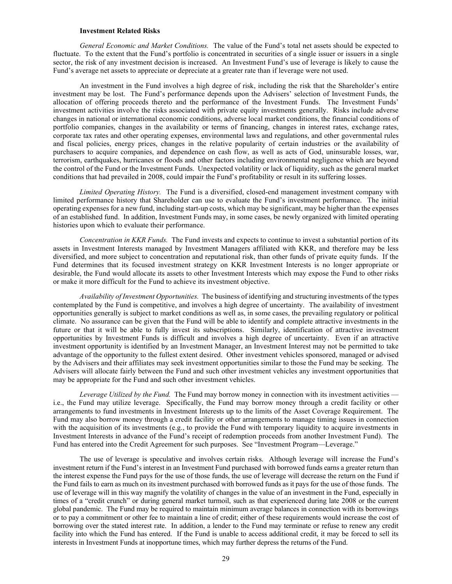#### **Investment Related Risks**

*General Economic and Market Conditions.* The value of the Fund's total net assets should be expected to fluctuate. To the extent that the Fund's portfolio is concentrated in securities of a single issuer or issuers in a single sector, the risk of any investment decision is increased. An Investment Fund's use of leverage is likely to cause the Fund's average net assets to appreciate or depreciate at a greater rate than if leverage were not used.

An investment in the Fund involves a high degree of risk, including the risk that the Shareholder's entire investment may be lost. The Fund's performance depends upon the Advisers' selection of Investment Funds, the allocation of offering proceeds thereto and the performance of the Investment Funds. The Investment Funds' investment activities involve the risks associated with private equity investments generally. Risks include adverse changes in national or international economic conditions, adverse local market conditions, the financial conditions of portfolio companies, changes in the availability or terms of financing, changes in interest rates, exchange rates, corporate tax rates and other operating expenses, environmental laws and regulations, and other governmental rules and fiscal policies, energy prices, changes in the relative popularity of certain industries or the availability of purchasers to acquire companies, and dependence on cash flow, as well as acts of God, uninsurable losses, war, terrorism, earthquakes, hurricanes or floods and other factors including environmental negligence which are beyond the control of the Fund or the Investment Funds. Unexpected volatility or lack of liquidity, such as the general market conditions that had prevailed in 2008, could impair the Fund's profitability or result in its suffering losses.

*Limited Operating History.* The Fund is a diversified, closed-end management investment company with limited performance history that Shareholder can use to evaluate the Fund's investment performance. The initial operating expenses for a new fund, including start-up costs, which may be significant, may be higher than the expenses of an established fund. In addition, Investment Funds may, in some cases, be newly organized with limited operating histories upon which to evaluate their performance.

*Concentration in KKR Funds.* The Fund invests and expects to continue to invest a substantial portion of its assets in Investment Interests managed by Investment Managers affiliated with KKR, and therefore may be less diversified, and more subject to concentration and reputational risk, than other funds of private equity funds. If the Fund determines that its focused investment strategy on KKR Investment Interests is no longer appropriate or desirable, the Fund would allocate its assets to other Investment Interests which may expose the Fund to other risks or make it more difficult for the Fund to achieve its investment objective.

*Availability of Investment Opportunities.* The business of identifying and structuring investments of the types contemplated by the Fund is competitive, and involves a high degree of uncertainty. The availability of investment opportunities generally is subject to market conditions as well as, in some cases, the prevailing regulatory or political climate. No assurance can be given that the Fund will be able to identify and complete attractive investments in the future or that it will be able to fully invest its subscriptions. Similarly, identification of attractive investment opportunities by Investment Funds is difficult and involves a high degree of uncertainty. Even if an attractive investment opportunity is identified by an Investment Manager, an Investment Interest may not be permitted to take advantage of the opportunity to the fullest extent desired. Other investment vehicles sponsored, managed or advised by the Advisers and their affiliates may seek investment opportunities similar to those the Fund may be seeking. The Advisers will allocate fairly between the Fund and such other investment vehicles any investment opportunities that may be appropriate for the Fund and such other investment vehicles.

*Leverage Utilized by the Fund.* The Fund may borrow money in connection with its investment activities i.e., the Fund may utilize leverage. Specifically, the Fund may borrow money through a credit facility or other arrangements to fund investments in Investment Interests up to the limits of the Asset Coverage Requirement. The Fund may also borrow money through a credit facility or other arrangements to manage timing issues in connection with the acquisition of its investments (e.g., to provide the Fund with temporary liquidity to acquire investments in Investment Interests in advance of the Fund's receipt of redemption proceeds from another Investment Fund). The Fund has entered into the Credit Agreement for such purposes. See "Investment Program—Leverage."

The use of leverage is speculative and involves certain risks. Although leverage will increase the Fund's investment return if the Fund's interest in an Investment Fund purchased with borrowed funds earns a greater return than the interest expense the Fund pays for the use of those funds, the use of leverage will decrease the return on the Fund if the Fund fails to earn as much on its investment purchased with borrowed funds as it pays for the use of those funds. The use of leverage will in this way magnify the volatility of changes in the value of an investment in the Fund, especially in times of a "credit crunch" or during general market turmoil, such as that experienced during late 2008 or the current global pandemic. The Fund may be required to maintain minimum average balances in connection with its borrowings or to pay a commitment or other fee to maintain a line of credit; either of these requirements would increase the cost of borrowing over the stated interest rate. In addition, a lender to the Fund may terminate or refuse to renew any credit facility into which the Fund has entered. If the Fund is unable to access additional credit, it may be forced to sell its interests in Investment Funds at inopportune times, which may further depress the returns of the Fund.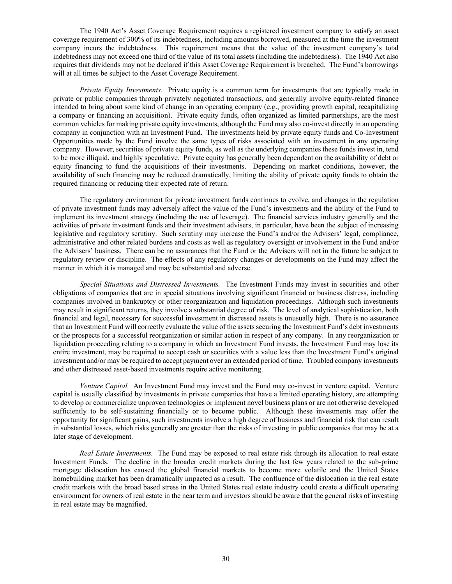The 1940 Act's Asset Coverage Requirement requires a registered investment company to satisfy an asset coverage requirement of 300% of its indebtedness, including amounts borrowed, measured at the time the investment company incurs the indebtedness. This requirement means that the value of the investment company's total indebtedness may not exceed one third of the value of its total assets (including the indebtedness). The 1940 Act also requires that dividends may not be declared if this Asset Coverage Requirement is breached. The Fund's borrowings will at all times be subject to the Asset Coverage Requirement.

*Private Equity Investments.* Private equity is a common term for investments that are typically made in private or public companies through privately negotiated transactions, and generally involve equity-related finance intended to bring about some kind of change in an operating company (e.g., providing growth capital, recapitalizing a company or financing an acquisition). Private equity funds, often organized as limited partnerships, are the most common vehicles for making private equity investments, although the Fund may also co-invest directly in an operating company in conjunction with an Investment Fund. The investments held by private equity funds and Co-Investment Opportunities made by the Fund involve the same types of risks associated with an investment in any operating company. However, securities of private equity funds, as well as the underlying companies these funds invest in, tend to be more illiquid, and highly speculative. Private equity has generally been dependent on the availability of debt or equity financing to fund the acquisitions of their investments. Depending on market conditions, however, the availability of such financing may be reduced dramatically, limiting the ability of private equity funds to obtain the required financing or reducing their expected rate of return.

The regulatory environment for private investment funds continues to evolve, and changes in the regulation of private investment funds may adversely affect the value of the Fund's investments and the ability of the Fund to implement its investment strategy (including the use of leverage). The financial services industry generally and the activities of private investment funds and their investment advisers, in particular, have been the subject of increasing legislative and regulatory scrutiny. Such scrutiny may increase the Fund's and/or the Advisers' legal, compliance, administrative and other related burdens and costs as well as regulatory oversight or involvement in the Fund and/or the Advisers' business. There can be no assurances that the Fund or the Advisers will not in the future be subject to regulatory review or discipline. The effects of any regulatory changes or developments on the Fund may affect the manner in which it is managed and may be substantial and adverse.

*Special Situations and Distressed Investments.* The Investment Funds may invest in securities and other obligations of companies that are in special situations involving significant financial or business distress, including companies involved in bankruptcy or other reorganization and liquidation proceedings. Although such investments may result in significant returns, they involve a substantial degree of risk. The level of analytical sophistication, both financial and legal, necessary for successful investment in distressed assets is unusually high. There is no assurance that an Investment Fund will correctly evaluate the value of the assets securing the Investment Fund's debt investments or the prospects for a successful reorganization or similar action in respect of any company. In any reorganization or liquidation proceeding relating to a company in which an Investment Fund invests, the Investment Fund may lose its entire investment, may be required to accept cash or securities with a value less than the Investment Fund's original investment and/or may be required to accept payment over an extended period of time. Troubled company investments and other distressed asset-based investments require active monitoring.

*Venture Capital.* An Investment Fund may invest and the Fund may co-invest in venture capital. Venture capital is usually classified by investments in private companies that have a limited operating history, are attempting to develop or commercialize unproven technologies or implement novel business plans or are not otherwise developed sufficiently to be self-sustaining financially or to become public. Although these investments may offer the opportunity for significant gains, such investments involve a high degree of business and financial risk that can result in substantial losses, which risks generally are greater than the risks of investing in public companies that may be at a later stage of development.

*Real Estate Investments.* The Fund may be exposed to real estate risk through its allocation to real estate Investment Funds. The decline in the broader credit markets during the last few years related to the sub-prime mortgage dislocation has caused the global financial markets to become more volatile and the United States homebuilding market has been dramatically impacted as a result. The confluence of the dislocation in the real estate credit markets with the broad based stress in the United States real estate industry could create a difficult operating environment for owners of real estate in the near term and investors should be aware that the general risks of investing in real estate may be magnified.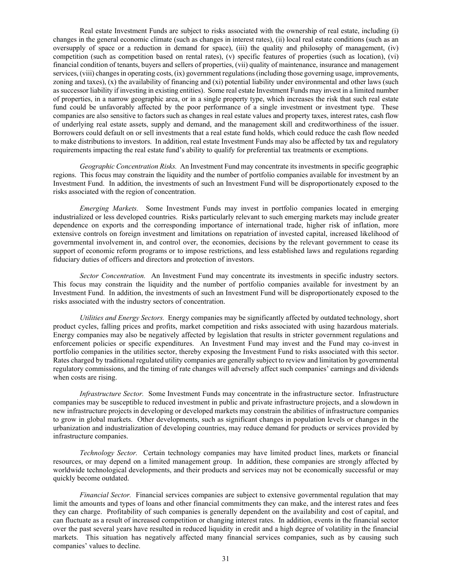Real estate Investment Funds are subject to risks associated with the ownership of real estate, including (i) changes in the general economic climate (such as changes in interest rates), (ii) local real estate conditions (such as an oversupply of space or a reduction in demand for space), (iii) the quality and philosophy of management, (iv) competition (such as competition based on rental rates), (v) specific features of properties (such as location), (vi) financial condition of tenants, buyers and sellers of properties, (vii) quality of maintenance, insurance and management services, (viii) changes in operating costs, (ix) government regulations (including those governing usage, improvements, zoning and taxes),  $(x)$  the availability of financing and  $(xi)$  potential liability under environmental and other laws (such as successor liability if investing in existing entities). Some real estate Investment Funds may invest in a limited number of properties, in a narrow geographic area, or in a single property type, which increases the risk that such real estate fund could be unfavorably affected by the poor performance of a single investment or investment type. These companies are also sensitive to factors such as changes in real estate values and property taxes, interest rates, cash flow of underlying real estate assets, supply and demand, and the management skill and creditworthiness of the issuer. Borrowers could default on or sell investments that a real estate fund holds, which could reduce the cash flow needed to make distributions to investors. In addition, real estate Investment Funds may also be affected by tax and regulatory requirements impacting the real estate fund's ability to qualify for preferential tax treatments or exemptions.

*Geographic Concentration Risks.* An Investment Fund may concentrate its investments in specific geographic regions. This focus may constrain the liquidity and the number of portfolio companies available for investment by an Investment Fund. In addition, the investments of such an Investment Fund will be disproportionately exposed to the risks associated with the region of concentration.

*Emerging Markets.* Some Investment Funds may invest in portfolio companies located in emerging industrialized or less developed countries. Risks particularly relevant to such emerging markets may include greater dependence on exports and the corresponding importance of international trade, higher risk of inflation, more extensive controls on foreign investment and limitations on repatriation of invested capital, increased likelihood of governmental involvement in, and control over, the economies, decisions by the relevant government to cease its support of economic reform programs or to impose restrictions, and less established laws and regulations regarding fiduciary duties of officers and directors and protection of investors.

*Sector Concentration.* An Investment Fund may concentrate its investments in specific industry sectors. This focus may constrain the liquidity and the number of portfolio companies available for investment by an Investment Fund. In addition, the investments of such an Investment Fund will be disproportionately exposed to the risks associated with the industry sectors of concentration.

*Utilities and Energy Sectors.* Energy companies may be significantly affected by outdated technology, short product cycles, falling prices and profits, market competition and risks associated with using hazardous materials. Energy companies may also be negatively affected by legislation that results in stricter government regulations and enforcement policies or specific expenditures. An Investment Fund may invest and the Fund may co-invest in portfolio companies in the utilities sector, thereby exposing the Investment Fund to risks associated with this sector. Rates charged by traditional regulated utility companies are generally subject to review and limitation by governmental regulatory commissions, and the timing of rate changes will adversely affect such companies' earnings and dividends when costs are rising.

*Infrastructure Sector.* Some Investment Funds may concentrate in the infrastructure sector. Infrastructure companies may be susceptible to reduced investment in public and private infrastructure projects, and a slowdown in new infrastructure projects in developing or developed markets may constrain the abilities of infrastructure companies to grow in global markets. Other developments, such as significant changes in population levels or changes in the urbanization and industrialization of developing countries, may reduce demand for products or services provided by infrastructure companies.

*Technology Sector.* Certain technology companies may have limited product lines, markets or financial resources, or may depend on a limited management group. In addition, these companies are strongly affected by worldwide technological developments, and their products and services may not be economically successful or may quickly become outdated.

*Financial Sector.* Financial services companies are subject to extensive governmental regulation that may limit the amounts and types of loans and other financial commitments they can make, and the interest rates and fees they can charge. Profitability of such companies is generally dependent on the availability and cost of capital, and can fluctuate as a result of increased competition or changing interest rates. In addition, events in the financial sector over the past several years have resulted in reduced liquidity in credit and a high degree of volatility in the financial markets. This situation has negatively affected many financial services companies, such as by causing such companies' values to decline.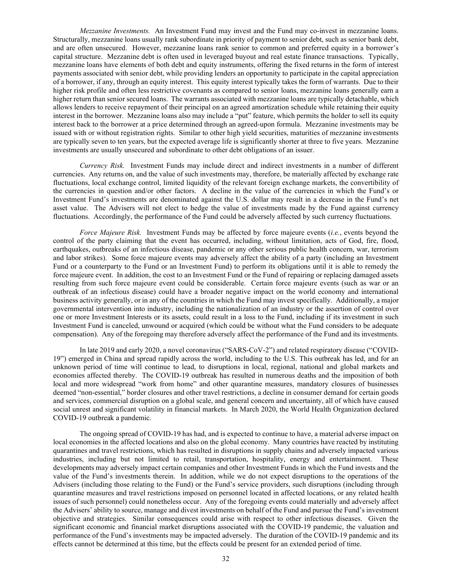*Mezzanine Investments.* An Investment Fund may invest and the Fund may co-invest in mezzanine loans. Structurally, mezzanine loans usually rank subordinate in priority of payment to senior debt, such as senior bank debt, and are often unsecured. However, mezzanine loans rank senior to common and preferred equity in a borrower's capital structure. Mezzanine debt is often used in leveraged buyout and real estate finance transactions. Typically, mezzanine loans have elements of both debt and equity instruments, offering the fixed returns in the form of interest payments associated with senior debt, while providing lenders an opportunity to participate in the capital appreciation of a borrower, if any, through an equity interest. This equity interest typically takes the form of warrants. Due to their higher risk profile and often less restrictive covenants as compared to senior loans, mezzanine loans generally earn a higher return than senior secured loans. The warrants associated with mezzanine loans are typically detachable, which allows lenders to receive repayment of their principal on an agreed amortization schedule while retaining their equity interest in the borrower. Mezzanine loans also may include a "put" feature, which permits the holder to sell its equity interest back to the borrower at a price determined through an agreed-upon formula. Mezzanine investments may be issued with or without registration rights. Similar to other high yield securities, maturities of mezzanine investments are typically seven to ten years, but the expected average life is significantly shorter at three to five years. Mezzanine investments are usually unsecured and subordinate to other debt obligations of an issuer.

*Currency Risk.* Investment Funds may include direct and indirect investments in a number of different currencies. Any returns on, and the value of such investments may, therefore, be materially affected by exchange rate fluctuations, local exchange control, limited liquidity of the relevant foreign exchange markets, the convertibility of the currencies in question and/or other factors. A decline in the value of the currencies in which the Fund's or Investment Fund's investments are denominated against the U.S. dollar may result in a decrease in the Fund's net asset value. The Advisers will not elect to hedge the value of investments made by the Fund against currency fluctuations. Accordingly, the performance of the Fund could be adversely affected by such currency fluctuations.

*Force Majeure Risk.* Investment Funds may be affected by force majeure events (*i.e.*, events beyond the control of the party claiming that the event has occurred, including, without limitation, acts of God, fire, flood, earthquakes, outbreaks of an infectious disease, pandemic or any other serious public health concern, war, terrorism and labor strikes). Some force majeure events may adversely affect the ability of a party (including an Investment Fund or a counterparty to the Fund or an Investment Fund) to perform its obligations until it is able to remedy the force majeure event. In addition, the cost to an Investment Fund or the Fund of repairing or replacing damaged assets resulting from such force majeure event could be considerable. Certain force majeure events (such as war or an outbreak of an infectious disease) could have a broader negative impact on the world economy and international business activity generally, or in any of the countries in which the Fund may invest specifically. Additionally, a major governmental intervention into industry, including the nationalization of an industry or the assertion of control over one or more Investment Interests or its assets, could result in a loss to the Fund, including if its investment in such Investment Fund is canceled, unwound or acquired (which could be without what the Fund considers to be adequate compensation). Any of the foregoing may therefore adversely affect the performance of the Fund and its investments.

In late 2019 and early 2020, a novel coronavirus ("SARS-CoV-2") and related respiratory disease ("COVID-19") emerged in China and spread rapidly across the world, including to the U.S. This outbreak has led, and for an unknown period of time will continue to lead, to disruptions in local, regional, national and global markets and economies affected thereby. The COVID-19 outbreak has resulted in numerous deaths and the imposition of both local and more widespread "work from home" and other quarantine measures, mandatory closures of businesses deemed "non-essential," border closures and other travel restrictions, a decline in consumer demand for certain goods and services, commercial disruption on a global scale, and general concern and uncertainty, all of which have caused social unrest and significant volatility in financial markets. In March 2020, the World Health Organization declared COVID-19 outbreak a pandemic.

The ongoing spread of COVID-19 has had, and is expected to continue to have, a material adverse impact on local economies in the affected locations and also on the global economy. Many countries have reacted by instituting quarantines and travel restrictions, which has resulted in disruptions in supply chains and adversely impacted various industries, including but not limited to retail, transportation, hospitality, energy and entertainment. These developments may adversely impact certain companies and other Investment Funds in which the Fund invests and the value of the Fund's investments therein. In addition, while we do not expect disruptions to the operations of the Advisers (including those relating to the Fund) or the Fund's service providers, such disruptions (including through quarantine measures and travel restrictions imposed on personnel located in affected locations, or any related health issues of such personnel) could nonetheless occur. Any of the foregoing events could materially and adversely affect the Advisers' ability to source, manage and divest investments on behalf of the Fund and pursue the Fund's investment objective and strategies. Similar consequences could arise with respect to other infectious diseases. Given the significant economic and financial market disruptions associated with the COVID-19 pandemic, the valuation and performance of the Fund's investments may be impacted adversely. The duration of the COVID-19 pandemic and its effects cannot be determined at this time, but the effects could be present for an extended period of time.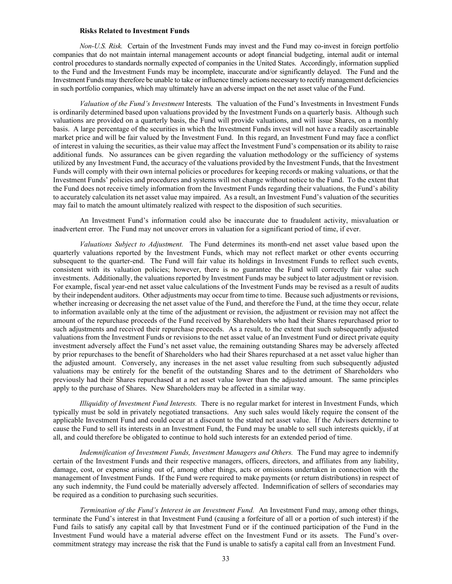#### **Risks Related to Investment Funds**

*Non-U.S. Risk.* Certain of the Investment Funds may invest and the Fund may co-invest in foreign portfolio companies that do not maintain internal management accounts or adopt financial budgeting, internal audit or internal control procedures to standards normally expected of companies in the United States. Accordingly, information supplied to the Fund and the Investment Funds may be incomplete, inaccurate and/or significantly delayed. The Fund and the Investment Funds may therefore be unable to take or influence timely actions necessary to rectify management deficiencies in such portfolio companies, which may ultimately have an adverse impact on the net asset value of the Fund.

*Valuation of the Fund's Investment* Interests*.* The valuation of the Fund's Investments in Investment Funds is ordinarily determined based upon valuations provided by the Investment Funds on a quarterly basis. Although such valuations are provided on a quarterly basis, the Fund will provide valuations, and will issue Shares, on a monthly basis. A large percentage of the securities in which the Investment Funds invest will not have a readily ascertainable market price and will be fair valued by the Investment Fund. In this regard, an Investment Fund may face a conflict of interest in valuing the securities, as their value may affect the Investment Fund's compensation or its ability to raise additional funds. No assurances can be given regarding the valuation methodology or the sufficiency of systems utilized by any Investment Fund, the accuracy of the valuations provided by the Investment Funds, that the Investment Funds will comply with their own internal policies or procedures for keeping records or making valuations, or that the Investment Funds' policies and procedures and systems will not change without notice to the Fund. To the extent that the Fund does not receive timely information from the Investment Funds regarding their valuations, the Fund's ability to accurately calculation its net asset value may impaired. As a result, an Investment Fund's valuation of the securities may fail to match the amount ultimately realized with respect to the disposition of such securities.

An Investment Fund's information could also be inaccurate due to fraudulent activity, misvaluation or inadvertent error. The Fund may not uncover errors in valuation for a significant period of time, if ever.

*Valuations Subject to Adjustment.* The Fund determines its month-end net asset value based upon the quarterly valuations reported by the Investment Funds, which may not reflect market or other events occurring subsequent to the quarter-end. The Fund will fair value its holdings in Investment Funds to reflect such events, consistent with its valuation policies; however, there is no guarantee the Fund will correctly fair value such investments. Additionally, the valuations reported by Investment Funds may be subject to later adjustment or revision. For example, fiscal year-end net asset value calculations of the Investment Funds may be revised as a result of audits by their independent auditors. Other adjustments may occur from time to time. Because such adjustments or revisions, whether increasing or decreasing the net asset value of the Fund, and therefore the Fund, at the time they occur, relate to information available only at the time of the adjustment or revision, the adjustment or revision may not affect the amount of the repurchase proceeds of the Fund received by Shareholders who had their Shares repurchased prior to such adjustments and received their repurchase proceeds. As a result, to the extent that such subsequently adjusted valuations from the Investment Funds or revisions to the net asset value of an Investment Fund or direct private equity investment adversely affect the Fund's net asset value, the remaining outstanding Shares may be adversely affected by prior repurchases to the benefit of Shareholders who had their Shares repurchased at a net asset value higher than the adjusted amount. Conversely, any increases in the net asset value resulting from such subsequently adjusted valuations may be entirely for the benefit of the outstanding Shares and to the detriment of Shareholders who previously had their Shares repurchased at a net asset value lower than the adjusted amount. The same principles apply to the purchase of Shares. New Shareholders may be affected in a similar way.

*Illiquidity of Investment Fund Interests.* There is no regular market for interest in Investment Funds, which typically must be sold in privately negotiated transactions. Any such sales would likely require the consent of the applicable Investment Fund and could occur at a discount to the stated net asset value. If the Advisers determine to cause the Fund to sell its interests in an Investment Fund, the Fund may be unable to sell such interests quickly, if at all, and could therefore be obligated to continue to hold such interests for an extended period of time.

*Indemnification of Investment Funds, Investment Managers and Others.* The Fund may agree to indemnify certain of the Investment Funds and their respective managers, officers, directors, and affiliates from any liability, damage, cost, or expense arising out of, among other things, acts or omissions undertaken in connection with the management of Investment Funds. If the Fund were required to make payments (or return distributions) in respect of any such indemnity, the Fund could be materially adversely affected. Indemnification of sellers of secondaries may be required as a condition to purchasing such securities.

*Termination of the Fund's Interest in an Investment Fund.* An Investment Fund may, among other things, terminate the Fund's interest in that Investment Fund (causing a forfeiture of all or a portion of such interest) if the Fund fails to satisfy any capital call by that Investment Fund or if the continued participation of the Fund in the Investment Fund would have a material adverse effect on the Investment Fund or its assets. The Fund's overcommitment strategy may increase the risk that the Fund is unable to satisfy a capital call from an Investment Fund.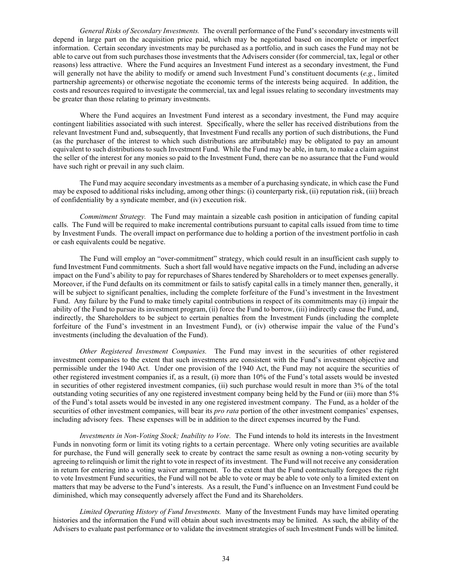*General Risks of Secondary Investments.* The overall performance of the Fund's secondary investments will depend in large part on the acquisition price paid, which may be negotiated based on incomplete or imperfect information. Certain secondary investments may be purchased as a portfolio, and in such cases the Fund may not be able to carve out from such purchases those investments that the Advisers consider (for commercial, tax, legal or other reasons) less attractive. Where the Fund acquires an Investment Fund interest as a secondary investment, the Fund will generally not have the ability to modify or amend such Investment Fund's constituent documents (*e.g.*, limited partnership agreements) or otherwise negotiate the economic terms of the interests being acquired. In addition, the costs and resources required to investigate the commercial, tax and legal issues relating to secondary investments may be greater than those relating to primary investments.

Where the Fund acquires an Investment Fund interest as a secondary investment, the Fund may acquire contingent liabilities associated with such interest. Specifically, where the seller has received distributions from the relevant Investment Fund and, subsequently, that Investment Fund recalls any portion of such distributions, the Fund (as the purchaser of the interest to which such distributions are attributable) may be obligated to pay an amount equivalent to such distributions to such Investment Fund. While the Fund may be able, in turn, to make a claim against the seller of the interest for any monies so paid to the Investment Fund, there can be no assurance that the Fund would have such right or prevail in any such claim.

The Fund may acquire secondary investments as a member of a purchasing syndicate, in which case the Fund may be exposed to additional risks including, among other things: (i) counterparty risk, (ii) reputation risk, (iii) breach of confidentiality by a syndicate member, and (iv) execution risk.

*Commitment Strategy.* The Fund may maintain a sizeable cash position in anticipation of funding capital calls. The Fund will be required to make incremental contributions pursuant to capital calls issued from time to time by Investment Funds. The overall impact on performance due to holding a portion of the investment portfolio in cash or cash equivalents could be negative.

The Fund will employ an "over-commitment" strategy, which could result in an insufficient cash supply to fund Investment Fund commitments. Such a short fall would have negative impacts on the Fund, including an adverse impact on the Fund's ability to pay for repurchases of Shares tendered by Shareholders or to meet expenses generally. Moreover, if the Fund defaults on its commitment or fails to satisfy capital calls in a timely manner then, generally, it will be subject to significant penalties, including the complete forfeiture of the Fund's investment in the Investment Fund. Any failure by the Fund to make timely capital contributions in respect of its commitments may (i) impair the ability of the Fund to pursue its investment program, (ii) force the Fund to borrow, (iii) indirectly cause the Fund, and, indirectly, the Shareholders to be subject to certain penalties from the Investment Funds (including the complete forfeiture of the Fund's investment in an Investment Fund), or (iv) otherwise impair the value of the Fund's investments (including the devaluation of the Fund).

*Other Registered Investment Companies.* The Fund may invest in the securities of other registered investment companies to the extent that such investments are consistent with the Fund's investment objective and permissible under the 1940 Act. Under one provision of the 1940 Act, the Fund may not acquire the securities of other registered investment companies if, as a result, (i) more than 10% of the Fund's total assets would be invested in securities of other registered investment companies, (ii) such purchase would result in more than 3% of the total outstanding voting securities of any one registered investment company being held by the Fund or (iii) more than 5% of the Fund's total assets would be invested in any one registered investment company. The Fund, as a holder of the securities of other investment companies, will bear its *pro rata* portion of the other investment companies' expenses, including advisory fees. These expenses will be in addition to the direct expenses incurred by the Fund.

*Investments in Non-Voting Stock; Inability to Vote.* The Fund intends to hold its interests in the Investment Funds in nonvoting form or limit its voting rights to a certain percentage. Where only voting securities are available for purchase, the Fund will generally seek to create by contract the same result as owning a non-voting security by agreeing to relinquish or limit the right to vote in respect of its investment. The Fund will not receive any consideration in return for entering into a voting waiver arrangement. To the extent that the Fund contractually foregoes the right to vote Investment Fund securities, the Fund will not be able to vote or may be able to vote only to a limited extent on matters that may be adverse to the Fund's interests. As a result, the Fund's influence on an Investment Fund could be diminished, which may consequently adversely affect the Fund and its Shareholders.

*Limited Operating History of Fund Investments.* Many of the Investment Funds may have limited operating histories and the information the Fund will obtain about such investments may be limited. As such, the ability of the Advisers to evaluate past performance or to validate the investment strategies of such Investment Funds will be limited.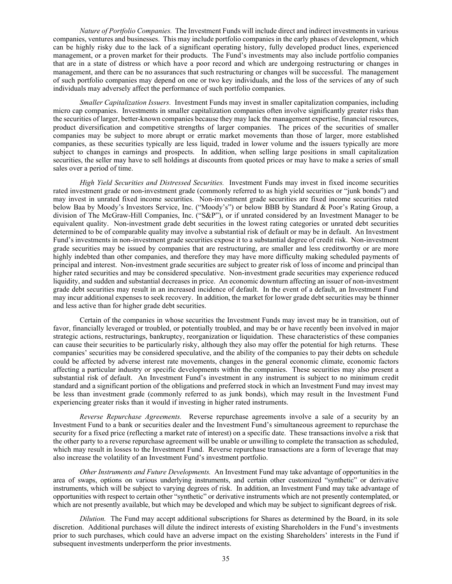*Nature of Portfolio Companies.* The Investment Funds will include direct and indirect investments in various companies, ventures and businesses. This may include portfolio companies in the early phases of development, which can be highly risky due to the lack of a significant operating history, fully developed product lines, experienced management, or a proven market for their products. The Fund's investments may also include portfolio companies that are in a state of distress or which have a poor record and which are undergoing restructuring or changes in management, and there can be no assurances that such restructuring or changes will be successful. The management of such portfolio companies may depend on one or two key individuals, and the loss of the services of any of such individuals may adversely affect the performance of such portfolio companies.

*Smaller Capitalization Issuers.* Investment Funds may invest in smaller capitalization companies, including micro cap companies. Investments in smaller capitalization companies often involve significantly greater risks than the securities of larger, better-known companies because they may lack the management expertise, financial resources, product diversification and competitive strengths of larger companies. The prices of the securities of smaller companies may be subject to more abrupt or erratic market movements than those of larger, more established companies, as these securities typically are less liquid, traded in lower volume and the issuers typically are more subject to changes in earnings and prospects. In addition, when selling large positions in small capitalization securities, the seller may have to sell holdings at discounts from quoted prices or may have to make a series of small sales over a period of time.

*High Yield Securities and Distressed Securities.* Investment Funds may invest in fixed income securities rated investment grade or non-investment grade (commonly referred to as high yield securities or "junk bonds") and may invest in unrated fixed income securities. Non-investment grade securities are fixed income securities rated below Baa by Moody's Investors Service, Inc. ("Moody's") or below BBB by Standard & Poor's Rating Group, a division of The McGraw-Hill Companies, Inc. ("S&P"), or if unrated considered by an Investment Manager to be equivalent quality. Non-investment grade debt securities in the lowest rating categories or unrated debt securities determined to be of comparable quality may involve a substantial risk of default or may be in default. An Investment Fund's investments in non-investment grade securities expose it to a substantial degree of credit risk. Non-investment grade securities may be issued by companies that are restructuring, are smaller and less creditworthy or are more highly indebted than other companies, and therefore they may have more difficulty making scheduled payments of principal and interest. Non-investment grade securities are subject to greater risk of loss of income and principal than higher rated securities and may be considered speculative. Non-investment grade securities may experience reduced liquidity, and sudden and substantial decreases in price. An economic downturn affecting an issuer of non-investment grade debt securities may result in an increased incidence of default. In the event of a default, an Investment Fund may incur additional expenses to seek recovery. In addition, the market for lower grade debt securities may be thinner and less active than for higher grade debt securities.

Certain of the companies in whose securities the Investment Funds may invest may be in transition, out of favor, financially leveraged or troubled, or potentially troubled, and may be or have recently been involved in major strategic actions, restructurings, bankruptcy, reorganization or liquidation. These characteristics of these companies can cause their securities to be particularly risky, although they also may offer the potential for high returns. These companies' securities may be considered speculative, and the ability of the companies to pay their debts on schedule could be affected by adverse interest rate movements, changes in the general economic climate, economic factors affecting a particular industry or specific developments within the companies. These securities may also present a substantial risk of default. An Investment Fund's investment in any instrument is subject to no minimum credit standard and a significant portion of the obligations and preferred stock in which an Investment Fund may invest may be less than investment grade (commonly referred to as junk bonds), which may result in the Investment Fund experiencing greater risks than it would if investing in higher rated instruments.

*Reverse Repurchase Agreements.* Reverse repurchase agreements involve a sale of a security by an Investment Fund to a bank or securities dealer and the Investment Fund's simultaneous agreement to repurchase the security for a fixed price (reflecting a market rate of interest) on a specific date. These transactions involve a risk that the other party to a reverse repurchase agreement will be unable or unwilling to complete the transaction as scheduled, which may result in losses to the Investment Fund. Reverse repurchase transactions are a form of leverage that may also increase the volatility of an Investment Fund's investment portfolio.

*Other Instruments and Future Developments.* An Investment Fund may take advantage of opportunities in the area of swaps, options on various underlying instruments, and certain other customized "synthetic" or derivative instruments, which will be subject to varying degrees of risk. In addition, an Investment Fund may take advantage of opportunities with respect to certain other "synthetic" or derivative instruments which are not presently contemplated, or which are not presently available, but which may be developed and which may be subject to significant degrees of risk.

*Dilution.* The Fund may accept additional subscriptions for Shares as determined by the Board, in its sole discretion. Additional purchases will dilute the indirect interests of existing Shareholders in the Fund's investments prior to such purchases, which could have an adverse impact on the existing Shareholders' interests in the Fund if subsequent investments underperform the prior investments.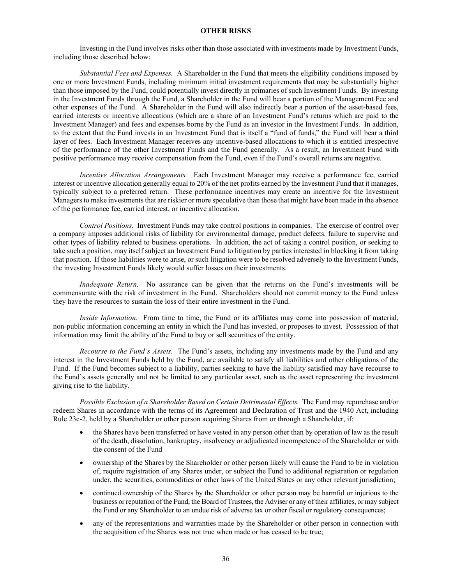## **OTHER RISKS**

Investing in the Fund involves risks other than those associated with investments made by Investment Funds, including those described below:

*Substantial Fees and Expenses.* A Shareholder in the Fund that meets the eligibility conditions imposed by one or more Investment Funds, including minimum initial investment requirements that may be substantially higher than those imposed by the Fund, could potentially invest directly in primaries of such Investment Funds. By investing in the Investment Funds through the Fund, a Shareholder in the Fund will bear a portion of the Management Fee and other expenses of the Fund. A Shareholder in the Fund will also indirectly bear a portion of the asset-based fees, carried interests or incentive allocations (which are a share of an Investment Fund's returns which are paid to the Investment Manager) and fees and expenses borne by the Fund as an investor in the Investment Funds. In addition, to the extent that the Fund invests in an Investment Fund that is itself a "fund of funds," the Fund will bear a third layer of fees. Each Investment Manager receives any incentive-based allocations to which it is entitled irrespective of the performance of the other Investment Funds and the Fund generally. As a result, an Investment Fund with positive performance may receive compensation from the Fund, even if the Fund's overall returns are negative.

*Incentive Allocation Arrangements.* Each Investment Manager may receive a performance fee, carried interest or incentive allocation generally equal to 20% of the net profits earned by the Investment Fund that it manages, typically subject to a preferred return. These performance incentives may create an incentive for the Investment Managers to make investments that are riskier or more speculative than those that might have been made in the absence of the performance fee, carried interest, or incentive allocation.

*Control Positions.* Investment Funds may take control positions in companies. The exercise of control over a company imposes additional risks of liability for environmental damage, product defects, failure to supervise and other types of liability related to business operations. In addition, the act of taking a control position, or seeking to take such a position, may itself subject an Investment Fund to litigation by parties interested in blocking it from taking that position. If those liabilities were to arise, or such litigation were to be resolved adversely to the Investment Funds, the investing Investment Funds likely would suffer losses on their investments.

*Inadequate Return.* No assurance can be given that the returns on the Fund's investments will be commensurate with the risk of investment in the Fund. Shareholders should not commit money to the Fund unless they have the resources to sustain the loss of their entire investment in the Fund.

*Inside Information.* From time to time, the Fund or its affiliates may come into possession of material, non-public information concerning an entity in which the Fund has invested, or proposes to invest. Possession of that information may limit the ability of the Fund to buy or sell securities of the entity.

*Recourse to the Fund's Assets.* The Fund's assets, including any investments made by the Fund and any interest in the Investment Funds held by the Fund, are available to satisfy all liabilities and other obligations of the Fund. If the Fund becomes subject to a liability, parties seeking to have the liability satisfied may have recourse to the Fund's assets generally and not be limited to any particular asset, such as the asset representing the investment giving rise to the liability.

*Possible Exclusion of a Shareholder Based on Certain Detrimental Effects.* The Fund may repurchase and/or redeem Shares in accordance with the terms of its Agreement and Declaration of Trust and the 1940 Act, including Rule 23c-2, held by a Shareholder or other person acquiring Shares from or through a Shareholder, if:

- the Shares have been transferred or have vested in any person other than by operation of law as the result of the death, dissolution, bankruptcy, insolvency or adjudicated incompetence of the Shareholder or with the consent of the Fund
- ownership of the Shares by the Shareholder or other person likely will cause the Fund to be in violation of, require registration of any Shares under, or subject the Fund to additional registration or regulation under, the securities, commodities or other laws of the United States or any other relevant jurisdiction;
- continued ownership of the Shares by the Shareholder or other person may be harmful or injurious to the business or reputation of the Fund, the Board of Trustees, the Adviser or any of their affiliates, or may subject the Fund or any Shareholder to an undue risk of adverse tax or other fiscal or regulatory consequences;
- any of the representations and warranties made by the Shareholder or other person in connection with the acquisition of the Shares was not true when made or has ceased to be true;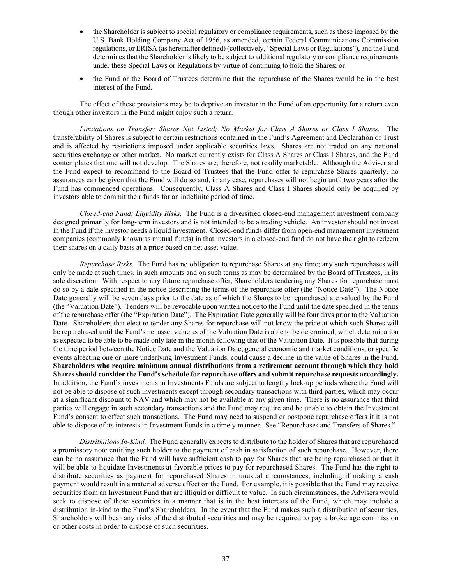- the Shareholder is subject to special regulatory or compliance requirements, such as those imposed by the U.S. Bank Holding Company Act of 1956, as amended, certain Federal Communications Commission regulations, or ERISA (as hereinafter defined) (collectively, "Special Laws or Regulations"), and the Fund determines that the Shareholder is likely to be subject to additional regulatory or compliance requirements under these Special Laws or Regulations by virtue of continuing to hold the Shares; or
- the Fund or the Board of Trustees determine that the repurchase of the Shares would be in the best interest of the Fund.

The effect of these provisions may be to deprive an investor in the Fund of an opportunity for a return even though other investors in the Fund might enjoy such a return.

*Limitations on Transfer; Shares Not Listed; No Market for Class A Shares or Class I Shares.* The transferability of Shares is subject to certain restrictions contained in the Fund's Agreement and Declaration of Trust and is affected by restrictions imposed under applicable securities laws. Shares are not traded on any national securities exchange or other market. No market currently exists for Class A Shares or Class I Shares, and the Fund contemplates that one will not develop. The Shares are, therefore, not readily marketable. Although the Adviser and the Fund expect to recommend to the Board of Trustees that the Fund offer to repurchase Shares quarterly, no assurances can be given that the Fund will do so and, in any case, repurchases will not begin until two years after the Fund has commenced operations. Consequently, Class A Shares and Class I Shares should only be acquired by investors able to commit their funds for an indefinite period of time.

*Closed-end Fund; Liquidity Risks.* The Fund is a diversified closed-end management investment company designed primarily for long-term investors and is not intended to be a trading vehicle. An investor should not invest in the Fund if the investor needs a liquid investment. Closed-end funds differ from open-end management investment companies (commonly known as mutual funds) in that investors in a closed-end fund do not have the right to redeem their shares on a daily basis at a price based on net asset value.

*Repurchase Risks.* The Fund has no obligation to repurchase Shares at any time; any such repurchases will only be made at such times, in such amounts and on such terms as may be determined by the Board of Trustees, in its sole discretion. With respect to any future repurchase offer, Shareholders tendering any Shares for repurchase must do so by a date specified in the notice describing the terms of the repurchase offer (the "Notice Date"). The Notice Date generally will be seven days prior to the date as of which the Shares to be repurchased are valued by the Fund (the "Valuation Date"). Tenders will be revocable upon written notice to the Fund until the date specified in the terms of the repurchase offer (the "Expiration Date"). The Expiration Date generally will be four days prior to the Valuation Date. Shareholders that elect to tender any Shares for repurchase will not know the price at which such Shares will be repurchased until the Fund's net asset value as of the Valuation Date is able to be determined, which determination is expected to be able to be made only late in the month following that of the Valuation Date. It is possible that during the time period between the Notice Date and the Valuation Date, general economic and market conditions, or specific events affecting one or more underlying Investment Funds, could cause a decline in the value of Shares in the Fund. **Shareholders who require minimum annual distributions from a retirement account through which they hold Shares should consider the Fund's schedule for repurchase offers and submit repurchase requests accordingly.**  In addition, the Fund's investments in Investments Funds are subject to lengthy lock-up periods where the Fund will not be able to dispose of such investments except through secondary transactions with third parties, which may occur at a significant discount to NAV and which may not be available at any given time. There is no assurance that third parties will engage in such secondary transactions and the Fund may require and be unable to obtain the Investment Fund's consent to effect such transactions. The Fund may need to suspend or postpone repurchase offers if it is not able to dispose of its interests in Investment Funds in a timely manner. See "Repurchases and Transfers of Shares."

*Distributions In-Kind.* The Fund generally expects to distribute to the holder of Shares that are repurchased a promissory note entitling such holder to the payment of cash in satisfaction of such repurchase. However, there can be no assurance that the Fund will have sufficient cash to pay for Shares that are being repurchased or that it will be able to liquidate Investments at favorable prices to pay for repurchased Shares. The Fund has the right to distribute securities as payment for repurchased Shares in unusual circumstances, including if making a cash payment would result in a material adverse effect on the Fund. For example, it is possible that the Fund may receive securities from an Investment Fund that are illiquid or difficult to value. In such circumstances, the Advisers would seek to dispose of these securities in a manner that is in the best interests of the Fund, which may include a distribution in-kind to the Fund's Shareholders. In the event that the Fund makes such a distribution of securities, Shareholders will bear any risks of the distributed securities and may be required to pay a brokerage commission or other costs in order to dispose of such securities.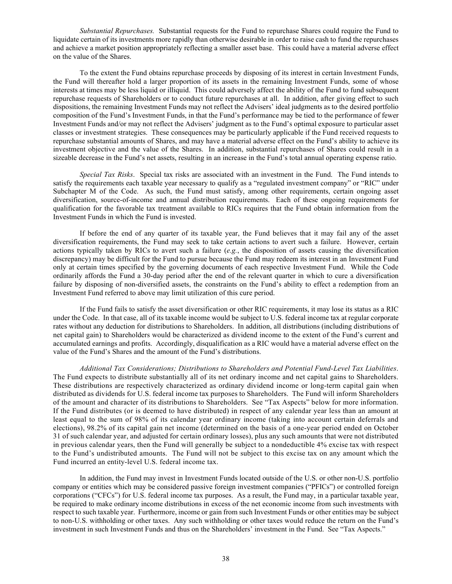*Substantial Repurchases.* Substantial requests for the Fund to repurchase Shares could require the Fund to liquidate certain of its investments more rapidly than otherwise desirable in order to raise cash to fund the repurchases and achieve a market position appropriately reflecting a smaller asset base. This could have a material adverse effect on the value of the Shares.

To the extent the Fund obtains repurchase proceeds by disposing of its interest in certain Investment Funds, the Fund will thereafter hold a larger proportion of its assets in the remaining Investment Funds, some of whose interests at times may be less liquid or illiquid. This could adversely affect the ability of the Fund to fund subsequent repurchase requests of Shareholders or to conduct future repurchases at all. In addition, after giving effect to such dispositions, the remaining Investment Funds may not reflect the Advisers' ideal judgments as to the desired portfolio composition of the Fund's Investment Funds, in that the Fund's performance may be tied to the performance of fewer Investment Funds and/or may not reflect the Advisers' judgment as to the Fund's optimal exposure to particular asset classes or investment strategies. These consequences may be particularly applicable if the Fund received requests to repurchase substantial amounts of Shares, and may have a material adverse effect on the Fund's ability to achieve its investment objective and the value of the Shares. In addition, substantial repurchases of Shares could result in a sizeable decrease in the Fund's net assets, resulting in an increase in the Fund's total annual operating expense ratio.

*Special Tax Risks*. Special tax risks are associated with an investment in the Fund. The Fund intends to satisfy the requirements each taxable year necessary to qualify as a "regulated investment company" or "RIC" under Subchapter M of the Code. As such, the Fund must satisfy, among other requirements, certain ongoing asset diversification, source-of-income and annual distribution requirements. Each of these ongoing requirements for qualification for the favorable tax treatment available to RICs requires that the Fund obtain information from the Investment Funds in which the Fund is invested.

If before the end of any quarter of its taxable year, the Fund believes that it may fail any of the asset diversification requirements, the Fund may seek to take certain actions to avert such a failure. However, certain actions typically taken by RICs to avert such a failure (*e.g.*, the disposition of assets causing the diversification discrepancy) may be difficult for the Fund to pursue because the Fund may redeem its interest in an Investment Fund only at certain times specified by the governing documents of each respective Investment Fund. While the Code ordinarily affords the Fund a 30-day period after the end of the relevant quarter in which to cure a diversification failure by disposing of non-diversified assets, the constraints on the Fund's ability to effect a redemption from an Investment Fund referred to above may limit utilization of this cure period.

If the Fund fails to satisfy the asset diversification or other RIC requirements, it may lose its status as a RIC under the Code. In that case, all of its taxable income would be subject to U.S. federal income tax at regular corporate rates without any deduction for distributions to Shareholders. In addition, all distributions (including distributions of net capital gain) to Shareholders would be characterized as dividend income to the extent of the Fund's current and accumulated earnings and profits. Accordingly, disqualification as a RIC would have a material adverse effect on the value of the Fund's Shares and the amount of the Fund's distributions.

*Additional Tax Considerations; Distributions to Shareholders and Potential Fund-Level Tax Liabilities*. The Fund expects to distribute substantially all of its net ordinary income and net capital gains to Shareholders. These distributions are respectively characterized as ordinary dividend income or long-term capital gain when distributed as dividends for U.S. federal income tax purposes to Shareholders. The Fund will inform Shareholders of the amount and character of its distributions to Shareholders. See "Tax Aspects" below for more information. If the Fund distributes (or is deemed to have distributed) in respect of any calendar year less than an amount at least equal to the sum of 98% of its calendar year ordinary income (taking into account certain deferrals and elections), 98.2% of its capital gain net income (determined on the basis of a one-year period ended on October 31 of such calendar year, and adjusted for certain ordinary losses), plus any such amounts that were not distributed in previous calendar years, then the Fund will generally be subject to a nondeductible 4% excise tax with respect to the Fund's undistributed amounts. The Fund will not be subject to this excise tax on any amount which the Fund incurred an entity-level U.S. federal income tax.

In addition, the Fund may invest in Investment Funds located outside of the U.S. or other non-U.S. portfolio company or entities which may be considered passive foreign investment companies ("PFICs") or controlled foreign corporations ("CFCs") for U.S. federal income tax purposes. As a result, the Fund may, in a particular taxable year, be required to make ordinary income distributions in excess of the net economic income from such investments with respect to such taxable year. Furthermore, income or gain from such Investment Funds or other entities may be subject to non-U.S. withholding or other taxes. Any such withholding or other taxes would reduce the return on the Fund's investment in such Investment Funds and thus on the Shareholders' investment in the Fund. See "Tax Aspects."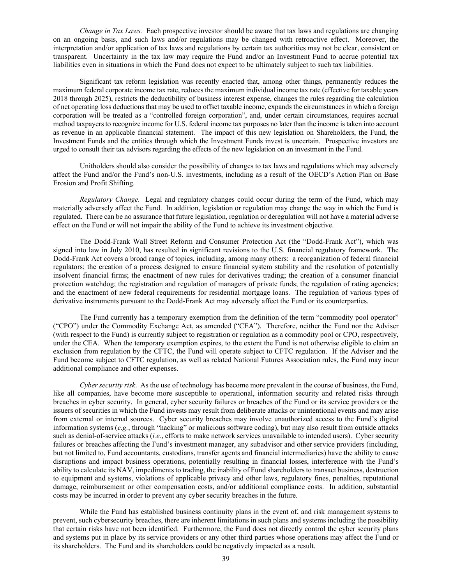*Change in Tax Laws.* Each prospective investor should be aware that tax laws and regulations are changing on an ongoing basis, and such laws and/or regulations may be changed with retroactive effect. Moreover, the interpretation and/or application of tax laws and regulations by certain tax authorities may not be clear, consistent or transparent. Uncertainty in the tax law may require the Fund and/or an Investment Fund to accrue potential tax liabilities even in situations in which the Fund does not expect to be ultimately subject to such tax liabilities.

Significant tax reform legislation was recently enacted that, among other things, permanently reduces the maximum federal corporate income tax rate, reduces the maximum individual income tax rate (effective for taxable years 2018 through 2025), restricts the deductibility of business interest expense, changes the rules regarding the calculation of net operating loss deductions that may be used to offset taxable income, expands the circumstances in which a foreign corporation will be treated as a "controlled foreign corporation", and, under certain circumstances, requires accrual method taxpayers to recognize income for U.S. federal income tax purposes no later than the income is taken into account as revenue in an applicable financial statement. The impact of this new legislation on Shareholders, the Fund, the Investment Funds and the entities through which the Investment Funds invest is uncertain. Prospective investors are urged to consult their tax advisors regarding the effects of the new legislation on an investment in the Fund.

Unitholders should also consider the possibility of changes to tax laws and regulations which may adversely affect the Fund and/or the Fund's non-U.S. investments, including as a result of the OECD's Action Plan on Base Erosion and Profit Shifting.

*Regulatory Change.* Legal and regulatory changes could occur during the term of the Fund, which may materially adversely affect the Fund. In addition, legislation or regulation may change the way in which the Fund is regulated. There can be no assurance that future legislation, regulation or deregulation will not have a material adverse effect on the Fund or will not impair the ability of the Fund to achieve its investment objective.

The Dodd-Frank Wall Street Reform and Consumer Protection Act (the "Dodd-Frank Act"), which was signed into law in July 2010, has resulted in significant revisions to the U.S. financial regulatory framework. The Dodd-Frank Act covers a broad range of topics, including, among many others: a reorganization of federal financial regulators; the creation of a process designed to ensure financial system stability and the resolution of potentially insolvent financial firms; the enactment of new rules for derivatives trading; the creation of a consumer financial protection watchdog; the registration and regulation of managers of private funds; the regulation of rating agencies; and the enactment of new federal requirements for residential mortgage loans. The regulation of various types of derivative instruments pursuant to the Dodd-Frank Act may adversely affect the Fund or its counterparties.

The Fund currently has a temporary exemption from the definition of the term "commodity pool operator" ("CPO") under the Commodity Exchange Act, as amended ("CEA"). Therefore, neither the Fund nor the Adviser (with respect to the Fund) is currently subject to registration or regulation as a commodity pool or CPO, respectively, under the CEA. When the temporary exemption expires, to the extent the Fund is not otherwise eligible to claim an exclusion from regulation by the CFTC, the Fund will operate subject to CFTC regulation. If the Adviser and the Fund become subject to CFTC regulation, as well as related National Futures Association rules, the Fund may incur additional compliance and other expenses.

*Cyber security risk*. As the use of technology has become more prevalent in the course of business, the Fund, like all companies, have become more susceptible to operational, information security and related risks through breaches in cyber security. In general, cyber security failures or breaches of the Fund or its service providers or the issuers of securities in which the Fund invests may result from deliberate attacks or unintentional events and may arise from external or internal sources. Cyber security breaches may involve unauthorized access to the Fund's digital information systems (*e.g.*, through "hacking" or malicious software coding), but may also result from outside attacks such as denial-of-service attacks (*i.e.*, efforts to make network services unavailable to intended users). Cyber security failures or breaches affecting the Fund's investment manager, any subadvisor and other service providers (including, but not limited to, Fund accountants, custodians, transfer agents and financial intermediaries) have the ability to cause disruptions and impact business operations, potentially resulting in financial losses, interference with the Fund's ability to calculate its NAV, impediments to trading, the inability of Fund shareholders to transact business, destruction to equipment and systems, violations of applicable privacy and other laws, regulatory fines, penalties, reputational damage, reimbursement or other compensation costs, and/or additional compliance costs. In addition, substantial costs may be incurred in order to prevent any cyber security breaches in the future.

While the Fund has established business continuity plans in the event of, and risk management systems to prevent, such cybersecurity breaches, there are inherent limitations in such plans and systems including the possibility that certain risks have not been identified. Furthermore, the Fund does not directly control the cyber security plans and systems put in place by its service providers or any other third parties whose operations may affect the Fund or its shareholders. The Fund and its shareholders could be negatively impacted as a result.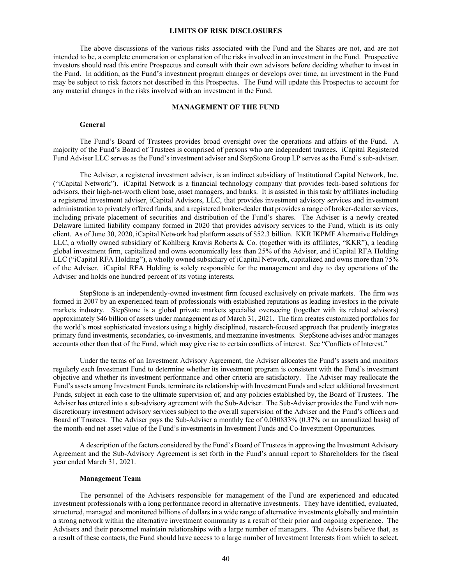### **LIMITS OF RISK DISCLOSURES**

The above discussions of the various risks associated with the Fund and the Shares are not, and are not intended to be, a complete enumeration or explanation of the risks involved in an investment in the Fund. Prospective investors should read this entire Prospectus and consult with their own advisors before deciding whether to invest in the Fund. In addition, as the Fund's investment program changes or develops over time, an investment in the Fund may be subject to risk factors not described in this Prospectus. The Fund will update this Prospectus to account for any material changes in the risks involved with an investment in the Fund.

### **MANAGEMENT OF THE FUND**

#### **General**

The Fund's Board of Trustees provides broad oversight over the operations and affairs of the Fund. A majority of the Fund's Board of Trustees is comprised of persons who are independent trustees. iCapital Registered Fund Adviser LLC serves as the Fund's investment adviser and StepStone Group LP serves as the Fund's sub-adviser.

The Adviser, a registered investment adviser, is an indirect subsidiary of Institutional Capital Network, Inc. ("iCapital Network"). iCapital Network is a financial technology company that provides tech-based solutions for advisors, their high-net-worth client base, asset managers, and banks. It is assisted in this task by affiliates including a registered investment adviser, iCapital Advisors, LLC, that provides investment advisory services and investment administration to privately offered funds, and a registered broker-dealer that provides a range of broker-dealer services, including private placement of securities and distribution of the Fund's shares. The Adviser is a newly created Delaware limited liability company formed in 2020 that provides advisory services to the Fund, which is its only client. As of June 30, 2020, iCapital Network had platform assets of \$52.3 billion. KKR IKPMF Alternative Holdings LLC, a wholly owned subsidiary of Kohlberg Kravis Roberts & Co. (together with its affiliates, "KKR"), a leading global investment firm, capitalized and owns economically less than 25% of the Adviser, and iCapital RFA Holding LLC ("iCapital RFA Holding"), a wholly owned subsidiary of iCapital Network, capitalized and owns more than 75% of the Adviser. iCapital RFA Holding is solely responsible for the management and day to day operations of the Adviser and holds one hundred percent of its voting interests.

StepStone is an independently-owned investment firm focused exclusively on private markets. The firm was formed in 2007 by an experienced team of professionals with established reputations as leading investors in the private markets industry. StepStone is a global private markets specialist overseeing (together with its related advisors) approximately \$46 billion of assets under management as of March 31, 2021. The firm creates customized portfolios for the world's most sophisticated investors using a highly disciplined, research-focused approach that prudently integrates primary fund investments, secondaries, co-investments, and mezzanine investments. StepStone advises and/or manages accounts other than that of the Fund, which may give rise to certain conflicts of interest. See "Conflicts of Interest."

Under the terms of an Investment Advisory Agreement, the Adviser allocates the Fund's assets and monitors regularly each Investment Fund to determine whether its investment program is consistent with the Fund's investment objective and whether its investment performance and other criteria are satisfactory. The Adviser may reallocate the Fund's assets among Investment Funds, terminate its relationship with Investment Funds and select additional Investment Funds, subject in each case to the ultimate supervision of, and any policies established by, the Board of Trustees. The Adviser has entered into a sub-advisory agreement with the Sub-Adviser. The Sub-Adviser provides the Fund with nondiscretionary investment advisory services subject to the overall supervision of the Adviser and the Fund's officers and Board of Trustees. The Adviser pays the Sub-Adviser a monthly fee of 0.030833% (0.37% on an annualized basis) of the month-end net asset value of the Fund's investments in Investment Funds and Co-Investment Opportunities.

A description of the factors considered by the Fund's Board of Trustees in approving the Investment Advisory Agreement and the Sub-Advisory Agreement is set forth in the Fund's annual report to Shareholders for the fiscal year ended March 31, 2021.

### **Management Team**

The personnel of the Advisers responsible for management of the Fund are experienced and educated investment professionals with a long performance record in alternative investments. They have identified, evaluated, structured, managed and monitored billions of dollars in a wide range of alternative investments globally and maintain a strong network within the alternative investment community as a result of their prior and ongoing experience. The Advisers and their personnel maintain relationships with a large number of managers. The Advisers believe that, as a result of these contacts, the Fund should have access to a large number of Investment Interests from which to select.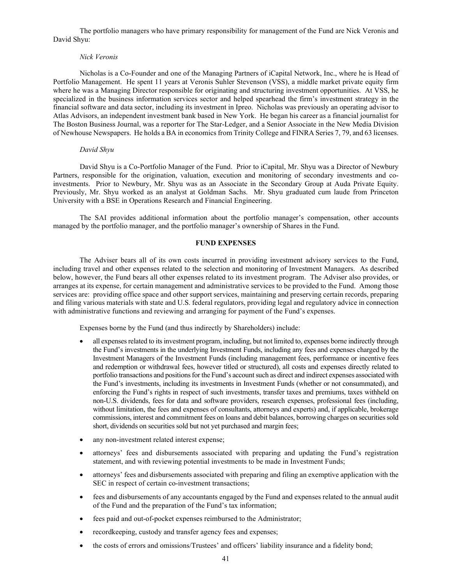The portfolio managers who have primary responsibility for management of the Fund are Nick Veronis and David Shyu:

# *Nick Veronis*

Nicholas is a Co-Founder and one of the Managing Partners of iCapital Network, Inc., where he is Head of Portfolio Management. He spent 11 years at Veronis Suhler Stevenson (VSS), a middle market private equity firm where he was a Managing Director responsible for originating and structuring investment opportunities. At VSS, he specialized in the business information services sector and helped spearhead the firm's investment strategy in the financial software and data sector, including its investment in Ipreo. Nicholas was previously an operating advisor to Atlas Advisors, an independent investment bank based in New York. He began his career as a financial journalist for The Boston Business Journal, was a reporter for The Star-Ledger, and a Senior Associate in the New Media Division of Newhouse Newspapers. He holds a BA in economics from Trinity College and FINRA Series 7, 79, and 63 licenses.

# *David Shyu*

David Shyu is a Co-Portfolio Manager of the Fund. Prior to iCapital, Mr. Shyu was a Director of Newbury Partners, responsible for the origination, valuation, execution and monitoring of secondary investments and coinvestments. Prior to Newbury, Mr. Shyu was as an Associate in the Secondary Group at Auda Private Equity. Previously, Mr. Shyu worked as an analyst at Goldman Sachs. Mr. Shyu graduated cum laude from Princeton University with a BSE in Operations Research and Financial Engineering.

The SAI provides additional information about the portfolio manager's compensation, other accounts managed by the portfolio manager, and the portfolio manager's ownership of Shares in the Fund.

# **FUND EXPENSES**

The Adviser bears all of its own costs incurred in providing investment advisory services to the Fund, including travel and other expenses related to the selection and monitoring of Investment Managers. As described below, however, the Fund bears all other expenses related to its investment program. The Adviser also provides, or arranges at its expense, for certain management and administrative services to be provided to the Fund. Among those services are: providing office space and other support services, maintaining and preserving certain records, preparing and filing various materials with state and U.S. federal regulators, providing legal and regulatory advice in connection with administrative functions and reviewing and arranging for payment of the Fund's expenses.

Expenses borne by the Fund (and thus indirectly by Shareholders) include:

- all expenses related to its investment program, including, but not limited to, expenses borne indirectly through the Fund's investments in the underlying Investment Funds, including any fees and expenses charged by the Investment Managers of the Investment Funds (including management fees, performance or incentive fees and redemption or withdrawal fees, however titled or structured), all costs and expenses directly related to portfolio transactions and positions for the Fund's account such as direct and indirect expenses associated with the Fund's investments, including its investments in Investment Funds (whether or not consummated), and enforcing the Fund's rights in respect of such investments, transfer taxes and premiums, taxes withheld on non-U.S. dividends, fees for data and software providers, research expenses, professional fees (including, without limitation, the fees and expenses of consultants, attorneys and experts) and, if applicable, brokerage commissions, interest and commitment fees on loans and debit balances, borrowing charges on securities sold short, dividends on securities sold but not yet purchased and margin fees;
- any non-investment related interest expense;
- attorneys' fees and disbursements associated with preparing and updating the Fund's registration statement, and with reviewing potential investments to be made in Investment Funds;
- attorneys' fees and disbursements associated with preparing and filing an exemptive application with the SEC in respect of certain co-investment transactions;
- fees and disbursements of any accountants engaged by the Fund and expenses related to the annual audit of the Fund and the preparation of the Fund's tax information;
- fees paid and out-of-pocket expenses reimbursed to the Administrator;
- recordkeeping, custody and transfer agency fees and expenses;
- the costs of errors and omissions/Trustees' and officers' liability insurance and a fidelity bond;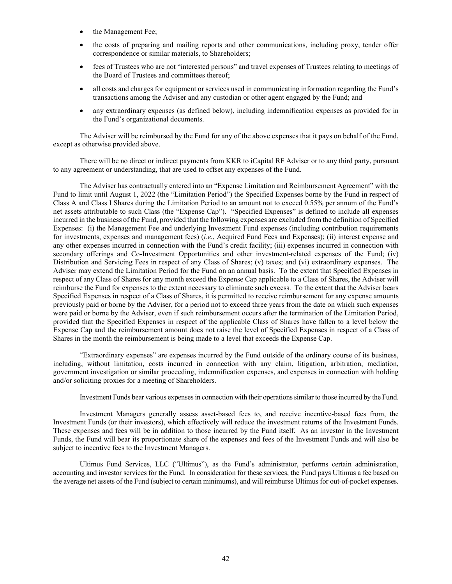- the Management Fee;
- the costs of preparing and mailing reports and other communications, including proxy, tender offer correspondence or similar materials, to Shareholders;
- fees of Trustees who are not "interested persons" and travel expenses of Trustees relating to meetings of the Board of Trustees and committees thereof;
- all costs and charges for equipment or services used in communicating information regarding the Fund's transactions among the Adviser and any custodian or other agent engaged by the Fund; and
- any extraordinary expenses (as defined below), including indemnification expenses as provided for in the Fund's organizational documents.

The Adviser will be reimbursed by the Fund for any of the above expenses that it pays on behalf of the Fund, except as otherwise provided above.

There will be no direct or indirect payments from KKR to iCapital RF Adviser or to any third party, pursuant to any agreement or understanding, that are used to offset any expenses of the Fund.

The Adviser has contractually entered into an "Expense Limitation and Reimbursement Agreement" with the Fund to limit until August 1, 2022 (the "Limitation Period") the Specified Expenses borne by the Fund in respect of Class A and Class I Shares during the Limitation Period to an amount not to exceed 0.55% per annum of the Fund's net assets attributable to such Class (the "Expense Cap"). "Specified Expenses" is defined to include all expenses incurred in the business of the Fund, provided that the following expenses are excluded from the definition of Specified Expenses: (i) the Management Fee and underlying Investment Fund expenses (including contribution requirements for investments, expenses and management fees) (*i.e.*, Acquired Fund Fees and Expenses); (ii) interest expense and any other expenses incurred in connection with the Fund's credit facility; (iii) expenses incurred in connection with secondary offerings and Co-Investment Opportunities and other investment-related expenses of the Fund; (iv) Distribution and Servicing Fees in respect of any Class of Shares; (v) taxes; and (vi) extraordinary expenses. The Adviser may extend the Limitation Period for the Fund on an annual basis. To the extent that Specified Expenses in respect of any Class of Shares for any month exceed the Expense Cap applicable to a Class of Shares, the Adviser will reimburse the Fund for expenses to the extent necessary to eliminate such excess. To the extent that the Adviser bears Specified Expenses in respect of a Class of Shares, it is permitted to receive reimbursement for any expense amounts previously paid or borne by the Adviser, for a period not to exceed three years from the date on which such expenses were paid or borne by the Adviser, even if such reimbursement occurs after the termination of the Limitation Period, provided that the Specified Expenses in respect of the applicable Class of Shares have fallen to a level below the Expense Cap and the reimbursement amount does not raise the level of Specified Expenses in respect of a Class of Shares in the month the reimbursement is being made to a level that exceeds the Expense Cap.

"Extraordinary expenses" are expenses incurred by the Fund outside of the ordinary course of its business, including, without limitation, costs incurred in connection with any claim, litigation, arbitration, mediation, government investigation or similar proceeding, indemnification expenses, and expenses in connection with holding and/or soliciting proxies for a meeting of Shareholders.

Investment Funds bear various expenses in connection with their operations similar to those incurred by the Fund.

Investment Managers generally assess asset-based fees to, and receive incentive-based fees from, the Investment Funds (or their investors), which effectively will reduce the investment returns of the Investment Funds. These expenses and fees will be in addition to those incurred by the Fund itself. As an investor in the Investment Funds, the Fund will bear its proportionate share of the expenses and fees of the Investment Funds and will also be subject to incentive fees to the Investment Managers.

Ultimus Fund Services, LLC ("Ultimus"), as the Fund's administrator, performs certain administration, accounting and investor services for the Fund. In consideration for these services, the Fund pays Ultimus a fee based on the average net assets of the Fund (subject to certain minimums), and will reimburse Ultimus for out-of-pocket expenses.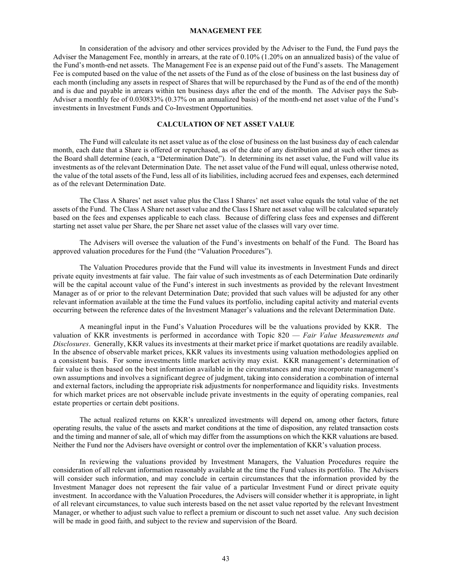#### **MANAGEMENT FEE**

In consideration of the advisory and other services provided by the Adviser to the Fund, the Fund pays the Adviser the Management Fee, monthly in arrears, at the rate of 0.10% (1.20% on an annualized basis) of the value of the Fund's month-end net assets. The Management Fee is an expense paid out of the Fund's assets. The Management Fee is computed based on the value of the net assets of the Fund as of the close of business on the last business day of each month (including any assets in respect of Shares that will be repurchased by the Fund as of the end of the month) and is due and payable in arrears within ten business days after the end of the month. The Adviser pays the Sub-Adviser a monthly fee of 0.030833% (0.37% on an annualized basis) of the month-end net asset value of the Fund's investments in Investment Funds and Co-Investment Opportunities.

### **CALCULATION OF NET ASSET VALUE**

The Fund will calculate its net asset value as of the close of business on the last business day of each calendar month, each date that a Share is offered or repurchased, as of the date of any distribution and at such other times as the Board shall determine (each, a "Determination Date"). In determining its net asset value, the Fund will value its investments as of the relevant Determination Date. The net asset value of the Fund will equal, unless otherwise noted, the value of the total assets of the Fund, less all of its liabilities, including accrued fees and expenses, each determined as of the relevant Determination Date.

The Class A Shares' net asset value plus the Class I Shares' net asset value equals the total value of the net assets of the Fund. The Class A Share net asset value and the Class I Share net asset value will be calculated separately based on the fees and expenses applicable to each class. Because of differing class fees and expenses and different starting net asset value per Share, the per Share net asset value of the classes will vary over time.

The Advisers will oversee the valuation of the Fund's investments on behalf of the Fund. The Board has approved valuation procedures for the Fund (the "Valuation Procedures").

The Valuation Procedures provide that the Fund will value its investments in Investment Funds and direct private equity investments at fair value. The fair value of such investments as of each Determination Date ordinarily will be the capital account value of the Fund's interest in such investments as provided by the relevant Investment Manager as of or prior to the relevant Determination Date; provided that such values will be adjusted for any other relevant information available at the time the Fund values its portfolio, including capital activity and material events occurring between the reference dates of the Investment Manager's valuations and the relevant Determination Date.

A meaningful input in the Fund's Valuation Procedures will be the valuations provided by KKR. The valuation of KKR investments is performed in accordance with Topic 820 — *Fair Value Measurements and Disclosures*. Generally, KKR values its investments at their market price if market quotations are readily available. In the absence of observable market prices, KKR values its investments using valuation methodologies applied on a consistent basis. For some investments little market activity may exist. KKR management's determination of fair value is then based on the best information available in the circumstances and may incorporate management's own assumptions and involves a significant degree of judgment, taking into consideration a combination of internal and external factors, including the appropriate risk adjustments for nonperformance and liquidity risks. Investments for which market prices are not observable include private investments in the equity of operating companies, real estate properties or certain debt positions.

The actual realized returns on KKR's unrealized investments will depend on, among other factors, future operating results, the value of the assets and market conditions at the time of disposition, any related transaction costs and the timing and manner of sale, all of which may differ from the assumptions on which the KKR valuations are based. Neither the Fund nor the Advisers have oversight or control over the implementation of KKR's valuation process.

In reviewing the valuations provided by Investment Managers, the Valuation Procedures require the consideration of all relevant information reasonably available at the time the Fund values its portfolio. The Advisers will consider such information, and may conclude in certain circumstances that the information provided by the Investment Manager does not represent the fair value of a particular Investment Fund or direct private equity investment. In accordance with the Valuation Procedures, the Advisers will consider whether it is appropriate, in light of all relevant circumstances, to value such interests based on the net asset value reported by the relevant Investment Manager, or whether to adjust such value to reflect a premium or discount to such net asset value. Any such decision will be made in good faith, and subject to the review and supervision of the Board.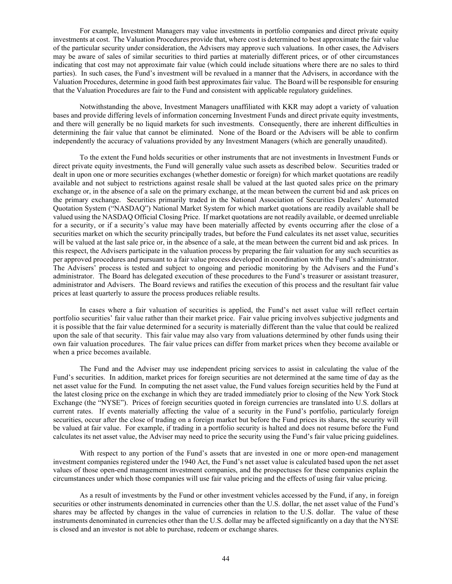For example, Investment Managers may value investments in portfolio companies and direct private equity investments at cost. The Valuation Procedures provide that, where cost is determined to best approximate the fair value of the particular security under consideration, the Advisers may approve such valuations. In other cases, the Advisers may be aware of sales of similar securities to third parties at materially different prices, or of other circumstances indicating that cost may not approximate fair value (which could include situations where there are no sales to third parties). In such cases, the Fund's investment will be revalued in a manner that the Advisers, in accordance with the Valuation Procedures, determine in good faith best approximates fair value. The Board will be responsible for ensuring that the Valuation Procedures are fair to the Fund and consistent with applicable regulatory guidelines.

Notwithstanding the above, Investment Managers unaffiliated with KKR may adopt a variety of valuation bases and provide differing levels of information concerning Investment Funds and direct private equity investments, and there will generally be no liquid markets for such investments. Consequently, there are inherent difficulties in determining the fair value that cannot be eliminated. None of the Board or the Advisers will be able to confirm independently the accuracy of valuations provided by any Investment Managers (which are generally unaudited).

To the extent the Fund holds securities or other instruments that are not investments in Investment Funds or direct private equity investments, the Fund will generally value such assets as described below. Securities traded or dealt in upon one or more securities exchanges (whether domestic or foreign) for which market quotations are readily available and not subject to restrictions against resale shall be valued at the last quoted sales price on the primary exchange or, in the absence of a sale on the primary exchange, at the mean between the current bid and ask prices on the primary exchange. Securities primarily traded in the National Association of Securities Dealers' Automated Quotation System ("NASDAQ") National Market System for which market quotations are readily available shall be valued using the NASDAQ Official Closing Price. If market quotations are not readily available, or deemed unreliable for a security, or if a security's value may have been materially affected by events occurring after the close of a securities market on which the security principally trades, but before the Fund calculates its net asset value, securities will be valued at the last sale price or, in the absence of a sale, at the mean between the current bid and ask prices. In this respect, the Advisers participate in the valuation process by preparing the fair valuation for any such securities as per approved procedures and pursuant to a fair value process developed in coordination with the Fund's administrator. The Advisers' process is tested and subject to ongoing and periodic monitoring by the Advisers and the Fund's administrator. The Board has delegated execution of these procedures to the Fund's treasurer or assistant treasurer, administrator and Advisers. The Board reviews and ratifies the execution of this process and the resultant fair value prices at least quarterly to assure the process produces reliable results.

In cases where a fair valuation of securities is applied, the Fund's net asset value will reflect certain portfolio securities' fair value rather than their market price. Fair value pricing involves subjective judgments and it is possible that the fair value determined for a security is materially different than the value that could be realized upon the sale of that security. This fair value may also vary from valuations determined by other funds using their own fair valuation procedures. The fair value prices can differ from market prices when they become available or when a price becomes available.

The Fund and the Adviser may use independent pricing services to assist in calculating the value of the Fund's securities. In addition, market prices for foreign securities are not determined at the same time of day as the net asset value for the Fund. In computing the net asset value, the Fund values foreign securities held by the Fund at the latest closing price on the exchange in which they are traded immediately prior to closing of the New York Stock Exchange (the "NYSE"). Prices of foreign securities quoted in foreign currencies are translated into U.S. dollars at current rates. If events materially affecting the value of a security in the Fund's portfolio, particularly foreign securities, occur after the close of trading on a foreign market but before the Fund prices its shares, the security will be valued at fair value. For example, if trading in a portfolio security is halted and does not resume before the Fund calculates its net asset value, the Adviser may need to price the security using the Fund's fair value pricing guidelines.

With respect to any portion of the Fund's assets that are invested in one or more open-end management investment companies registered under the 1940 Act, the Fund's net asset value is calculated based upon the net asset values of those open-end management investment companies, and the prospectuses for these companies explain the circumstances under which those companies will use fair value pricing and the effects of using fair value pricing.

As a result of investments by the Fund or other investment vehicles accessed by the Fund, if any, in foreign securities or other instruments denominated in currencies other than the U.S. dollar, the net asset value of the Fund's shares may be affected by changes in the value of currencies in relation to the U.S. dollar. The value of these instruments denominated in currencies other than the U.S. dollar may be affected significantly on a day that the NYSE is closed and an investor is not able to purchase, redeem or exchange shares.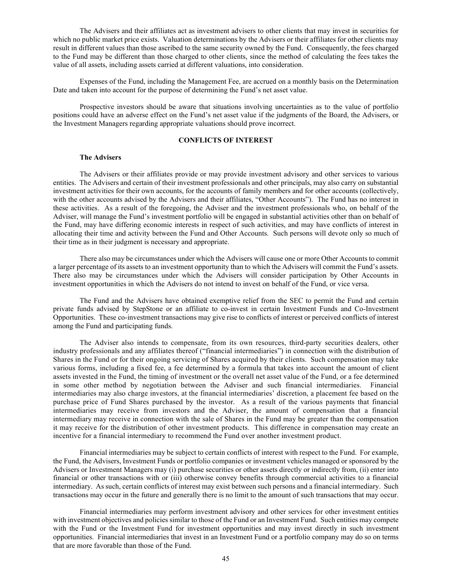The Advisers and their affiliates act as investment advisers to other clients that may invest in securities for which no public market price exists. Valuation determinations by the Advisers or their affiliates for other clients may result in different values than those ascribed to the same security owned by the Fund. Consequently, the fees charged to the Fund may be different than those charged to other clients, since the method of calculating the fees takes the value of all assets, including assets carried at different valuations, into consideration.

Expenses of the Fund, including the Management Fee, are accrued on a monthly basis on the Determination Date and taken into account for the purpose of determining the Fund's net asset value.

Prospective investors should be aware that situations involving uncertainties as to the value of portfolio positions could have an adverse effect on the Fund's net asset value if the judgments of the Board, the Advisers, or the Investment Managers regarding appropriate valuations should prove incorrect.

### **CONFLICTS OF INTEREST**

# **The Advisers**

The Advisers or their affiliates provide or may provide investment advisory and other services to various entities. The Advisers and certain of their investment professionals and other principals, may also carry on substantial investment activities for their own accounts, for the accounts of family members and for other accounts (collectively, with the other accounts advised by the Advisers and their affiliates, "Other Accounts"). The Fund has no interest in these activities. As a result of the foregoing, the Adviser and the investment professionals who, on behalf of the Adviser, will manage the Fund's investment portfolio will be engaged in substantial activities other than on behalf of the Fund, may have differing economic interests in respect of such activities, and may have conflicts of interest in allocating their time and activity between the Fund and Other Accounts. Such persons will devote only so much of their time as in their judgment is necessary and appropriate.

There also may be circumstances under which the Advisers will cause one or more Other Accounts to commit a larger percentage of its assets to an investment opportunity than to which the Advisers will commit the Fund's assets. There also may be circumstances under which the Advisers will consider participation by Other Accounts in investment opportunities in which the Advisers do not intend to invest on behalf of the Fund, or vice versa.

The Fund and the Advisers have obtained exemptive relief from the SEC to permit the Fund and certain private funds advised by StepStone or an affiliate to co-invest in certain Investment Funds and Co-Investment Opportunities. These co-investment transactions may give rise to conflicts of interest or perceived conflicts of interest among the Fund and participating funds.

The Adviser also intends to compensate, from its own resources, third-party securities dealers, other industry professionals and any affiliates thereof ("financial intermediaries") in connection with the distribution of Shares in the Fund or for their ongoing servicing of Shares acquired by their clients. Such compensation may take various forms, including a fixed fee, a fee determined by a formula that takes into account the amount of client assets invested in the Fund, the timing of investment or the overall net asset value of the Fund, or a fee determined in some other method by negotiation between the Adviser and such financial intermediaries. Financial intermediaries may also charge investors, at the financial intermediaries' discretion, a placement fee based on the purchase price of Fund Shares purchased by the investor. As a result of the various payments that financial intermediaries may receive from investors and the Adviser, the amount of compensation that a financial intermediary may receive in connection with the sale of Shares in the Fund may be greater than the compensation it may receive for the distribution of other investment products. This difference in compensation may create an incentive for a financial intermediary to recommend the Fund over another investment product.

Financial intermediaries may be subject to certain conflicts of interest with respect to the Fund. For example, the Fund, the Advisers, Investment Funds or portfolio companies or investment vehicles managed or sponsored by the Advisers or Investment Managers may (i) purchase securities or other assets directly or indirectly from, (ii) enter into financial or other transactions with or (iii) otherwise convey benefits through commercial activities to a financial intermediary. As such, certain conflicts of interest may exist between such persons and a financial intermediary. Such transactions may occur in the future and generally there is no limit to the amount of such transactions that may occur.

Financial intermediaries may perform investment advisory and other services for other investment entities with investment objectives and policies similar to those of the Fund or an Investment Fund. Such entities may compete with the Fund or the Investment Fund for investment opportunities and may invest directly in such investment opportunities. Financial intermediaries that invest in an Investment Fund or a portfolio company may do so on terms that are more favorable than those of the Fund.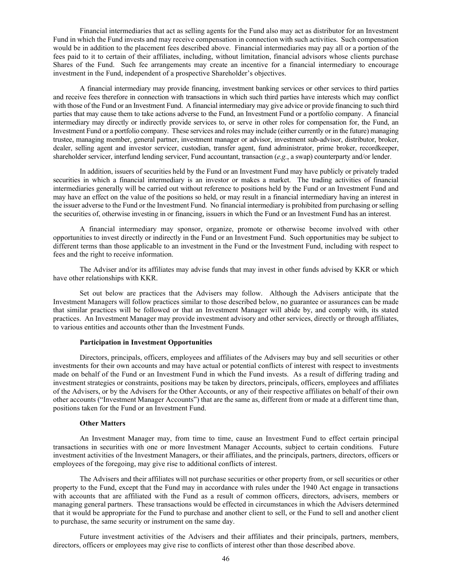Financial intermediaries that act as selling agents for the Fund also may act as distributor for an Investment Fund in which the Fund invests and may receive compensation in connection with such activities. Such compensation would be in addition to the placement fees described above. Financial intermediaries may pay all or a portion of the fees paid to it to certain of their affiliates, including, without limitation, financial advisors whose clients purchase Shares of the Fund. Such fee arrangements may create an incentive for a financial intermediary to encourage investment in the Fund, independent of a prospective Shareholder's objectives.

A financial intermediary may provide financing, investment banking services or other services to third parties and receive fees therefore in connection with transactions in which such third parties have interests which may conflict with those of the Fund or an Investment Fund. A financial intermediary may give advice or provide financing to such third parties that may cause them to take actions adverse to the Fund, an Investment Fund or a portfolio company. A financial intermediary may directly or indirectly provide services to, or serve in other roles for compensation for, the Fund, an Investment Fund or a portfolio company. These services and roles may include (either currently or in the future) managing trustee, managing member, general partner, investment manager or advisor, investment sub-advisor, distributor, broker, dealer, selling agent and investor servicer, custodian, transfer agent, fund administrator, prime broker, recordkeeper, shareholder servicer, interfund lending servicer, Fund accountant, transaction (*e.g.*, a swap) counterparty and/or lender.

In addition, issuers of securities held by the Fund or an Investment Fund may have publicly or privately traded securities in which a financial intermediary is an investor or makes a market. The trading activities of financial intermediaries generally will be carried out without reference to positions held by the Fund or an Investment Fund and may have an effect on the value of the positions so held, or may result in a financial intermediary having an interest in the issuer adverse to the Fund or the Investment Fund. No financial intermediary is prohibited from purchasing or selling the securities of, otherwise investing in or financing, issuers in which the Fund or an Investment Fund has an interest.

A financial intermediary may sponsor, organize, promote or otherwise become involved with other opportunities to invest directly or indirectly in the Fund or an Investment Fund. Such opportunities may be subject to different terms than those applicable to an investment in the Fund or the Investment Fund, including with respect to fees and the right to receive information.

The Adviser and/or its affiliates may advise funds that may invest in other funds advised by KKR or which have other relationships with KKR.

Set out below are practices that the Advisers may follow. Although the Advisers anticipate that the Investment Managers will follow practices similar to those described below, no guarantee or assurances can be made that similar practices will be followed or that an Investment Manager will abide by, and comply with, its stated practices. An Investment Manager may provide investment advisory and other services, directly or through affiliates, to various entities and accounts other than the Investment Funds.

#### **Participation in Investment Opportunities**

Directors, principals, officers, employees and affiliates of the Advisers may buy and sell securities or other investments for their own accounts and may have actual or potential conflicts of interest with respect to investments made on behalf of the Fund or an Investment Fund in which the Fund invests. As a result of differing trading and investment strategies or constraints, positions may be taken by directors, principals, officers, employees and affiliates of the Advisers, or by the Advisers for the Other Accounts, or any of their respective affiliates on behalf of their own other accounts ("Investment Manager Accounts") that are the same as, different from or made at a different time than, positions taken for the Fund or an Investment Fund.

#### **Other Matters**

An Investment Manager may, from time to time, cause an Investment Fund to effect certain principal transactions in securities with one or more Investment Manager Accounts, subject to certain conditions. Future investment activities of the Investment Managers, or their affiliates, and the principals, partners, directors, officers or employees of the foregoing, may give rise to additional conflicts of interest.

The Advisers and their affiliates will not purchase securities or other property from, or sell securities or other property to the Fund, except that the Fund may in accordance with rules under the 1940 Act engage in transactions with accounts that are affiliated with the Fund as a result of common officers, directors, advisers, members or managing general partners. These transactions would be effected in circumstances in which the Advisers determined that it would be appropriate for the Fund to purchase and another client to sell, or the Fund to sell and another client to purchase, the same security or instrument on the same day.

Future investment activities of the Advisers and their affiliates and their principals, partners, members, directors, officers or employees may give rise to conflicts of interest other than those described above.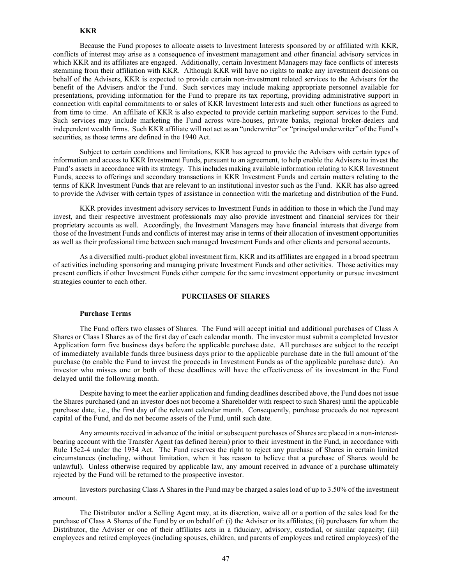### **KKR**

Because the Fund proposes to allocate assets to Investment Interests sponsored by or affiliated with KKR, conflicts of interest may arise as a consequence of investment management and other financial advisory services in which KKR and its affiliates are engaged. Additionally, certain Investment Managers may face conflicts of interests stemming from their affiliation with KKR. Although KKR will have no rights to make any investment decisions on behalf of the Advisers, KKR is expected to provide certain non-investment related services to the Advisers for the benefit of the Advisers and/or the Fund. Such services may include making appropriate personnel available for presentations, providing information for the Fund to prepare its tax reporting, providing administrative support in connection with capital commitments to or sales of KKR Investment Interests and such other functions as agreed to from time to time. An affiliate of KKR is also expected to provide certain marketing support services to the Fund. Such services may include marketing the Fund across wire-houses, private banks, regional broker-dealers and independent wealth firms. Such KKR affiliate will not act as an "underwriter" or "principal underwriter" of the Fund's securities, as those terms are defined in the 1940 Act.

Subject to certain conditions and limitations, KKR has agreed to provide the Advisers with certain types of information and access to KKR Investment Funds, pursuant to an agreement, to help enable the Advisers to invest the Fund's assets in accordance with its strategy. This includes making available information relating to KKR Investment Funds, access to offerings and secondary transactions in KKR Investment Funds and certain matters relating to the terms of KKR Investment Funds that are relevant to an institutional investor such as the Fund. KKR has also agreed to provide the Adviser with certain types of assistance in connection with the marketing and distribution of the Fund.

KKR provides investment advisory services to Investment Funds in addition to those in which the Fund may invest, and their respective investment professionals may also provide investment and financial services for their proprietary accounts as well. Accordingly, the Investment Managers may have financial interests that diverge from those of the Investment Funds and conflicts of interest may arise in terms of their allocation of investment opportunities as well as their professional time between such managed Investment Funds and other clients and personal accounts.

As a diversified multi-product global investment firm, KKR and its affiliates are engaged in a broad spectrum of activities including sponsoring and managing private Investment Funds and other activities. Those activities may present conflicts if other Investment Funds either compete for the same investment opportunity or pursue investment strategies counter to each other.

# **PURCHASES OF SHARES**

#### **Purchase Terms**

The Fund offers two classes of Shares. The Fund will accept initial and additional purchases of Class A Shares or Class I Shares as of the first day of each calendar month. The investor must submit a completed Investor Application form five business days before the applicable purchase date. All purchases are subject to the receipt of immediately available funds three business days prior to the applicable purchase date in the full amount of the purchase (to enable the Fund to invest the proceeds in Investment Funds as of the applicable purchase date). An investor who misses one or both of these deadlines will have the effectiveness of its investment in the Fund delayed until the following month.

Despite having to meet the earlier application and funding deadlines described above, the Fund does not issue the Shares purchased (and an investor does not become a Shareholder with respect to such Shares) until the applicable purchase date, i.e., the first day of the relevant calendar month. Consequently, purchase proceeds do not represent capital of the Fund, and do not become assets of the Fund, until such date.

Any amounts received in advance of the initial or subsequent purchases of Shares are placed in a non-interestbearing account with the Transfer Agent (as defined herein) prior to their investment in the Fund, in accordance with Rule 15c2-4 under the 1934 Act. The Fund reserves the right to reject any purchase of Shares in certain limited circumstances (including, without limitation, when it has reason to believe that a purchase of Shares would be unlawful). Unless otherwise required by applicable law, any amount received in advance of a purchase ultimately rejected by the Fund will be returned to the prospective investor.

Investors purchasing Class A Shares in the Fund may be charged a sales load of up to 3.50% of the investment amount.

The Distributor and/or a Selling Agent may, at its discretion, waive all or a portion of the sales load for the purchase of Class A Shares of the Fund by or on behalf of: (i) the Adviser or its affiliates; (ii) purchasers for whom the Distributor, the Adviser or one of their affiliates acts in a fiduciary, advisory, custodial, or similar capacity; (iii) employees and retired employees (including spouses, children, and parents of employees and retired employees) of the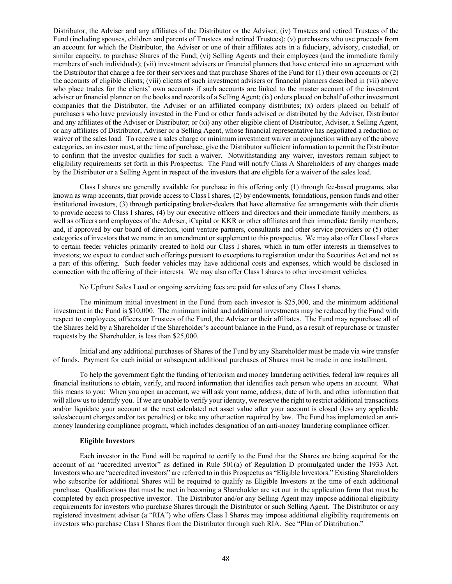Distributor, the Adviser and any affiliates of the Distributor or the Adviser; (iv) Trustees and retired Trustees of the Fund (including spouses, children and parents of Trustees and retired Trustees); (v) purchasers who use proceeds from an account for which the Distributor, the Adviser or one of their affiliates acts in a fiduciary, advisory, custodial, or similar capacity, to purchase Shares of the Fund; (vi) Selling Agents and their employees (and the immediate family members of such individuals); (vii) investment advisers or financial planners that have entered into an agreement with the Distributor that charge a fee for their services and that purchase Shares of the Fund for (1) their own accounts or (2) the accounts of eligible clients; (viii) clients of such investment advisers or financial planners described in (vii) above who place trades for the clients' own accounts if such accounts are linked to the master account of the investment adviser or financial planner on the books and records of a Selling Agent; (ix) orders placed on behalf of other investment companies that the Distributor, the Adviser or an affiliated company distributes; (x) orders placed on behalf of purchasers who have previously invested in the Fund or other funds advised or distributed by the Adviser, Distributor and any affiliates of the Adviser or Distributor; or (xi) any other eligible client of Distributor, Adviser, a Selling Agent, or any affiliates of Distributor, Adviser or a Selling Agent, whose financial representative has negotiated a reduction or waiver of the sales load. To receive a sales charge or minimum investment waiver in conjunction with any of the above categories, an investor must, at the time of purchase, give the Distributor sufficient information to permit the Distributor to confirm that the investor qualifies for such a waiver. Notwithstanding any waiver, investors remain subject to eligibility requirements set forth in this Prospectus. The Fund will notify Class A Shareholders of any changes made by the Distributor or a Selling Agent in respect of the investors that are eligible for a waiver of the sales load.

Class I shares are generally available for purchase in this offering only (1) through fee-based programs, also known as wrap accounts, that provide access to Class I shares, (2) by endowments, foundations, pension funds and other institutional investors, (3) through participating broker-dealers that have alternative fee arrangements with their clients to provide access to Class I shares, (4) by our executive officers and directors and their immediate family members, as well as officers and employees of the Adviser, iCapital or KKR or other affiliates and their immediate family members, and, if approved by our board of directors, joint venture partners, consultants and other service providers or (5) other categories of investors that we name in an amendment or supplement to this prospectus. We may also offer Class I shares to certain feeder vehicles primarily created to hold our Class I shares, which in turn offer interests in themselves to investors; we expect to conduct such offerings pursuant to exceptions to registration under the Securities Act and not as a part of this offering. Such feeder vehicles may have additional costs and expenses, which would be disclosed in connection with the offering of their interests. We may also offer Class I shares to other investment vehicles.

No Upfront Sales Load or ongoing servicing fees are paid for sales of any Class I shares.

The minimum initial investment in the Fund from each investor is \$25,000, and the minimum additional investment in the Fund is \$10,000. The minimum initial and additional investments may be reduced by the Fund with respect to employees, officers or Trustees of the Fund, the Adviser or their affiliates. The Fund may repurchase all of the Shares held by a Shareholder if the Shareholder's account balance in the Fund, as a result of repurchase or transfer requests by the Shareholder, is less than \$25,000.

Initial and any additional purchases of Shares of the Fund by any Shareholder must be made via wire transfer of funds. Payment for each initial or subsequent additional purchases of Shares must be made in one installment.

To help the government fight the funding of terrorism and money laundering activities, federal law requires all financial institutions to obtain, verify, and record information that identifies each person who opens an account. What this means to you: When you open an account, we will ask your name, address, date of birth, and other information that will allow us to identify you. If we are unable to verify your identity, we reserve the right to restrict additional transactions and/or liquidate your account at the next calculated net asset value after your account is closed (less any applicable sales/account charges and/or tax penalties) or take any other action required by law. The Fund has implemented an antimoney laundering compliance program, which includes designation of an anti-money laundering compliance officer.

# **Eligible Investors**

Each investor in the Fund will be required to certify to the Fund that the Shares are being acquired for the account of an "accredited investor" as defined in Rule 501(a) of Regulation D promulgated under the 1933 Act. Investors who are "accredited investors" are referred to in this Prospectus as "Eligible Investors." Existing Shareholders who subscribe for additional Shares will be required to qualify as Eligible Investors at the time of each additional purchase. Qualifications that must be met in becoming a Shareholder are set out in the application form that must be completed by each prospective investor. The Distributor and/or any Selling Agent may impose additional eligibility requirements for investors who purchase Shares through the Distributor or such Selling Agent. The Distributor or any registered investment adviser (a "RIA") who offers Class I Shares may impose additional eligibility requirements on investors who purchase Class I Shares from the Distributor through such RIA. See "Plan of Distribution."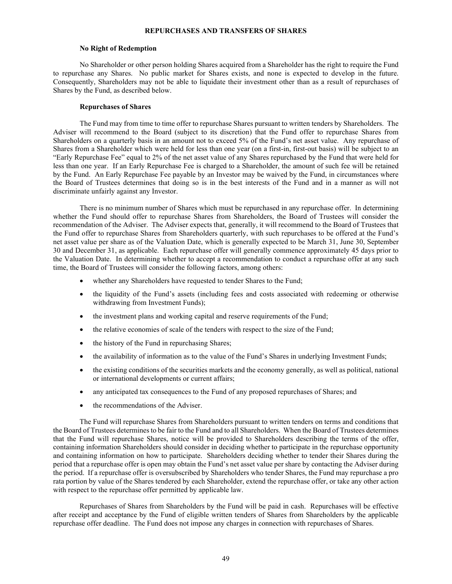### **REPURCHASES AND TRANSFERS OF SHARES**

#### **No Right of Redemption**

No Shareholder or other person holding Shares acquired from a Shareholder has the right to require the Fund to repurchase any Shares. No public market for Shares exists, and none is expected to develop in the future. Consequently, Shareholders may not be able to liquidate their investment other than as a result of repurchases of Shares by the Fund, as described below.

## **Repurchases of Shares**

The Fund may from time to time offer to repurchase Shares pursuant to written tenders by Shareholders. The Adviser will recommend to the Board (subject to its discretion) that the Fund offer to repurchase Shares from Shareholders on a quarterly basis in an amount not to exceed 5% of the Fund's net asset value. Any repurchase of Shares from a Shareholder which were held for less than one year (on a first-in, first-out basis) will be subject to an "Early Repurchase Fee" equal to 2% of the net asset value of any Shares repurchased by the Fund that were held for less than one year. If an Early Repurchase Fee is charged to a Shareholder, the amount of such fee will be retained by the Fund. An Early Repurchase Fee payable by an Investor may be waived by the Fund, in circumstances where the Board of Trustees determines that doing so is in the best interests of the Fund and in a manner as will not discriminate unfairly against any Investor.

There is no minimum number of Shares which must be repurchased in any repurchase offer. In determining whether the Fund should offer to repurchase Shares from Shareholders, the Board of Trustees will consider the recommendation of the Adviser. The Adviser expects that, generally, it will recommend to the Board of Trustees that the Fund offer to repurchase Shares from Shareholders quarterly, with such repurchases to be offered at the Fund's net asset value per share as of the Valuation Date, which is generally expected to be March 31, June 30, September 30 and December 31, as applicable. Each repurchase offer will generally commence approximately 45 days prior to the Valuation Date. In determining whether to accept a recommendation to conduct a repurchase offer at any such time, the Board of Trustees will consider the following factors, among others:

- whether any Shareholders have requested to tender Shares to the Fund;
- the liquidity of the Fund's assets (including fees and costs associated with redeeming or otherwise withdrawing from Investment Funds);
- the investment plans and working capital and reserve requirements of the Fund;
- the relative economies of scale of the tenders with respect to the size of the Fund;
- the history of the Fund in repurchasing Shares;
- the availability of information as to the value of the Fund's Shares in underlying Investment Funds;
- the existing conditions of the securities markets and the economy generally, as well as political, national or international developments or current affairs;
- any anticipated tax consequences to the Fund of any proposed repurchases of Shares; and
- the recommendations of the Adviser.

The Fund will repurchase Shares from Shareholders pursuant to written tenders on terms and conditions that the Board of Trustees determines to be fair to the Fund and to all Shareholders. When the Board of Trustees determines that the Fund will repurchase Shares, notice will be provided to Shareholders describing the terms of the offer, containing information Shareholders should consider in deciding whether to participate in the repurchase opportunity and containing information on how to participate. Shareholders deciding whether to tender their Shares during the period that a repurchase offer is open may obtain the Fund's net asset value per share by contacting the Adviser during the period. If a repurchase offer is oversubscribed by Shareholders who tender Shares, the Fund may repurchase a pro rata portion by value of the Shares tendered by each Shareholder, extend the repurchase offer, or take any other action with respect to the repurchase offer permitted by applicable law.

Repurchases of Shares from Shareholders by the Fund will be paid in cash. Repurchases will be effective after receipt and acceptance by the Fund of eligible written tenders of Shares from Shareholders by the applicable repurchase offer deadline. The Fund does not impose any charges in connection with repurchases of Shares.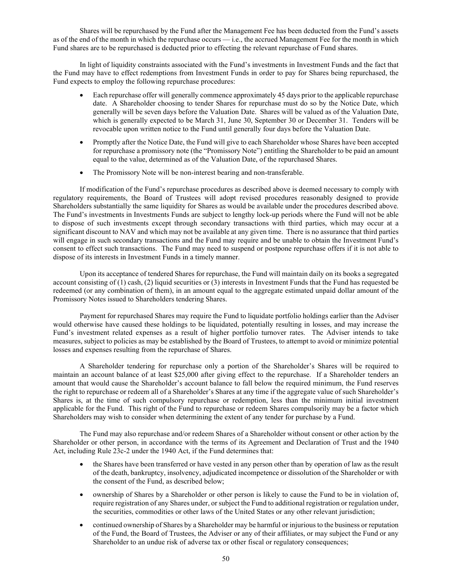Shares will be repurchased by the Fund after the Management Fee has been deducted from the Fund's assets as of the end of the month in which the repurchase occurs — i.e., the accrued Management Fee for the month in which Fund shares are to be repurchased is deducted prior to effecting the relevant repurchase of Fund shares.

In light of liquidity constraints associated with the Fund's investments in Investment Funds and the fact that the Fund may have to effect redemptions from Investment Funds in order to pay for Shares being repurchased, the Fund expects to employ the following repurchase procedures:

- Each repurchase offer will generally commence approximately 45 days prior to the applicable repurchase date. A Shareholder choosing to tender Shares for repurchase must do so by the Notice Date, which generally will be seven days before the Valuation Date. Shares will be valued as of the Valuation Date, which is generally expected to be March 31, June 30, September 30 or December 31. Tenders will be revocable upon written notice to the Fund until generally four days before the Valuation Date.
- Promptly after the Notice Date, the Fund will give to each Shareholder whose Shares have been accepted for repurchase a promissory note (the "Promissory Note") entitling the Shareholder to be paid an amount equal to the value, determined as of the Valuation Date, of the repurchased Shares.
- The Promissory Note will be non-interest bearing and non-transferable.

If modification of the Fund's repurchase procedures as described above is deemed necessary to comply with regulatory requirements, the Board of Trustees will adopt revised procedures reasonably designed to provide Shareholders substantially the same liquidity for Shares as would be available under the procedures described above. The Fund's investments in Investments Funds are subject to lengthy lock-up periods where the Fund will not be able to dispose of such investments except through secondary transactions with third parties, which may occur at a significant discount to NAV and which may not be available at any given time. There is no assurance that third parties will engage in such secondary transactions and the Fund may require and be unable to obtain the Investment Fund's consent to effect such transactions. The Fund may need to suspend or postpone repurchase offers if it is not able to dispose of its interests in Investment Funds in a timely manner.

Upon its acceptance of tendered Shares for repurchase, the Fund will maintain daily on its books a segregated account consisting of (1) cash, (2) liquid securities or (3) interests in Investment Funds that the Fund has requested be redeemed (or any combination of them), in an amount equal to the aggregate estimated unpaid dollar amount of the Promissory Notes issued to Shareholders tendering Shares.

Payment for repurchased Shares may require the Fund to liquidate portfolio holdings earlier than the Adviser would otherwise have caused these holdings to be liquidated, potentially resulting in losses, and may increase the Fund's investment related expenses as a result of higher portfolio turnover rates. The Adviser intends to take measures, subject to policies as may be established by the Board of Trustees, to attempt to avoid or minimize potential losses and expenses resulting from the repurchase of Shares.

A Shareholder tendering for repurchase only a portion of the Shareholder's Shares will be required to maintain an account balance of at least \$25,000 after giving effect to the repurchase. If a Shareholder tenders an amount that would cause the Shareholder's account balance to fall below the required minimum, the Fund reserves the right to repurchase or redeem all of a Shareholder's Shares at any time if the aggregate value of such Shareholder's Shares is, at the time of such compulsory repurchase or redemption, less than the minimum initial investment applicable for the Fund. This right of the Fund to repurchase or redeem Shares compulsorily may be a factor which Shareholders may wish to consider when determining the extent of any tender for purchase by a Fund.

The Fund may also repurchase and/or redeem Shares of a Shareholder without consent or other action by the Shareholder or other person, in accordance with the terms of its Agreement and Declaration of Trust and the 1940 Act, including Rule 23c-2 under the 1940 Act, if the Fund determines that:

- the Shares have been transferred or have vested in any person other than by operation of law as the result of the death, bankruptcy, insolvency, adjudicated incompetence or dissolution of the Shareholder or with the consent of the Fund, as described below;
- ownership of Shares by a Shareholder or other person is likely to cause the Fund to be in violation of, require registration of any Shares under, or subject the Fund to additional registration or regulation under, the securities, commodities or other laws of the United States or any other relevant jurisdiction;
- continued ownership of Shares by a Shareholder may be harmful or injurious to the business or reputation of the Fund, the Board of Trustees, the Adviser or any of their affiliates, or may subject the Fund or any Shareholder to an undue risk of adverse tax or other fiscal or regulatory consequences;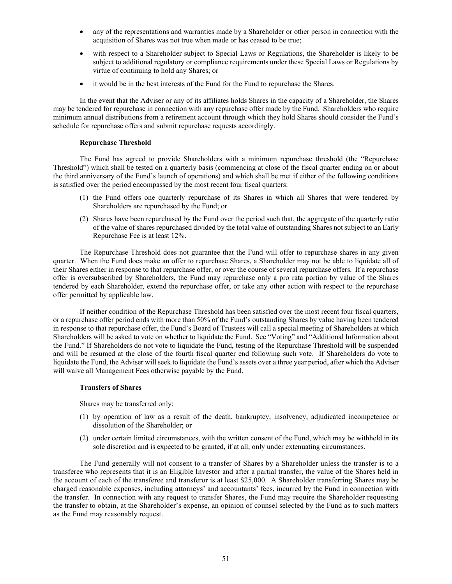- any of the representations and warranties made by a Shareholder or other person in connection with the acquisition of Shares was not true when made or has ceased to be true;
- with respect to a Shareholder subject to Special Laws or Regulations, the Shareholder is likely to be subject to additional regulatory or compliance requirements under these Special Laws or Regulations by virtue of continuing to hold any Shares; or
- it would be in the best interests of the Fund for the Fund to repurchase the Shares.

In the event that the Adviser or any of its affiliates holds Shares in the capacity of a Shareholder, the Shares may be tendered for repurchase in connection with any repurchase offer made by the Fund. Shareholders who require minimum annual distributions from a retirement account through which they hold Shares should consider the Fund's schedule for repurchase offers and submit repurchase requests accordingly.

# **Repurchase Threshold**

The Fund has agreed to provide Shareholders with a minimum repurchase threshold (the "Repurchase Threshold") which shall be tested on a quarterly basis (commencing at close of the fiscal quarter ending on or about the third anniversary of the Fund's launch of operations) and which shall be met if either of the following conditions is satisfied over the period encompassed by the most recent four fiscal quarters:

- (1) the Fund offers one quarterly repurchase of its Shares in which all Shares that were tendered by Shareholders are repurchased by the Fund; or
- (2) Shares have been repurchased by the Fund over the period such that, the aggregate of the quarterly ratio of the value of shares repurchased divided by the total value of outstanding Shares not subject to an Early Repurchase Fee is at least 12%.

The Repurchase Threshold does not guarantee that the Fund will offer to repurchase shares in any given quarter. When the Fund does make an offer to repurchase Shares, a Shareholder may not be able to liquidate all of their Shares either in response to that repurchase offer, or over the course of several repurchase offers. If a repurchase offer is oversubscribed by Shareholders, the Fund may repurchase only a pro rata portion by value of the Shares tendered by each Shareholder, extend the repurchase offer, or take any other action with respect to the repurchase offer permitted by applicable law.

If neither condition of the Repurchase Threshold has been satisfied over the most recent four fiscal quarters, or a repurchase offer period ends with more than 50% of the Fund's outstanding Shares by value having been tendered in response to that repurchase offer, the Fund's Board of Trustees will call a special meeting of Shareholders at which Shareholders will be asked to vote on whether to liquidate the Fund. See "Voting" and "Additional Information about the Fund." If Shareholders do not vote to liquidate the Fund, testing of the Repurchase Threshold will be suspended and will be resumed at the close of the fourth fiscal quarter end following such vote. If Shareholders do vote to liquidate the Fund, the Adviser will seek to liquidate the Fund's assets over a three year period, after which the Adviser will waive all Management Fees otherwise payable by the Fund.

# **Transfers of Shares**

Shares may be transferred only:

- (1) by operation of law as a result of the death, bankruptcy, insolvency, adjudicated incompetence or dissolution of the Shareholder; or
- (2) under certain limited circumstances, with the written consent of the Fund, which may be withheld in its sole discretion and is expected to be granted, if at all, only under extenuating circumstances.

The Fund generally will not consent to a transfer of Shares by a Shareholder unless the transfer is to a transferee who represents that it is an Eligible Investor and after a partial transfer, the value of the Shares held in the account of each of the transferee and transferor is at least \$25,000. A Shareholder transferring Shares may be charged reasonable expenses, including attorneys' and accountants' fees, incurred by the Fund in connection with the transfer. In connection with any request to transfer Shares, the Fund may require the Shareholder requesting the transfer to obtain, at the Shareholder's expense, an opinion of counsel selected by the Fund as to such matters as the Fund may reasonably request.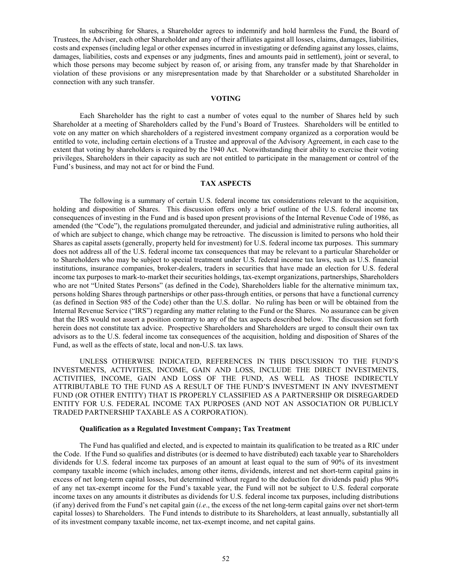In subscribing for Shares, a Shareholder agrees to indemnify and hold harmless the Fund, the Board of Trustees, the Adviser, each other Shareholder and any of their affiliates against all losses, claims, damages, liabilities, costs and expenses (including legal or other expenses incurred in investigating or defending against any losses, claims, damages, liabilities, costs and expenses or any judgments, fines and amounts paid in settlement), joint or several, to which those persons may become subject by reason of, or arising from, any transfer made by that Shareholder in violation of these provisions or any misrepresentation made by that Shareholder or a substituted Shareholder in connection with any such transfer.

# **VOTING**

Each Shareholder has the right to cast a number of votes equal to the number of Shares held by such Shareholder at a meeting of Shareholders called by the Fund's Board of Trustees. Shareholders will be entitled to vote on any matter on which shareholders of a registered investment company organized as a corporation would be entitled to vote, including certain elections of a Trustee and approval of the Advisory Agreement, in each case to the extent that voting by shareholders is required by the 1940 Act. Notwithstanding their ability to exercise their voting privileges, Shareholders in their capacity as such are not entitled to participate in the management or control of the Fund's business, and may not act for or bind the Fund.

# **TAX ASPECTS**

The following is a summary of certain U.S. federal income tax considerations relevant to the acquisition, holding and disposition of Shares. This discussion offers only a brief outline of the U.S. federal income tax consequences of investing in the Fund and is based upon present provisions of the Internal Revenue Code of 1986, as amended (the "Code"), the regulations promulgated thereunder, and judicial and administrative ruling authorities, all of which are subject to change, which change may be retroactive. The discussion is limited to persons who hold their Shares as capital assets (generally, property held for investment) for U.S. federal income tax purposes. This summary does not address all of the U.S. federal income tax consequences that may be relevant to a particular Shareholder or to Shareholders who may be subject to special treatment under U.S. federal income tax laws, such as U.S. financial institutions, insurance companies, broker-dealers, traders in securities that have made an election for U.S. federal income tax purposes to mark-to-market their securities holdings, tax-exempt organizations, partnerships, Shareholders who are not "United States Persons" (as defined in the Code), Shareholders liable for the alternative minimum tax, persons holding Shares through partnerships or other pass-through entities, or persons that have a functional currency (as defined in Section 985 of the Code) other than the U.S. dollar. No ruling has been or will be obtained from the Internal Revenue Service ("IRS") regarding any matter relating to the Fund or the Shares. No assurance can be given that the IRS would not assert a position contrary to any of the tax aspects described below. The discussion set forth herein does not constitute tax advice. Prospective Shareholders and Shareholders are urged to consult their own tax advisors as to the U.S. federal income tax consequences of the acquisition, holding and disposition of Shares of the Fund, as well as the effects of state, local and non-U.S. tax laws.

UNLESS OTHERWISE INDICATED, REFERENCES IN THIS DISCUSSION TO THE FUND'S INVESTMENTS, ACTIVITIES, INCOME, GAIN AND LOSS, INCLUDE THE DIRECT INVESTMENTS, ACTIVITIES, INCOME, GAIN AND LOSS OF THE FUND, AS WELL AS THOSE INDIRECTLY ATTRIBUTABLE TO THE FUND AS A RESULT OF THE FUND'S INVESTMENT IN ANY INVESTMENT FUND (OR OTHER ENTITY) THAT IS PROPERLY CLASSIFIED AS A PARTNERSHIP OR DISREGARDED ENTITY FOR U.S. FEDERAL INCOME TAX PURPOSES (AND NOT AN ASSOCIATION OR PUBLICLY TRADED PARTNERSHIP TAXABLE AS A CORPORATION).

### **Qualification as a Regulated Investment Company; Tax Treatment**

The Fund has qualified and elected, and is expected to maintain its qualification to be treated as a RIC under the Code. If the Fund so qualifies and distributes (or is deemed to have distributed) each taxable year to Shareholders dividends for U.S. federal income tax purposes of an amount at least equal to the sum of 90% of its investment company taxable income (which includes, among other items, dividends, interest and net short-term capital gains in excess of net long-term capital losses, but determined without regard to the deduction for dividends paid) plus 90% of any net tax-exempt income for the Fund's taxable year, the Fund will not be subject to U.S. federal corporate income taxes on any amounts it distributes as dividends for U.S. federal income tax purposes, including distributions (if any) derived from the Fund's net capital gain (*i.e*., the excess of the net long-term capital gains over net short-term capital losses) to Shareholders. The Fund intends to distribute to its Shareholders, at least annually, substantially all of its investment company taxable income, net tax-exempt income, and net capital gains.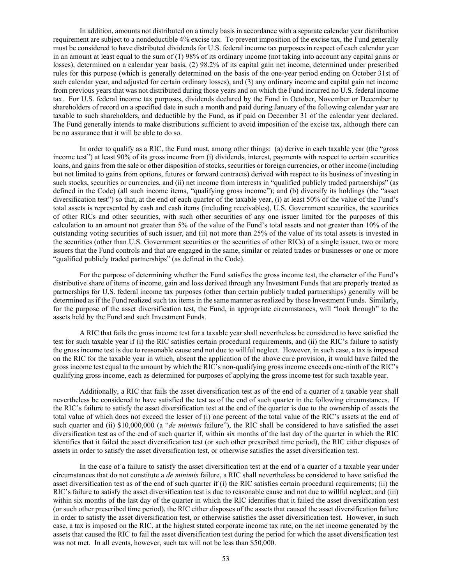In addition, amounts not distributed on a timely basis in accordance with a separate calendar year distribution requirement are subject to a nondeductible 4% excise tax. To prevent imposition of the excise tax, the Fund generally must be considered to have distributed dividends for U.S. federal income tax purposes in respect of each calendar year in an amount at least equal to the sum of (1) 98% of its ordinary income (not taking into account any capital gains or losses), determined on a calendar year basis, (2) 98.2% of its capital gain net income, determined under prescribed rules for this purpose (which is generally determined on the basis of the one-year period ending on October 31st of such calendar year, and adjusted for certain ordinary losses), and (3) any ordinary income and capital gain net income from previous years that was not distributed during those years and on which the Fund incurred no U.S. federal income tax. For U.S. federal income tax purposes, dividends declared by the Fund in October, November or December to shareholders of record on a specified date in such a month and paid during January of the following calendar year are taxable to such shareholders, and deductible by the Fund, as if paid on December 31 of the calendar year declared. The Fund generally intends to make distributions sufficient to avoid imposition of the excise tax, although there can be no assurance that it will be able to do so.

In order to qualify as a RIC, the Fund must, among other things: (a) derive in each taxable year (the "gross income test") at least 90% of its gross income from (i) dividends, interest, payments with respect to certain securities loans, and gains from the sale or other disposition of stocks, securities or foreign currencies, or other income (including but not limited to gains from options, futures or forward contracts) derived with respect to its business of investing in such stocks, securities or currencies, and (ii) net income from interests in "qualified publicly traded partnerships" (as defined in the Code) (all such income items, "qualifying gross income"); and (b) diversify its holdings (the "asset diversification test") so that, at the end of each quarter of the taxable year, (i) at least 50% of the value of the Fund's total assets is represented by cash and cash items (including receivables), U.S. Government securities, the securities of other RICs and other securities, with such other securities of any one issuer limited for the purposes of this calculation to an amount not greater than 5% of the value of the Fund's total assets and not greater than 10% of the outstanding voting securities of such issuer, and (ii) not more than 25% of the value of its total assets is invested in the securities (other than U.S. Government securities or the securities of other RICs) of a single issuer, two or more issuers that the Fund controls and that are engaged in the same, similar or related trades or businesses or one or more "qualified publicly traded partnerships" (as defined in the Code).

For the purpose of determining whether the Fund satisfies the gross income test, the character of the Fund's distributive share of items of income, gain and loss derived through any Investment Funds that are properly treated as partnerships for U.S. federal income tax purposes (other than certain publicly traded partnerships) generally will be determined as if the Fund realized such tax items in the same manner as realized by those Investment Funds. Similarly, for the purpose of the asset diversification test, the Fund, in appropriate circumstances, will "look through" to the assets held by the Fund and such Investment Funds.

A RIC that fails the gross income test for a taxable year shall nevertheless be considered to have satisfied the test for such taxable year if (i) the RIC satisfies certain procedural requirements, and (ii) the RIC's failure to satisfy the gross income test is due to reasonable cause and not due to willful neglect. However, in such case, a tax is imposed on the RIC for the taxable year in which, absent the application of the above cure provision, it would have failed the gross income test equal to the amount by which the RIC's non-qualifying gross income exceeds one-ninth of the RIC's qualifying gross income, each as determined for purposes of applying the gross income test for such taxable year.

Additionally, a RIC that fails the asset diversification test as of the end of a quarter of a taxable year shall nevertheless be considered to have satisfied the test as of the end of such quarter in the following circumstances. If the RIC's failure to satisfy the asset diversification test at the end of the quarter is due to the ownership of assets the total value of which does not exceed the lesser of (i) one percent of the total value of the RIC's assets at the end of such quarter and (ii) \$10,000,000 (a "*de minimis* failure"), the RIC shall be considered to have satisfied the asset diversification test as of the end of such quarter if, within six months of the last day of the quarter in which the RIC identifies that it failed the asset diversification test (or such other prescribed time period), the RIC either disposes of assets in order to satisfy the asset diversification test, or otherwise satisfies the asset diversification test.

In the case of a failure to satisfy the asset diversification test at the end of a quarter of a taxable year under circumstances that do not constitute a *de minimis* failure, a RIC shall nevertheless be considered to have satisfied the asset diversification test as of the end of such quarter if (i) the RIC satisfies certain procedural requirements; (ii) the RIC's failure to satisfy the asset diversification test is due to reasonable cause and not due to willful neglect; and (iii) within six months of the last day of the quarter in which the RIC identifies that it failed the asset diversification test (or such other prescribed time period), the RIC either disposes of the assets that caused the asset diversification failure in order to satisfy the asset diversification test, or otherwise satisfies the asset diversification test. However, in such case, a tax is imposed on the RIC, at the highest stated corporate income tax rate, on the net income generated by the assets that caused the RIC to fail the asset diversification test during the period for which the asset diversification test was not met. In all events, however, such tax will not be less than \$50,000.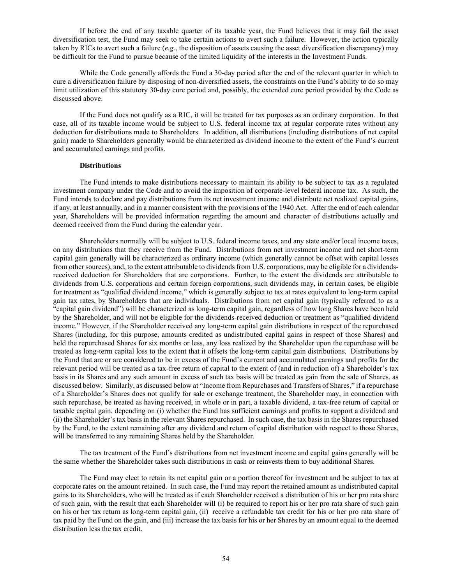If before the end of any taxable quarter of its taxable year, the Fund believes that it may fail the asset diversification test, the Fund may seek to take certain actions to avert such a failure. However, the action typically taken by RICs to avert such a failure (*e.g.*, the disposition of assets causing the asset diversification discrepancy) may be difficult for the Fund to pursue because of the limited liquidity of the interests in the Investment Funds.

While the Code generally affords the Fund a 30-day period after the end of the relevant quarter in which to cure a diversification failure by disposing of non-diversified assets, the constraints on the Fund's ability to do so may limit utilization of this statutory 30-day cure period and, possibly, the extended cure period provided by the Code as discussed above.

If the Fund does not qualify as a RIC, it will be treated for tax purposes as an ordinary corporation. In that case, all of its taxable income would be subject to U.S. federal income tax at regular corporate rates without any deduction for distributions made to Shareholders. In addition, all distributions (including distributions of net capital gain) made to Shareholders generally would be characterized as dividend income to the extent of the Fund's current and accumulated earnings and profits.

# **Distributions**

The Fund intends to make distributions necessary to maintain its ability to be subject to tax as a regulated investment company under the Code and to avoid the imposition of corporate-level federal income tax. As such, the Fund intends to declare and pay distributions from its net investment income and distribute net realized capital gains, if any, at least annually, and in a manner consistent with the provisions of the 1940 Act. After the end of each calendar year, Shareholders will be provided information regarding the amount and character of distributions actually and deemed received from the Fund during the calendar year.

Shareholders normally will be subject to U.S. federal income taxes, and any state and/or local income taxes, on any distributions that they receive from the Fund. Distributions from net investment income and net short-term capital gain generally will be characterized as ordinary income (which generally cannot be offset with capital losses from other sources), and, to the extent attributable to dividends from U.S. corporations, may be eligible for a dividendsreceived deduction for Shareholders that are corporations. Further, to the extent the dividends are attributable to dividends from U.S. corporations and certain foreign corporations, such dividends may, in certain cases, be eligible for treatment as "qualified dividend income," which is generally subject to tax at rates equivalent to long-term capital gain tax rates, by Shareholders that are individuals. Distributions from net capital gain (typically referred to as a "capital gain dividend") will be characterized as long-term capital gain, regardless of how long Shares have been held by the Shareholder, and will not be eligible for the dividends-received deduction or treatment as "qualified dividend income." However, if the Shareholder received any long-term capital gain distributions in respect of the repurchased Shares (including, for this purpose, amounts credited as undistributed capital gains in respect of those Shares) and held the repurchased Shares for six months or less, any loss realized by the Shareholder upon the repurchase will be treated as long-term capital loss to the extent that it offsets the long-term capital gain distributions. Distributions by the Fund that are or are considered to be in excess of the Fund's current and accumulated earnings and profits for the relevant period will be treated as a tax-free return of capital to the extent of (and in reduction of) a Shareholder's tax basis in its Shares and any such amount in excess of such tax basis will be treated as gain from the sale of Shares, as discussed below. Similarly, as discussed below at "Income from Repurchases and Transfers of Shares," if a repurchase of a Shareholder's Shares does not qualify for sale or exchange treatment, the Shareholder may, in connection with such repurchase, be treated as having received, in whole or in part, a taxable dividend, a tax-free return of capital or taxable capital gain, depending on (i) whether the Fund has sufficient earnings and profits to support a dividend and (ii) the Shareholder's tax basis in the relevant Shares repurchased. In such case, the tax basis in the Shares repurchased by the Fund, to the extent remaining after any dividend and return of capital distribution with respect to those Shares, will be transferred to any remaining Shares held by the Shareholder.

The tax treatment of the Fund's distributions from net investment income and capital gains generally will be the same whether the Shareholder takes such distributions in cash or reinvests them to buy additional Shares.

The Fund may elect to retain its net capital gain or a portion thereof for investment and be subject to tax at corporate rates on the amount retained. In such case, the Fund may report the retained amount as undistributed capital gains to its Shareholders, who will be treated as if each Shareholder received a distribution of his or her pro rata share of such gain, with the result that each Shareholder will (i) be required to report his or her pro rata share of such gain on his or her tax return as long-term capital gain, (ii) receive a refundable tax credit for his or her pro rata share of tax paid by the Fund on the gain, and (iii) increase the tax basis for his or her Shares by an amount equal to the deemed distribution less the tax credit.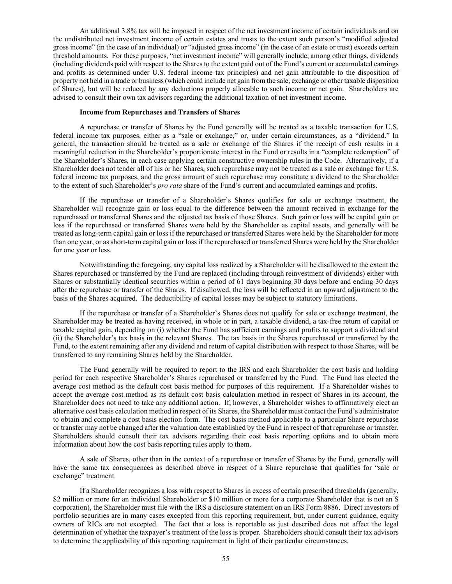An additional 3.8% tax will be imposed in respect of the net investment income of certain individuals and on the undistributed net investment income of certain estates and trusts to the extent such person's "modified adjusted gross income" (in the case of an individual) or "adjusted gross income" (in the case of an estate or trust) exceeds certain threshold amounts. For these purposes, "net investment income" will generally include, among other things, dividends (including dividends paid with respect to the Shares to the extent paid out of the Fund's current or accumulated earnings and profits as determined under U.S. federal income tax principles) and net gain attributable to the disposition of property not held in a trade or business (which could include net gain from the sale, exchange or other taxable disposition of Shares), but will be reduced by any deductions properly allocable to such income or net gain. Shareholders are advised to consult their own tax advisors regarding the additional taxation of net investment income.

### **Income from Repurchases and Transfers of Shares**

A repurchase or transfer of Shares by the Fund generally will be treated as a taxable transaction for U.S. federal income tax purposes, either as a "sale or exchange," or, under certain circumstances, as a "dividend." In general, the transaction should be treated as a sale or exchange of the Shares if the receipt of cash results in a meaningful reduction in the Shareholder's proportionate interest in the Fund or results in a "complete redemption" of the Shareholder's Shares, in each case applying certain constructive ownership rules in the Code. Alternatively, if a Shareholder does not tender all of his or her Shares, such repurchase may not be treated as a sale or exchange for U.S. federal income tax purposes, and the gross amount of such repurchase may constitute a dividend to the Shareholder to the extent of such Shareholder's *pro rata* share of the Fund's current and accumulated earnings and profits.

If the repurchase or transfer of a Shareholder's Shares qualifies for sale or exchange treatment, the Shareholder will recognize gain or loss equal to the difference between the amount received in exchange for the repurchased or transferred Shares and the adjusted tax basis of those Shares. Such gain or loss will be capital gain or loss if the repurchased or transferred Shares were held by the Shareholder as capital assets, and generally will be treated as long-term capital gain or loss if the repurchased or transferred Shares were held by the Shareholder for more than one year, or as short-term capital gain or loss if the repurchased or transferred Shares were held by the Shareholder for one year or less.

Notwithstanding the foregoing, any capital loss realized by a Shareholder will be disallowed to the extent the Shares repurchased or transferred by the Fund are replaced (including through reinvestment of dividends) either with Shares or substantially identical securities within a period of 61 days beginning 30 days before and ending 30 days after the repurchase or transfer of the Shares. If disallowed, the loss will be reflected in an upward adjustment to the basis of the Shares acquired. The deductibility of capital losses may be subject to statutory limitations.

If the repurchase or transfer of a Shareholder's Shares does not qualify for sale or exchange treatment, the Shareholder may be treated as having received, in whole or in part, a taxable dividend, a tax-free return of capital or taxable capital gain, depending on (i) whether the Fund has sufficient earnings and profits to support a dividend and (ii) the Shareholder's tax basis in the relevant Shares. The tax basis in the Shares repurchased or transferred by the Fund, to the extent remaining after any dividend and return of capital distribution with respect to those Shares, will be transferred to any remaining Shares held by the Shareholder.

The Fund generally will be required to report to the IRS and each Shareholder the cost basis and holding period for each respective Shareholder's Shares repurchased or transferred by the Fund. The Fund has elected the average cost method as the default cost basis method for purposes of this requirement. If a Shareholder wishes to accept the average cost method as its default cost basis calculation method in respect of Shares in its account, the Shareholder does not need to take any additional action. If, however, a Shareholder wishes to affirmatively elect an alternative cost basis calculation method in respect of its Shares, the Shareholder must contact the Fund's administrator to obtain and complete a cost basis election form. The cost basis method applicable to a particular Share repurchase or transfer may not be changed after the valuation date established by the Fund in respect of that repurchase or transfer. Shareholders should consult their tax advisors regarding their cost basis reporting options and to obtain more information about how the cost basis reporting rules apply to them.

A sale of Shares, other than in the context of a repurchase or transfer of Shares by the Fund, generally will have the same tax consequences as described above in respect of a Share repurchase that qualifies for "sale or exchange" treatment.

If a Shareholder recognizes a loss with respect to Shares in excess of certain prescribed thresholds (generally, \$2 million or more for an individual Shareholder or \$10 million or more for a corporate Shareholder that is not an S corporation), the Shareholder must file with the IRS a disclosure statement on an IRS Form 8886. Direct investors of portfolio securities are in many cases excepted from this reporting requirement, but, under current guidance, equity owners of RICs are not excepted. The fact that a loss is reportable as just described does not affect the legal determination of whether the taxpayer's treatment of the loss is proper. Shareholders should consult their tax advisors to determine the applicability of this reporting requirement in light of their particular circumstances.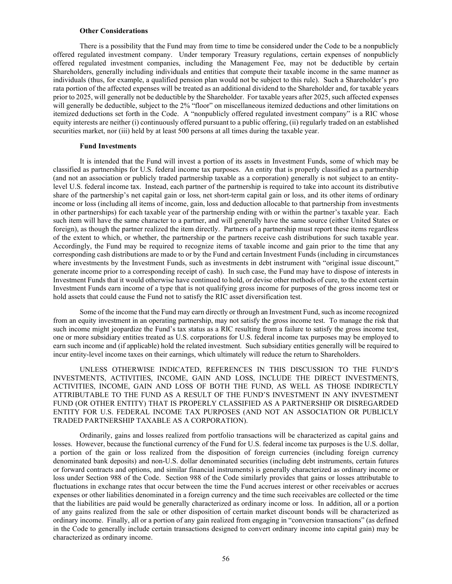#### **Other Considerations**

There is a possibility that the Fund may from time to time be considered under the Code to be a nonpublicly offered regulated investment company. Under temporary Treasury regulations, certain expenses of nonpublicly offered regulated investment companies, including the Management Fee, may not be deductible by certain Shareholders, generally including individuals and entities that compute their taxable income in the same manner as individuals (thus, for example, a qualified pension plan would not be subject to this rule). Such a Shareholder's pro rata portion of the affected expenses will be treated as an additional dividend to the Shareholder and, for taxable years prior to 2025, will generally not be deductible by the Shareholder. For taxable years after 2025, such affected expenses will generally be deductible, subject to the 2% "floor" on miscellaneous itemized deductions and other limitations on itemized deductions set forth in the Code. A "nonpublicly offered regulated investment company" is a RIC whose equity interests are neither (i) continuously offered pursuant to a public offering, (ii) regularly traded on an established securities market, nor (iii) held by at least 500 persons at all times during the taxable year.

# **Fund Investments**

It is intended that the Fund will invest a portion of its assets in Investment Funds, some of which may be classified as partnerships for U.S. federal income tax purposes. An entity that is properly classified as a partnership (and not an association or publicly traded partnership taxable as a corporation) generally is not subject to an entitylevel U.S. federal income tax. Instead, each partner of the partnership is required to take into account its distributive share of the partnership's net capital gain or loss, net short-term capital gain or loss, and its other items of ordinary income or loss (including all items of income, gain, loss and deduction allocable to that partnership from investments in other partnerships) for each taxable year of the partnership ending with or within the partner's taxable year. Each such item will have the same character to a partner, and will generally have the same source (either United States or foreign), as though the partner realized the item directly. Partners of a partnership must report these items regardless of the extent to which, or whether, the partnership or the partners receive cash distributions for such taxable year. Accordingly, the Fund may be required to recognize items of taxable income and gain prior to the time that any corresponding cash distributions are made to or by the Fund and certain Investment Funds (including in circumstances where investments by the Investment Funds, such as investments in debt instrument with "original issue discount," generate income prior to a corresponding receipt of cash). In such case, the Fund may have to dispose of interests in Investment Funds that it would otherwise have continued to hold, or devise other methods of cure, to the extent certain Investment Funds earn income of a type that is not qualifying gross income for purposes of the gross income test or hold assets that could cause the Fund not to satisfy the RIC asset diversification test.

Some of the income that the Fund may earn directly or through an Investment Fund, such as income recognized from an equity investment in an operating partnership, may not satisfy the gross income test. To manage the risk that such income might jeopardize the Fund's tax status as a RIC resulting from a failure to satisfy the gross income test, one or more subsidiary entities treated as U.S. corporations for U.S. federal income tax purposes may be employed to earn such income and (if applicable) hold the related investment. Such subsidiary entities generally will be required to incur entity-level income taxes on their earnings, which ultimately will reduce the return to Shareholders.

UNLESS OTHERWISE INDICATED, REFERENCES IN THIS DISCUSSION TO THE FUND'S INVESTMENTS, ACTIVITIES, INCOME, GAIN AND LOSS, INCLUDE THE DIRECT INVESTMENTS, ACTIVITIES, INCOME, GAIN AND LOSS OF BOTH THE FUND, AS WELL AS THOSE INDIRECTLY ATTRIBUTABLE TO THE FUND AS A RESULT OF THE FUND'S INVESTMENT IN ANY INVESTMENT FUND (OR OTHER ENTITY) THAT IS PROPERLY CLASSIFIED AS A PARTNERSHIP OR DISREGARDED ENTITY FOR U.S. FEDERAL INCOME TAX PURPOSES (AND NOT AN ASSOCIATION OR PUBLICLY TRADED PARTNERSHIP TAXABLE AS A CORPORATION).

Ordinarily, gains and losses realized from portfolio transactions will be characterized as capital gains and losses. However, because the functional currency of the Fund for U.S. federal income tax purposes is the U.S. dollar, a portion of the gain or loss realized from the disposition of foreign currencies (including foreign currency denominated bank deposits) and non-U.S. dollar denominated securities (including debt instruments, certain futures or forward contracts and options, and similar financial instruments) is generally characterized as ordinary income or loss under Section 988 of the Code. Section 988 of the Code similarly provides that gains or losses attributable to fluctuations in exchange rates that occur between the time the Fund accrues interest or other receivables or accrues expenses or other liabilities denominated in a foreign currency and the time such receivables are collected or the time that the liabilities are paid would be generally characterized as ordinary income or loss. In addition, all or a portion of any gains realized from the sale or other disposition of certain market discount bonds will be characterized as ordinary income. Finally, all or a portion of any gain realized from engaging in "conversion transactions" (as defined in the Code to generally include certain transactions designed to convert ordinary income into capital gain) may be characterized as ordinary income.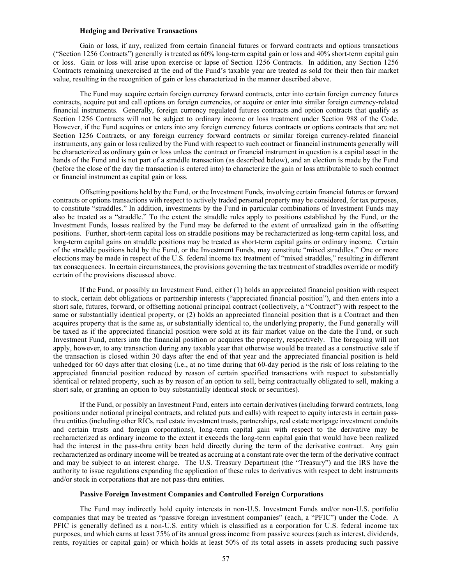### **Hedging and Derivative Transactions**

Gain or loss, if any, realized from certain financial futures or forward contracts and options transactions ("Section 1256 Contracts") generally is treated as 60% long-term capital gain or loss and 40% short-term capital gain or loss. Gain or loss will arise upon exercise or lapse of Section 1256 Contracts. In addition, any Section 1256 Contracts remaining unexercised at the end of the Fund's taxable year are treated as sold for their then fair market value, resulting in the recognition of gain or loss characterized in the manner described above.

The Fund may acquire certain foreign currency forward contracts, enter into certain foreign currency futures contracts, acquire put and call options on foreign currencies, or acquire or enter into similar foreign currency-related financial instruments. Generally, foreign currency regulated futures contracts and option contracts that qualify as Section 1256 Contracts will not be subject to ordinary income or loss treatment under Section 988 of the Code. However, if the Fund acquires or enters into any foreign currency futures contracts or options contracts that are not Section 1256 Contracts, or any foreign currency forward contracts or similar foreign currency-related financial instruments, any gain or loss realized by the Fund with respect to such contract or financial instruments generally will be characterized as ordinary gain or loss unless the contract or financial instrument in question is a capital asset in the hands of the Fund and is not part of a straddle transaction (as described below), and an election is made by the Fund (before the close of the day the transaction is entered into) to characterize the gain or loss attributable to such contract or financial instrument as capital gain or loss.

Offsetting positions held by the Fund, or the Investment Funds, involving certain financial futures or forward contracts or options transactions with respect to actively traded personal property may be considered, for tax purposes, to constitute "straddles." In addition, investments by the Fund in particular combinations of Investment Funds may also be treated as a "straddle." To the extent the straddle rules apply to positions established by the Fund, or the Investment Funds, losses realized by the Fund may be deferred to the extent of unrealized gain in the offsetting positions. Further, short-term capital loss on straddle positions may be recharacterized as long-term capital loss, and long-term capital gains on straddle positions may be treated as short-term capital gains or ordinary income. Certain of the straddle positions held by the Fund, or the Investment Funds, may constitute "mixed straddles." One or more elections may be made in respect of the U.S. federal income tax treatment of "mixed straddles," resulting in different tax consequences. In certain circumstances, the provisions governing the tax treatment of straddles override or modify certain of the provisions discussed above.

If the Fund, or possibly an Investment Fund, either (1) holds an appreciated financial position with respect to stock, certain debt obligations or partnership interests ("appreciated financial position"), and then enters into a short sale, futures, forward, or offsetting notional principal contract (collectively, a "Contract") with respect to the same or substantially identical property, or (2) holds an appreciated financial position that is a Contract and then acquires property that is the same as, or substantially identical to, the underlying property, the Fund generally will be taxed as if the appreciated financial position were sold at its fair market value on the date the Fund, or such Investment Fund, enters into the financial position or acquires the property, respectively. The foregoing will not apply, however, to any transaction during any taxable year that otherwise would be treated as a constructive sale if the transaction is closed within 30 days after the end of that year and the appreciated financial position is held unhedged for 60 days after that closing (i.e., at no time during that 60-day period is the risk of loss relating to the appreciated financial position reduced by reason of certain specified transactions with respect to substantially identical or related property, such as by reason of an option to sell, being contractually obligated to sell, making a short sale, or granting an option to buy substantially identical stock or securities).

If the Fund, or possibly an Investment Fund, enters into certain derivatives (including forward contracts, long positions under notional principal contracts, and related puts and calls) with respect to equity interests in certain passthru entities (including other RICs, real estate investment trusts, partnerships, real estate mortgage investment conduits and certain trusts and foreign corporations), long-term capital gain with respect to the derivative may be recharacterized as ordinary income to the extent it exceeds the long-term capital gain that would have been realized had the interest in the pass-thru entity been held directly during the term of the derivative contract. Any gain recharacterized as ordinary income will be treated as accruing at a constant rate over the term of the derivative contract and may be subject to an interest charge. The U.S. Treasury Department (the "Treasury") and the IRS have the authority to issue regulations expanding the application of these rules to derivatives with respect to debt instruments and/or stock in corporations that are not pass-thru entities.

# **Passive Foreign Investment Companies and Controlled Foreign Corporations**

The Fund may indirectly hold equity interests in non-U.S. Investment Funds and/or non-U.S. portfolio companies that may be treated as "passive foreign investment companies" (each, a "PFIC") under the Code. A PFIC is generally defined as a non-U.S. entity which is classified as a corporation for U.S. federal income tax purposes, and which earns at least 75% of its annual gross income from passive sources (such as interest, dividends, rents, royalties or capital gain) or which holds at least 50% of its total assets in assets producing such passive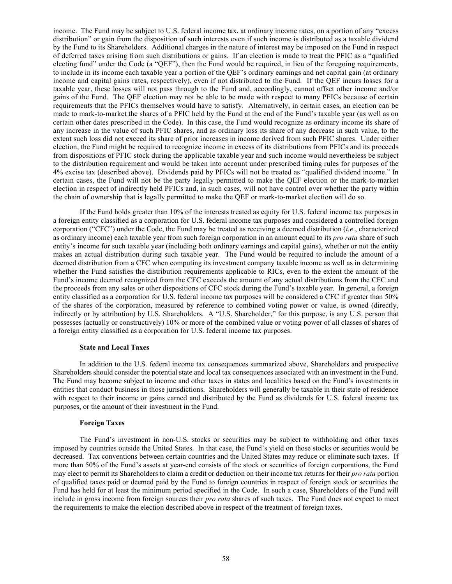income. The Fund may be subject to U.S. federal income tax, at ordinary income rates, on a portion of any "excess distribution" or gain from the disposition of such interests even if such income is distributed as a taxable dividend by the Fund to its Shareholders. Additional charges in the nature of interest may be imposed on the Fund in respect of deferred taxes arising from such distributions or gains. If an election is made to treat the PFIC as a "qualified electing fund" under the Code (a "QEF"), then the Fund would be required, in lieu of the foregoing requirements, to include in its income each taxable year a portion of the QEF's ordinary earnings and net capital gain (at ordinary income and capital gains rates, respectively), even if not distributed to the Fund. If the QEF incurs losses for a taxable year, these losses will not pass through to the Fund and, accordingly, cannot offset other income and/or gains of the Fund. The QEF election may not be able to be made with respect to many PFICs because of certain requirements that the PFICs themselves would have to satisfy. Alternatively, in certain cases, an election can be made to mark-to-market the shares of a PFIC held by the Fund at the end of the Fund's taxable year (as well as on certain other dates prescribed in the Code). In this case, the Fund would recognize as ordinary income its share of any increase in the value of such PFIC shares, and as ordinary loss its share of any decrease in such value, to the extent such loss did not exceed its share of prior increases in income derived from such PFIC shares. Under either election, the Fund might be required to recognize income in excess of its distributions from PFICs and its proceeds from dispositions of PFIC stock during the applicable taxable year and such income would nevertheless be subject to the distribution requirement and would be taken into account under prescribed timing rules for purposes of the 4% excise tax (described above). Dividends paid by PFICs will not be treated as "qualified dividend income." In certain cases, the Fund will not be the party legally permitted to make the QEF election or the mark-to-market election in respect of indirectly held PFICs and, in such cases, will not have control over whether the party within the chain of ownership that is legally permitted to make the QEF or mark-to-market election will do so.

If the Fund holds greater than 10% of the interests treated as equity for U.S. federal income tax purposes in a foreign entity classified as a corporation for U.S. federal income tax purposes and considered a controlled foreign corporation ("CFC") under the Code, the Fund may be treated as receiving a deemed distribution (*i.e*., characterized as ordinary income) each taxable year from such foreign corporation in an amount equal to its *pro rata* share of such entity's income for such taxable year (including both ordinary earnings and capital gains), whether or not the entity makes an actual distribution during such taxable year. The Fund would be required to include the amount of a deemed distribution from a CFC when computing its investment company taxable income as well as in determining whether the Fund satisfies the distribution requirements applicable to RICs, even to the extent the amount of the Fund's income deemed recognized from the CFC exceeds the amount of any actual distributions from the CFC and the proceeds from any sales or other dispositions of CFC stock during the Fund's taxable year. In general, a foreign entity classified as a corporation for U.S. federal income tax purposes will be considered a CFC if greater than 50% of the shares of the corporation, measured by reference to combined voting power or value, is owned (directly, indirectly or by attribution) by U.S. Shareholders. A "U.S. Shareholder," for this purpose, is any U.S. person that possesses (actually or constructively) 10% or more of the combined value or voting power of all classes of shares of a foreign entity classified as a corporation for U.S. federal income tax purposes.

#### **State and Local Taxes**

In addition to the U.S. federal income tax consequences summarized above, Shareholders and prospective Shareholders should consider the potential state and local tax consequences associated with an investment in the Fund. The Fund may become subject to income and other taxes in states and localities based on the Fund's investments in entities that conduct business in those jurisdictions. Shareholders will generally be taxable in their state of residence with respect to their income or gains earned and distributed by the Fund as dividends for U.S. federal income tax purposes, or the amount of their investment in the Fund.

# **Foreign Taxes**

The Fund's investment in non-U.S. stocks or securities may be subject to withholding and other taxes imposed by countries outside the United States. In that case, the Fund's yield on those stocks or securities would be decreased. Tax conventions between certain countries and the United States may reduce or eliminate such taxes. If more than 50% of the Fund's assets at year-end consists of the stock or securities of foreign corporations, the Fund may elect to permit its Shareholders to claim a credit or deduction on their income tax returns for their *pro rata* portion of qualified taxes paid or deemed paid by the Fund to foreign countries in respect of foreign stock or securities the Fund has held for at least the minimum period specified in the Code. In such a case, Shareholders of the Fund will include in gross income from foreign sources their *pro rata* shares of such taxes. The Fund does not expect to meet the requirements to make the election described above in respect of the treatment of foreign taxes.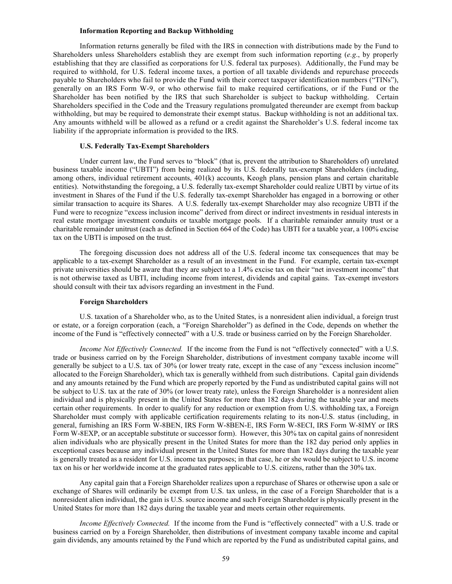### **Information Reporting and Backup Withholding**

Information returns generally be filed with the IRS in connection with distributions made by the Fund to Shareholders unless Shareholders establish they are exempt from such information reporting (*e.g*., by properly establishing that they are classified as corporations for U.S. federal tax purposes). Additionally, the Fund may be required to withhold, for U.S. federal income taxes, a portion of all taxable dividends and repurchase proceeds payable to Shareholders who fail to provide the Fund with their correct taxpayer identification numbers ("TINs"), generally on an IRS Form W-9, or who otherwise fail to make required certifications, or if the Fund or the Shareholder has been notified by the IRS that such Shareholder is subject to backup withholding. Certain Shareholders specified in the Code and the Treasury regulations promulgated thereunder are exempt from backup withholding, but may be required to demonstrate their exempt status. Backup withholding is not an additional tax. Any amounts withheld will be allowed as a refund or a credit against the Shareholder's U.S. federal income tax liability if the appropriate information is provided to the IRS.

# **U.S. Federally Tax-Exempt Shareholders**

Under current law, the Fund serves to "block" (that is, prevent the attribution to Shareholders of) unrelated business taxable income ("UBTI") from being realized by its U.S. federally tax-exempt Shareholders (including, among others, individual retirement accounts, 401(k) accounts, Keogh plans, pension plans and certain charitable entities). Notwithstanding the foregoing, a U.S. federally tax-exempt Shareholder could realize UBTI by virtue of its investment in Shares of the Fund if the U.S. federally tax-exempt Shareholder has engaged in a borrowing or other similar transaction to acquire its Shares. A U.S. federally tax-exempt Shareholder may also recognize UBTI if the Fund were to recognize "excess inclusion income" derived from direct or indirect investments in residual interests in real estate mortgage investment conduits or taxable mortgage pools. If a charitable remainder annuity trust or a charitable remainder unitrust (each as defined in Section 664 of the Code) has UBTI for a taxable year, a 100% excise tax on the UBTI is imposed on the trust.

The foregoing discussion does not address all of the U.S. federal income tax consequences that may be applicable to a tax-exempt Shareholder as a result of an investment in the Fund. For example, certain tax-exempt private universities should be aware that they are subject to a 1.4% excise tax on their "net investment income" that is not otherwise taxed as UBTI, including income from interest, dividends and capital gains. Tax-exempt investors should consult with their tax advisors regarding an investment in the Fund.

#### **Foreign Shareholders**

U.S. taxation of a Shareholder who, as to the United States, is a nonresident alien individual, a foreign trust or estate, or a foreign corporation (each, a "Foreign Shareholder") as defined in the Code, depends on whether the income of the Fund is "effectively connected" with a U.S. trade or business carried on by the Foreign Shareholder.

*Income Not Effectively Connected.* If the income from the Fund is not "effectively connected" with a U.S. trade or business carried on by the Foreign Shareholder, distributions of investment company taxable income will generally be subject to a U.S. tax of 30% (or lower treaty rate, except in the case of any "excess inclusion income" allocated to the Foreign Shareholder), which tax is generally withheld from such distributions. Capital gain dividends and any amounts retained by the Fund which are properly reported by the Fund as undistributed capital gains will not be subject to U.S. tax at the rate of 30% (or lower treaty rate), unless the Foreign Shareholder is a nonresident alien individual and is physically present in the United States for more than 182 days during the taxable year and meets certain other requirements. In order to qualify for any reduction or exemption from U.S. withholding tax, a Foreign Shareholder must comply with applicable certification requirements relating to its non-U.S. status (including, in general, furnishing an IRS Form W-8BEN, IRS Form W-8BEN-E, IRS Form W-8ECI, IRS Form W-8IMY or IRS Form W-8EXP, or an acceptable substitute or successor form). However, this 30% tax on capital gains of nonresident alien individuals who are physically present in the United States for more than the 182 day period only applies in exceptional cases because any individual present in the United States for more than 182 days during the taxable year is generally treated as a resident for U.S. income tax purposes; in that case, he or she would be subject to U.S. income tax on his or her worldwide income at the graduated rates applicable to U.S. citizens, rather than the 30% tax.

Any capital gain that a Foreign Shareholder realizes upon a repurchase of Shares or otherwise upon a sale or exchange of Shares will ordinarily be exempt from U.S. tax unless, in the case of a Foreign Shareholder that is a nonresident alien individual, the gain is U.S. source income and such Foreign Shareholder is physically present in the United States for more than 182 days during the taxable year and meets certain other requirements.

*Income Effectively Connected.* If the income from the Fund is "effectively connected" with a U.S. trade or business carried on by a Foreign Shareholder, then distributions of investment company taxable income and capital gain dividends, any amounts retained by the Fund which are reported by the Fund as undistributed capital gains, and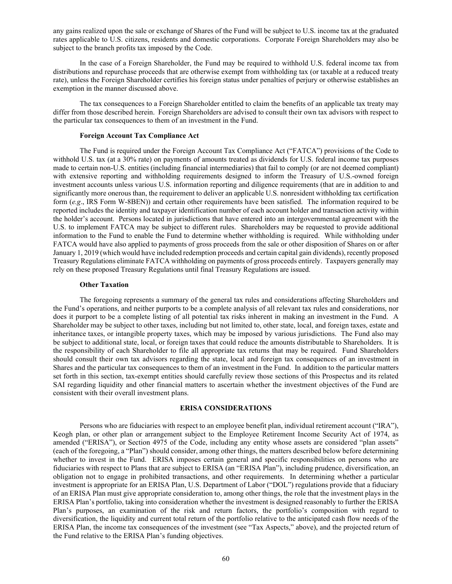any gains realized upon the sale or exchange of Shares of the Fund will be subject to U.S. income tax at the graduated rates applicable to U.S. citizens, residents and domestic corporations. Corporate Foreign Shareholders may also be subject to the branch profits tax imposed by the Code.

In the case of a Foreign Shareholder, the Fund may be required to withhold U.S. federal income tax from distributions and repurchase proceeds that are otherwise exempt from withholding tax (or taxable at a reduced treaty rate), unless the Foreign Shareholder certifies his foreign status under penalties of perjury or otherwise establishes an exemption in the manner discussed above.

The tax consequences to a Foreign Shareholder entitled to claim the benefits of an applicable tax treaty may differ from those described herein. Foreign Shareholders are advised to consult their own tax advisors with respect to the particular tax consequences to them of an investment in the Fund.

### **Foreign Account Tax Compliance Act**

The Fund is required under the Foreign Account Tax Compliance Act ("FATCA") provisions of the Code to withhold U.S. tax (at a 30% rate) on payments of amounts treated as dividends for U.S. federal income tax purposes made to certain non-U.S. entities (including financial intermediaries) that fail to comply (or are not deemed compliant) with extensive reporting and withholding requirements designed to inform the Treasury of U.S.-owned foreign investment accounts unless various U.S. information reporting and diligence requirements (that are in addition to and significantly more onerous than, the requirement to deliver an applicable U.S. nonresident withholding tax certification form (*e.g*., IRS Form W-8BEN)) and certain other requirements have been satisfied. The information required to be reported includes the identity and taxpayer identification number of each account holder and transaction activity within the holder's account. Persons located in jurisdictions that have entered into an intergovernmental agreement with the U.S. to implement FATCA may be subject to different rules. Shareholders may be requested to provide additional information to the Fund to enable the Fund to determine whether withholding is required. While withholding under FATCA would have also applied to payments of gross proceeds from the sale or other disposition of Shares on or after January 1, 2019 (which would have included redemption proceeds and certain capital gain dividends), recently proposed Treasury Regulations eliminate FATCA withholding on payments of gross proceeds entirely. Taxpayers generally may rely on these proposed Treasury Regulations until final Treasury Regulations are issued.

### **Other Taxation**

The foregoing represents a summary of the general tax rules and considerations affecting Shareholders and the Fund's operations, and neither purports to be a complete analysis of all relevant tax rules and considerations, nor does it purport to be a complete listing of all potential tax risks inherent in making an investment in the Fund. A Shareholder may be subject to other taxes, including but not limited to, other state, local, and foreign taxes, estate and inheritance taxes, or intangible property taxes, which may be imposed by various jurisdictions. The Fund also may be subject to additional state, local, or foreign taxes that could reduce the amounts distributable to Shareholders. It is the responsibility of each Shareholder to file all appropriate tax returns that may be required. Fund Shareholders should consult their own tax advisors regarding the state, local and foreign tax consequences of an investment in Shares and the particular tax consequences to them of an investment in the Fund. In addition to the particular matters set forth in this section, tax-exempt entities should carefully review those sections of this Prospectus and its related SAI regarding liquidity and other financial matters to ascertain whether the investment objectives of the Fund are consistent with their overall investment plans.

#### **ERISA CONSIDERATIONS**

Persons who are fiduciaries with respect to an employee benefit plan, individual retirement account ("IRA"), Keogh plan, or other plan or arrangement subject to the Employee Retirement Income Security Act of 1974, as amended ("ERISA"), or Section 4975 of the Code, including any entity whose assets are considered "plan assets" (each of the foregoing, a "Plan") should consider, among other things, the matters described below before determining whether to invest in the Fund. ERISA imposes certain general and specific responsibilities on persons who are fiduciaries with respect to Plans that are subject to ERISA (an "ERISA Plan"), including prudence, diversification, an obligation not to engage in prohibited transactions, and other requirements. In determining whether a particular investment is appropriate for an ERISA Plan, U.S. Department of Labor ("DOL") regulations provide that a fiduciary of an ERISA Plan must give appropriate consideration to, among other things, the role that the investment plays in the ERISA Plan's portfolio, taking into consideration whether the investment is designed reasonably to further the ERISA Plan's purposes, an examination of the risk and return factors, the portfolio's composition with regard to diversification, the liquidity and current total return of the portfolio relative to the anticipated cash flow needs of the ERISA Plan, the income tax consequences of the investment (see "Tax Aspects," above), and the projected return of the Fund relative to the ERISA Plan's funding objectives.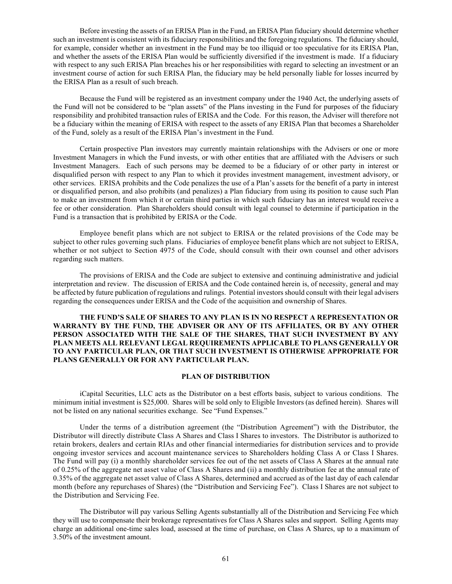Before investing the assets of an ERISA Plan in the Fund, an ERISA Plan fiduciary should determine whether such an investment is consistent with its fiduciary responsibilities and the foregoing regulations. The fiduciary should, for example, consider whether an investment in the Fund may be too illiquid or too speculative for its ERISA Plan, and whether the assets of the ERISA Plan would be sufficiently diversified if the investment is made. If a fiduciary with respect to any such ERISA Plan breaches his or her responsibilities with regard to selecting an investment or an investment course of action for such ERISA Plan, the fiduciary may be held personally liable for losses incurred by the ERISA Plan as a result of such breach.

Because the Fund will be registered as an investment company under the 1940 Act, the underlying assets of the Fund will not be considered to be "plan assets" of the Plans investing in the Fund for purposes of the fiduciary responsibility and prohibited transaction rules of ERISA and the Code. For this reason, the Adviser will therefore not be a fiduciary within the meaning of ERISA with respect to the assets of any ERISA Plan that becomes a Shareholder of the Fund, solely as a result of the ERISA Plan's investment in the Fund.

Certain prospective Plan investors may currently maintain relationships with the Advisers or one or more Investment Managers in which the Fund invests, or with other entities that are affiliated with the Advisers or such Investment Managers. Each of such persons may be deemed to be a fiduciary of or other party in interest or disqualified person with respect to any Plan to which it provides investment management, investment advisory, or other services. ERISA prohibits and the Code penalizes the use of a Plan's assets for the benefit of a party in interest or disqualified person, and also prohibits (and penalizes) a Plan fiduciary from using its position to cause such Plan to make an investment from which it or certain third parties in which such fiduciary has an interest would receive a fee or other consideration. Plan Shareholders should consult with legal counsel to determine if participation in the Fund is a transaction that is prohibited by ERISA or the Code.

Employee benefit plans which are not subject to ERISA or the related provisions of the Code may be subject to other rules governing such plans. Fiduciaries of employee benefit plans which are not subject to ERISA, whether or not subject to Section 4975 of the Code, should consult with their own counsel and other advisors regarding such matters.

The provisions of ERISA and the Code are subject to extensive and continuing administrative and judicial interpretation and review. The discussion of ERISA and the Code contained herein is, of necessity, general and may be affected by future publication of regulations and rulings. Potential investors should consult with their legal advisers regarding the consequences under ERISA and the Code of the acquisition and ownership of Shares.

# **THE FUND'S SALE OF SHARES TO ANY PLAN IS IN NO RESPECT A REPRESENTATION OR WARRANTY BY THE FUND, THE ADVISER OR ANY OF ITS AFFILIATES, OR BY ANY OTHER PERSON ASSOCIATED WITH THE SALE OF THE SHARES, THAT SUCH INVESTMENT BY ANY PLAN MEETS ALL RELEVANT LEGAL REQUIREMENTS APPLICABLE TO PLANS GENERALLY OR TO ANY PARTICULAR PLAN, OR THAT SUCH INVESTMENT IS OTHERWISE APPROPRIATE FOR PLANS GENERALLY OR FOR ANY PARTICULAR PLAN.**

# **PLAN OF DISTRIBUTION**

iCapital Securities, LLC acts as the Distributor on a best efforts basis, subject to various conditions. The minimum initial investment is \$25,000. Shares will be sold only to Eligible Investors (as defined herein). Shares will not be listed on any national securities exchange. See "Fund Expenses."

Under the terms of a distribution agreement (the "Distribution Agreement") with the Distributor, the Distributor will directly distribute Class A Shares and Class I Shares to investors. The Distributor is authorized to retain brokers, dealers and certain RIAs and other financial intermediaries for distribution services and to provide ongoing investor services and account maintenance services to Shareholders holding Class A or Class I Shares. The Fund will pay (i) a monthly shareholder services fee out of the net assets of Class A Shares at the annual rate of 0.25% of the aggregate net asset value of Class A Shares and (ii) a monthly distribution fee at the annual rate of 0.35% of the aggregate net asset value of Class A Shares, determined and accrued as of the last day of each calendar month (before any repurchases of Shares) (the "Distribution and Servicing Fee"). Class I Shares are not subject to the Distribution and Servicing Fee.

The Distributor will pay various Selling Agents substantially all of the Distribution and Servicing Fee which they will use to compensate their brokerage representatives for Class A Shares sales and support. Selling Agents may charge an additional one-time sales load, assessed at the time of purchase, on Class A Shares, up to a maximum of 3.50% of the investment amount.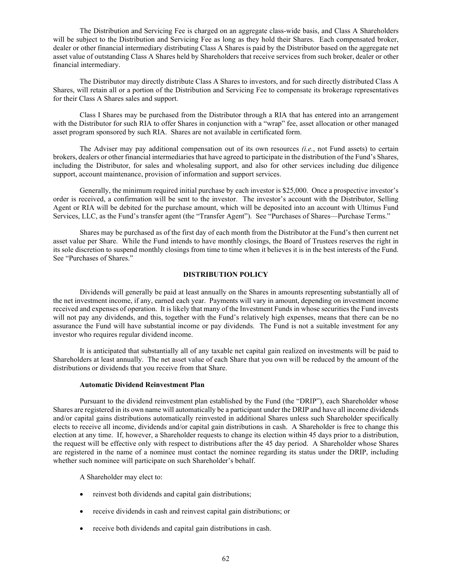The Distribution and Servicing Fee is charged on an aggregate class-wide basis, and Class A Shareholders will be subject to the Distribution and Servicing Fee as long as they hold their Shares. Each compensated broker, dealer or other financial intermediary distributing Class A Shares is paid by the Distributor based on the aggregate net asset value of outstanding Class A Shares held by Shareholders that receive services from such broker, dealer or other financial intermediary.

The Distributor may directly distribute Class A Shares to investors, and for such directly distributed Class A Shares, will retain all or a portion of the Distribution and Servicing Fee to compensate its brokerage representatives for their Class A Shares sales and support.

Class I Shares may be purchased from the Distributor through a RIA that has entered into an arrangement with the Distributor for such RIA to offer Shares in conjunction with a "wrap" fee, asset allocation or other managed asset program sponsored by such RIA. Shares are not available in certificated form.

The Adviser may pay additional compensation out of its own resources *(i.e.*, not Fund assets) to certain brokers, dealers or other financial intermediaries that have agreed to participate in the distribution of the Fund's Shares, including the Distributor, for sales and wholesaling support, and also for other services including due diligence support, account maintenance, provision of information and support services.

Generally, the minimum required initial purchase by each investor is \$25,000. Once a prospective investor's order is received, a confirmation will be sent to the investor. The investor's account with the Distributor, Selling Agent or RIA will be debited for the purchase amount, which will be deposited into an account with Ultimus Fund Services, LLC, as the Fund's transfer agent (the "Transfer Agent"). See "Purchases of Shares—Purchase Terms."

Shares may be purchased as of the first day of each month from the Distributor at the Fund's then current net asset value per Share. While the Fund intends to have monthly closings, the Board of Trustees reserves the right in its sole discretion to suspend monthly closings from time to time when it believes it is in the best interests of the Fund. See "Purchases of Shares."

# **DISTRIBUTION POLICY**

Dividends will generally be paid at least annually on the Shares in amounts representing substantially all of the net investment income, if any, earned each year. Payments will vary in amount, depending on investment income received and expenses of operation. It is likely that many of the Investment Funds in whose securities the Fund invests will not pay any dividends, and this, together with the Fund's relatively high expenses, means that there can be no assurance the Fund will have substantial income or pay dividends. The Fund is not a suitable investment for any investor who requires regular dividend income.

It is anticipated that substantially all of any taxable net capital gain realized on investments will be paid to Shareholders at least annually. The net asset value of each Share that you own will be reduced by the amount of the distributions or dividends that you receive from that Share.

# **Automatic Dividend Reinvestment Plan**

Pursuant to the dividend reinvestment plan established by the Fund (the "DRIP"), each Shareholder whose Shares are registered in its own name will automatically be a participant under the DRIP and have all income dividends and/or capital gains distributions automatically reinvested in additional Shares unless such Shareholder specifically elects to receive all income, dividends and/or capital gain distributions in cash. A Shareholder is free to change this election at any time. If, however, a Shareholder requests to change its election within 45 days prior to a distribution, the request will be effective only with respect to distributions after the 45 day period. A Shareholder whose Shares are registered in the name of a nominee must contact the nominee regarding its status under the DRIP, including whether such nominee will participate on such Shareholder's behalf.

A Shareholder may elect to:

- reinvest both dividends and capital gain distributions;
- receive dividends in cash and reinvest capital gain distributions; or
- receive both dividends and capital gain distributions in cash.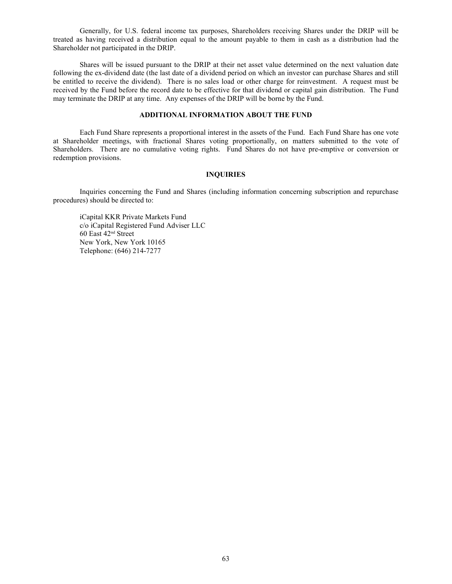Generally, for U.S. federal income tax purposes, Shareholders receiving Shares under the DRIP will be treated as having received a distribution equal to the amount payable to them in cash as a distribution had the Shareholder not participated in the DRIP.

Shares will be issued pursuant to the DRIP at their net asset value determined on the next valuation date following the ex-dividend date (the last date of a dividend period on which an investor can purchase Shares and still be entitled to receive the dividend). There is no sales load or other charge for reinvestment. A request must be received by the Fund before the record date to be effective for that dividend or capital gain distribution. The Fund may terminate the DRIP at any time. Any expenses of the DRIP will be borne by the Fund.

# **ADDITIONAL INFORMATION ABOUT THE FUND**

Each Fund Share represents a proportional interest in the assets of the Fund. Each Fund Share has one vote at Shareholder meetings, with fractional Shares voting proportionally, on matters submitted to the vote of Shareholders. There are no cumulative voting rights. Fund Shares do not have pre-emptive or conversion or redemption provisions.

# **INQUIRIES**

Inquiries concerning the Fund and Shares (including information concerning subscription and repurchase procedures) should be directed to:

iCapital KKR Private Markets Fund c/o iCapital Registered Fund Adviser LLC 60 East 42nd Street New York, New York 10165 Telephone: (646) 214-7277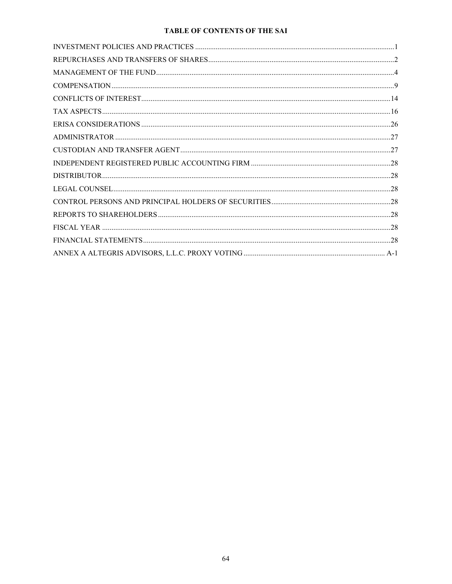# TABLE OF CONTENTS OF THE SAI